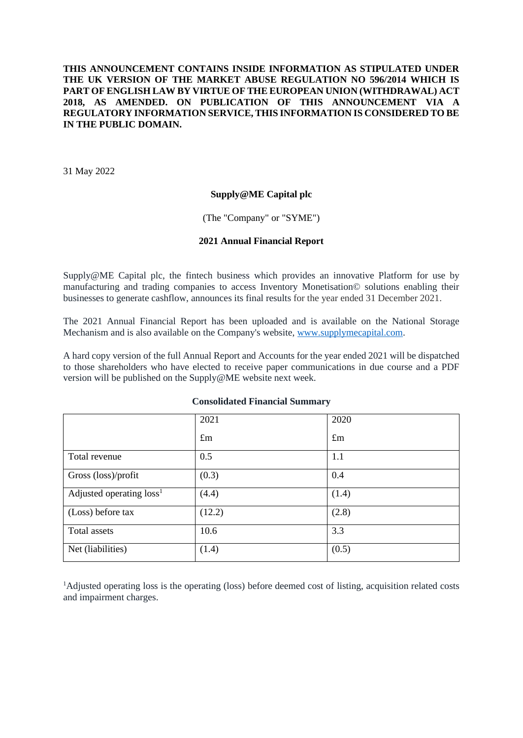#### **THIS ANNOUNCEMENT CONTAINS INSIDE INFORMATION AS STIPULATED UNDER THE UK VERSION OF THE MARKET ABUSE REGULATION NO 596/2014 WHICH IS PART OF ENGLISH LAW BY VIRTUE OF THE EUROPEAN UNION (WITHDRAWAL) ACT 2018, AS AMENDED. ON PUBLICATION OF THIS ANNOUNCEMENT VIA A REGULATORY INFORMATION SERVICE, THIS INFORMATION IS CONSIDERED TO BE IN THE PUBLIC DOMAIN.**

31 May 2022

#### **Supply@ME Capital plc**

#### (The "Company" or "SYME")

#### **2021 Annual Financial Report**

Supply@ME Capital plc, the fintech business which provides an innovative Platform for use by manufacturing and trading companies to access Inventory Monetisation© solutions enabling their businesses to generate cashflow, announces its final results for the year ended 31 December 2021.

The 2021 Annual Financial Report has been uploaded and is available on the National Storage Mechanism and is also available on the Company's website, [www.supplymecapital.com.](http://www.supplymecapital.com/)

A hard copy version of the full Annual Report and Accounts for the year ended 2021 will be dispatched to those shareholders who have elected to receive paper communications in due course and a PDF version will be published on the Supply@ME website next week.

|                                      | 2021        | 2020        |
|--------------------------------------|-------------|-------------|
|                                      | $\pounds$ m | $\pounds$ m |
| Total revenue                        | 0.5         | 1.1         |
| Gross (loss)/profit                  | (0.3)       | 0.4         |
| Adjusted operating loss <sup>1</sup> | (4.4)       | (1.4)       |
| (Loss) before tax                    | (12.2)      | (2.8)       |
| Total assets                         | 10.6        | 3.3         |
| Net (liabilities)                    | (1.4)       | (0.5)       |

#### **Consolidated Financial Summary**

<sup>1</sup>Adjusted operating loss is the operating (loss) before deemed cost of listing, acquisition related costs and impairment charges.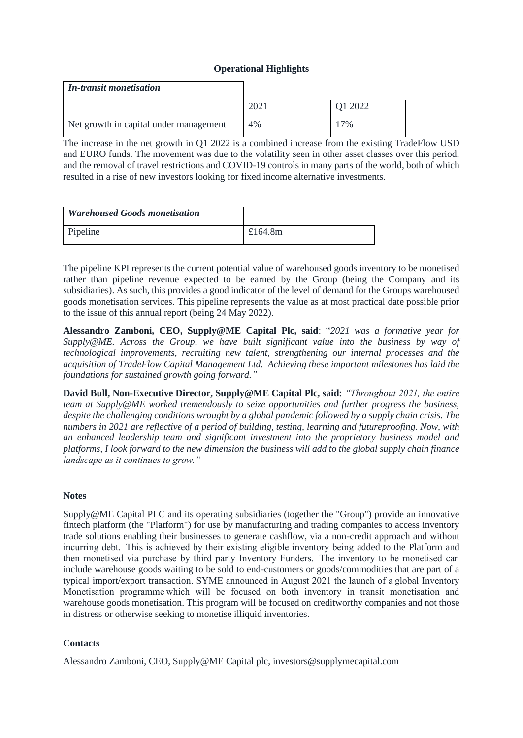#### **Operational Highlights**

| <b>In-transit monetisation</b>         |      |         |
|----------------------------------------|------|---------|
|                                        | 2021 | Q1 2022 |
| Net growth in capital under management | 4%   | 7%      |

The increase in the net growth in Q1 2022 is a combined increase from the existing TradeFlow USD and EURO funds. The movement was due to the volatility seen in other asset classes over this period, and the removal of travel restrictions and COVID-19 controls in many parts of the world, both of which resulted in a rise of new investors looking for fixed income alternative investments.

| <b>Warehoused Goods monetisation</b> |            |
|--------------------------------------|------------|
| Pipeline                             | £164.8 $m$ |

The pipeline KPI represents the current potential value of warehoused goods inventory to be monetised rather than pipeline revenue expected to be earned by the Group (being the Company and its subsidiaries). As such, this provides a good indicator of the level of demand for the Groups warehoused goods monetisation services. This pipeline represents the value as at most practical date possible prior to the issue of this annual report (being 24 May 2022).

**Alessandro Zamboni, CEO, Supply@ME Capital Plc, said**: "*2021 was a formative year for Supply@ME. Across the Group, we have built significant value into the business by way of technological improvements, recruiting new talent, strengthening our internal processes and the acquisition of TradeFlow Capital Management Ltd. Achieving these important milestones has laid the foundations for sustained growth going forward."*

**David Bull, Non-Executive Director, Supply@ME Capital Plc, said:** *"Throughout 2021, the entire team at Supply@ME worked tremendously to seize opportunities and further progress the business, despite the challenging conditions wrought by a global pandemic followed by a supply chain crisis. The numbers in 2021 are reflective of a period of building, testing, learning and futureproofing. Now, with an enhanced leadership team and significant investment into the proprietary business model and platforms, I look forward to the new dimension the business will add to the global supply chain finance landscape as it continues to grow."*

#### **Notes**

Supply@ME Capital PLC and its operating subsidiaries (together the "Group") provide an innovative fintech platform (the "Platform") for use by manufacturing and trading companies to access inventory trade solutions enabling their businesses to generate cashflow, via a non-credit approach and without incurring debt.  This is achieved by their existing eligible inventory being added to the Platform and then monetised via purchase by third party Inventory Funders.  The inventory to be monetised can include warehouse goods waiting to be sold to end-customers or goods/commodities that are part of a typical import/export transaction. SYME announced in August 2021 the launch of a global Inventory Monetisation programme which will be focused on both inventory in transit monetisation and warehouse goods monetisation. This program will be focused on creditworthy companies and not those in distress or otherwise seeking to monetise illiquid inventories.

#### **Contacts**

Alessandro Zamboni, CEO, Supply@ME Capital plc, investors@supplymecapital.com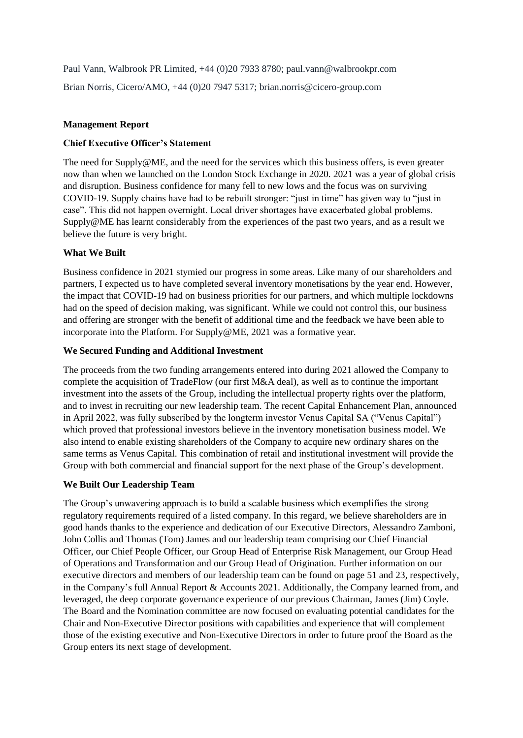Paul Vann, Walbrook PR Limited, +44 (0)20 7933 8780; paul.vann@walbrookpr.com Brian Norris, Cicero/AMO, +44 (0)20 7947 5317; [brian.norris@cicero-group.com](mailto:brian.norris@cicero-group.com)

#### **Management Report**

#### **Chief Executive Officer's Statement**

The need for Supply@ME, and the need for the services which this business offers, is even greater now than when we launched on the London Stock Exchange in 2020. 2021 was a year of global crisis and disruption. Business confidence for many fell to new lows and the focus was on surviving COVID-19. Supply chains have had to be rebuilt stronger: "just in time" has given way to "just in case". This did not happen overnight. Local driver shortages have exacerbated global problems. Supply@ME has learnt considerably from the experiences of the past two years, and as a result we believe the future is very bright.

#### **What We Built**

Business confidence in 2021 stymied our progress in some areas. Like many of our shareholders and partners, I expected us to have completed several inventory monetisations by the year end. However, the impact that COVID-19 had on business priorities for our partners, and which multiple lockdowns had on the speed of decision making, was significant. While we could not control this, our business and offering are stronger with the benefit of additional time and the feedback we have been able to incorporate into the Platform. For Supply@ME, 2021 was a formative year.

#### **We Secured Funding and Additional Investment**

The proceeds from the two funding arrangements entered into during 2021 allowed the Company to complete the acquisition of TradeFlow (our first M&A deal), as well as to continue the important investment into the assets of the Group, including the intellectual property rights over the platform, and to invest in recruiting our new leadership team. The recent Capital Enhancement Plan, announced in April 2022, was fully subscribed by the longterm investor Venus Capital SA ("Venus Capital") which proved that professional investors believe in the inventory monetisation business model. We also intend to enable existing shareholders of the Company to acquire new ordinary shares on the same terms as Venus Capital. This combination of retail and institutional investment will provide the Group with both commercial and financial support for the next phase of the Group's development.

## **We Built Our Leadership Team**

The Group's unwavering approach is to build a scalable business which exemplifies the strong regulatory requirements required of a listed company. In this regard, we believe shareholders are in good hands thanks to the experience and dedication of our Executive Directors, Alessandro Zamboni, John Collis and Thomas (Tom) James and our leadership team comprising our Chief Financial Officer, our Chief People Officer, our Group Head of Enterprise Risk Management, our Group Head of Operations and Transformation and our Group Head of Origination. Further information on our executive directors and members of our leadership team can be found on page 51 and 23, respectively, in the Company's full Annual Report & Accounts 2021. Additionally, the Company learned from, and leveraged, the deep corporate governance experience of our previous Chairman, James (Jim) Coyle. The Board and the Nomination committee are now focused on evaluating potential candidates for the Chair and Non-Executive Director positions with capabilities and experience that will complement those of the existing executive and Non-Executive Directors in order to future proof the Board as the Group enters its next stage of development.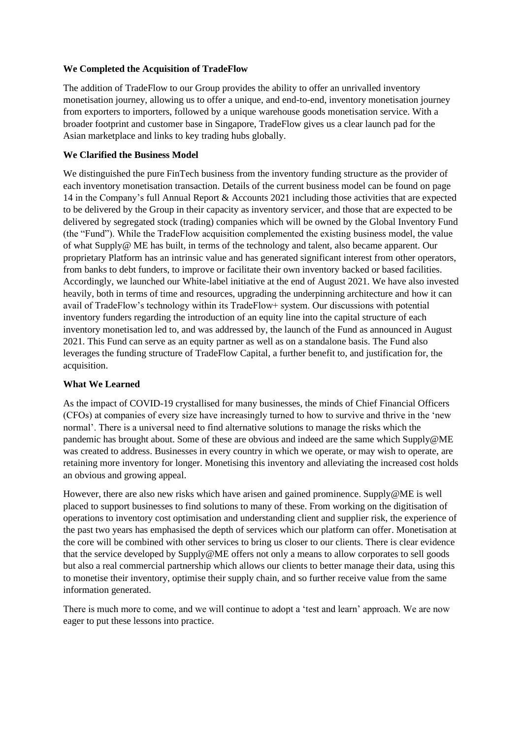#### **We Completed the Acquisition of TradeFlow**

The addition of TradeFlow to our Group provides the ability to offer an unrivalled inventory monetisation journey, allowing us to offer a unique, and end-to-end, inventory monetisation journey from exporters to importers, followed by a unique warehouse goods monetisation service. With a broader footprint and customer base in Singapore, TradeFlow gives us a clear launch pad for the Asian marketplace and links to key trading hubs globally.

#### **We Clarified the Business Model**

We distinguished the pure FinTech business from the inventory funding structure as the provider of each inventory monetisation transaction. Details of the current business model can be found on page 14 in the Company's full Annual Report & Accounts 2021 including those activities that are expected to be delivered by the Group in their capacity as inventory servicer, and those that are expected to be delivered by segregated stock (trading) companies which will be owned by the Global Inventory Fund (the "Fund"). While the TradeFlow acquisition complemented the existing business model, the value of what Supply@ ME has built, in terms of the technology and talent, also became apparent. Our proprietary Platform has an intrinsic value and has generated significant interest from other operators, from banks to debt funders, to improve or facilitate their own inventory backed or based facilities. Accordingly, we launched our White-label initiative at the end of August 2021. We have also invested heavily, both in terms of time and resources, upgrading the underpinning architecture and how it can avail of TradeFlow's technology within its TradeFlow+ system. Our discussions with potential inventory funders regarding the introduction of an equity line into the capital structure of each inventory monetisation led to, and was addressed by, the launch of the Fund as announced in August 2021. This Fund can serve as an equity partner as well as on a standalone basis. The Fund also leverages the funding structure of TradeFlow Capital, a further benefit to, and justification for, the acquisition.

#### **What We Learned**

As the impact of COVID-19 crystallised for many businesses, the minds of Chief Financial Officers (CFOs) at companies of every size have increasingly turned to how to survive and thrive in the 'new normal'. There is a universal need to find alternative solutions to manage the risks which the pandemic has brought about. Some of these are obvious and indeed are the same which Supply@ME was created to address. Businesses in every country in which we operate, or may wish to operate, are retaining more inventory for longer. Monetising this inventory and alleviating the increased cost holds an obvious and growing appeal.

However, there are also new risks which have arisen and gained prominence. Supply@ME is well placed to support businesses to find solutions to many of these. From working on the digitisation of operations to inventory cost optimisation and understanding client and supplier risk, the experience of the past two years has emphasised the depth of services which our platform can offer. Monetisation at the core will be combined with other services to bring us closer to our clients. There is clear evidence that the service developed by Supply@ME offers not only a means to allow corporates to sell goods but also a real commercial partnership which allows our clients to better manage their data, using this to monetise their inventory, optimise their supply chain, and so further receive value from the same information generated.

There is much more to come, and we will continue to adopt a 'test and learn' approach. We are now eager to put these lessons into practice.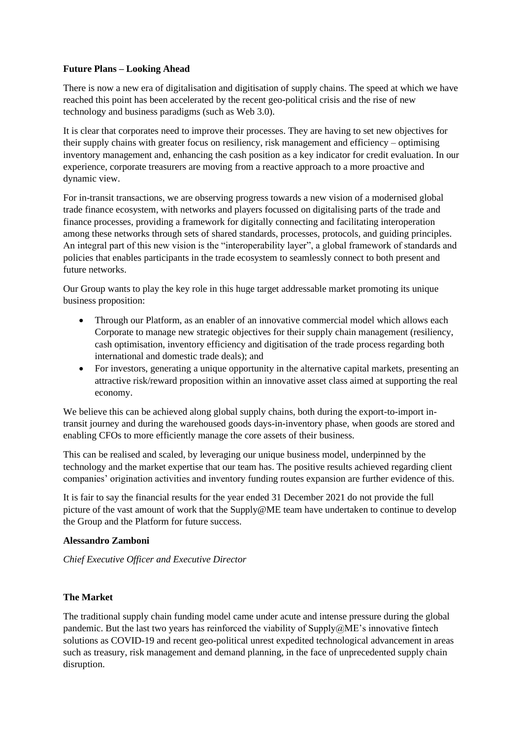## **Future Plans – Looking Ahead**

There is now a new era of digitalisation and digitisation of supply chains. The speed at which we have reached this point has been accelerated by the recent geo-political crisis and the rise of new technology and business paradigms (such as Web 3.0).

It is clear that corporates need to improve their processes. They are having to set new objectives for their supply chains with greater focus on resiliency, risk management and efficiency – optimising inventory management and, enhancing the cash position as a key indicator for credit evaluation. In our experience, corporate treasurers are moving from a reactive approach to a more proactive and dynamic view.

For in-transit transactions, we are observing progress towards a new vision of a modernised global trade finance ecosystem, with networks and players focussed on digitalising parts of the trade and finance processes, providing a framework for digitally connecting and facilitating interoperation among these networks through sets of shared standards, processes, protocols, and guiding principles. An integral part of this new vision is the "interoperability layer", a global framework of standards and policies that enables participants in the trade ecosystem to seamlessly connect to both present and future networks.

Our Group wants to play the key role in this huge target addressable market promoting its unique business proposition:

- Through our Platform, as an enabler of an innovative commercial model which allows each Corporate to manage new strategic objectives for their supply chain management (resiliency, cash optimisation, inventory efficiency and digitisation of the trade process regarding both international and domestic trade deals); and
- For investors, generating a unique opportunity in the alternative capital markets, presenting an attractive risk/reward proposition within an innovative asset class aimed at supporting the real economy.

We believe this can be achieved along global supply chains, both during the export-to-import intransit journey and during the warehoused goods days-in-inventory phase, when goods are stored and enabling CFOs to more efficiently manage the core assets of their business.

This can be realised and scaled, by leveraging our unique business model, underpinned by the technology and the market expertise that our team has. The positive results achieved regarding client companies' origination activities and inventory funding routes expansion are further evidence of this.

It is fair to say the financial results for the year ended 31 December 2021 do not provide the full picture of the vast amount of work that the Supply@ME team have undertaken to continue to develop the Group and the Platform for future success.

#### **Alessandro Zamboni**

*Chief Executive Officer and Executive Director*

## **The Market**

The traditional supply chain funding model came under acute and intense pressure during the global pandemic. But the last two years has reinforced the viability of  $\text{Supply@ME'}$  innovative fintech solutions as COVID-19 and recent geo-political unrest expedited technological advancement in areas such as treasury, risk management and demand planning, in the face of unprecedented supply chain disruption.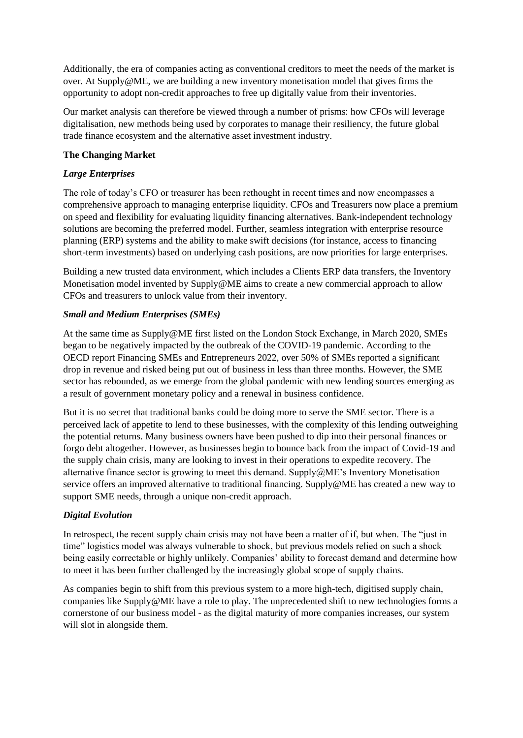Additionally, the era of companies acting as conventional creditors to meet the needs of the market is over. At Supply@ME, we are building a new inventory monetisation model that gives firms the opportunity to adopt non-credit approaches to free up digitally value from their inventories.

Our market analysis can therefore be viewed through a number of prisms: how CFOs will leverage digitalisation, new methods being used by corporates to manage their resiliency, the future global trade finance ecosystem and the alternative asset investment industry.

#### **The Changing Market**

#### *Large Enterprises*

The role of today's CFO or treasurer has been rethought in recent times and now encompasses a comprehensive approach to managing enterprise liquidity. CFOs and Treasurers now place a premium on speed and flexibility for evaluating liquidity financing alternatives. Bank-independent technology solutions are becoming the preferred model. Further, seamless integration with enterprise resource planning (ERP) systems and the ability to make swift decisions (for instance, access to financing short-term investments) based on underlying cash positions, are now priorities for large enterprises.

Building a new trusted data environment, which includes a Clients ERP data transfers, the Inventory Monetisation model invented by Supply@ME aims to create a new commercial approach to allow CFOs and treasurers to unlock value from their inventory.

#### *Small and Medium Enterprises (SMEs)*

At the same time as Supply@ME first listed on the London Stock Exchange, in March 2020, SMEs began to be negatively impacted by the outbreak of the COVID-19 pandemic. According to the OECD report Financing SMEs and Entrepreneurs 2022, over 50% of SMEs reported a significant drop in revenue and risked being put out of business in less than three months. However, the SME sector has rebounded, as we emerge from the global pandemic with new lending sources emerging as a result of government monetary policy and a renewal in business confidence.

But it is no secret that traditional banks could be doing more to serve the SME sector. There is a perceived lack of appetite to lend to these businesses, with the complexity of this lending outweighing the potential returns. Many business owners have been pushed to dip into their personal finances or forgo debt altogether. However, as businesses begin to bounce back from the impact of Covid-19 and the supply chain crisis, many are looking to invest in their operations to expedite recovery. The alternative finance sector is growing to meet this demand. Supply $@ME$ 's Inventory Monetisation service offers an improved alternative to traditional financing. Supply@ME has created a new way to support SME needs, through a unique non-credit approach.

#### *Digital Evolution*

In retrospect, the recent supply chain crisis may not have been a matter of if, but when. The "just in time" logistics model was always vulnerable to shock, but previous models relied on such a shock being easily correctable or highly unlikely. Companies' ability to forecast demand and determine how to meet it has been further challenged by the increasingly global scope of supply chains.

As companies begin to shift from this previous system to a more high-tech, digitised supply chain, companies like Supply@ME have a role to play. The unprecedented shift to new technologies forms a cornerstone of our business model - as the digital maturity of more companies increases, our system will slot in alongside them.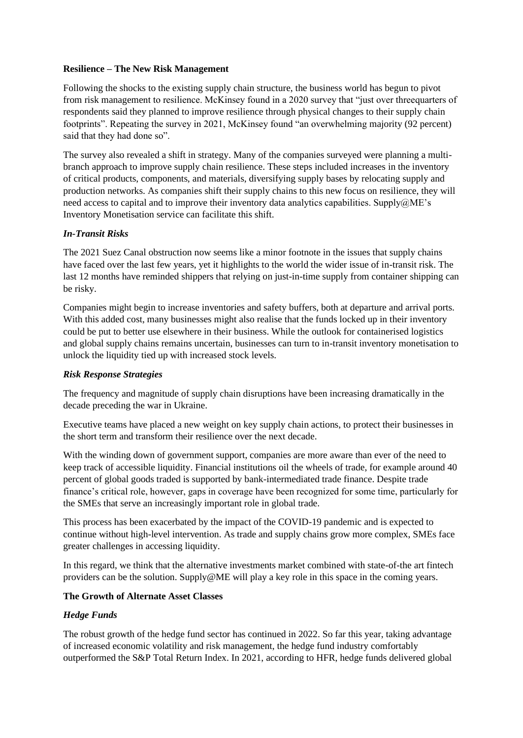#### **Resilience – The New Risk Management**

Following the shocks to the existing supply chain structure, the business world has begun to pivot from risk management to resilience. McKinsey found in a 2020 survey that "just over threequarters of respondents said they planned to improve resilience through physical changes to their supply chain footprints". Repeating the survey in 2021, McKinsey found "an overwhelming majority (92 percent) said that they had done so".

The survey also revealed a shift in strategy. Many of the companies surveyed were planning a multibranch approach to improve supply chain resilience. These steps included increases in the inventory of critical products, components, and materials, diversifying supply bases by relocating supply and production networks. As companies shift their supply chains to this new focus on resilience, they will need access to capital and to improve their inventory data analytics capabilities. Supply@ME's Inventory Monetisation service can facilitate this shift.

## *In-Transit Risks*

The 2021 Suez Canal obstruction now seems like a minor footnote in the issues that supply chains have faced over the last few years, yet it highlights to the world the wider issue of in-transit risk. The last 12 months have reminded shippers that relying on just-in-time supply from container shipping can be risky.

Companies might begin to increase inventories and safety buffers, both at departure and arrival ports. With this added cost, many businesses might also realise that the funds locked up in their inventory could be put to better use elsewhere in their business. While the outlook for containerised logistics and global supply chains remains uncertain, businesses can turn to in-transit inventory monetisation to unlock the liquidity tied up with increased stock levels.

#### *Risk Response Strategies*

The frequency and magnitude of supply chain disruptions have been increasing dramatically in the decade preceding the war in Ukraine.

Executive teams have placed a new weight on key supply chain actions, to protect their businesses in the short term and transform their resilience over the next decade.

With the winding down of government support, companies are more aware than ever of the need to keep track of accessible liquidity. Financial institutions oil the wheels of trade, for example around 40 percent of global goods traded is supported by bank-intermediated trade finance. Despite trade finance's critical role, however, gaps in coverage have been recognized for some time, particularly for the SMEs that serve an increasingly important role in global trade.

This process has been exacerbated by the impact of the COVID-19 pandemic and is expected to continue without high-level intervention. As trade and supply chains grow more complex, SMEs face greater challenges in accessing liquidity.

In this regard, we think that the alternative investments market combined with state-of-the art fintech providers can be the solution. Supply@ME will play a key role in this space in the coming years.

## **The Growth of Alternate Asset Classes**

## *Hedge Funds*

The robust growth of the hedge fund sector has continued in 2022. So far this year, taking advantage of increased economic volatility and risk management, the hedge fund industry comfortably outperformed the S&P Total Return Index. In 2021, according to HFR, hedge funds delivered global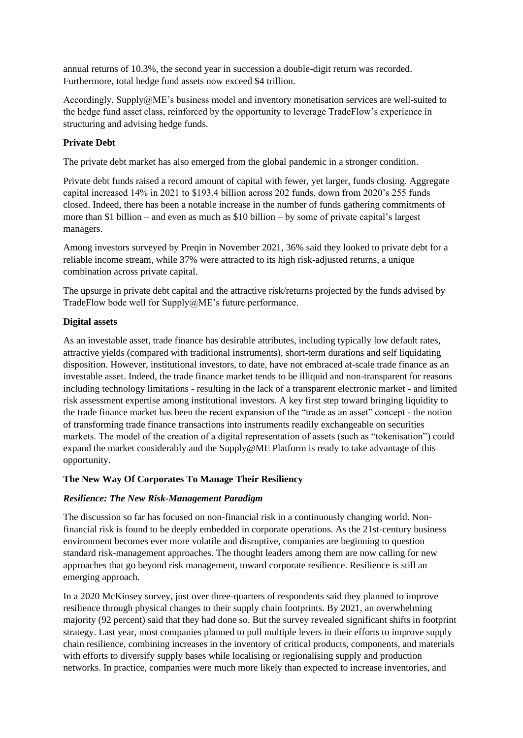annual returns of 10.3%, the second year in succession a double-digit return was recorded. Furthermore, total hedge fund assets now exceed \$4 trillion.

Accordingly, Supply@ME's business model and inventory monetisation services are well-suited to the hedge fund asset class, reinforced by the opportunity to leverage TradeFlow's experience in structuring and advising hedge funds.

## **Private Debt**

The private debt market has also emerged from the global pandemic in a stronger condition.

Private debt funds raised a record amount of capital with fewer, yet larger, funds closing. Aggregate capital increased 14% in 2021 to \$193.4 billion across 202 funds, down from 2020's 255 funds closed. Indeed, there has been a notable increase in the number of funds gathering commitments of more than \$1 billion – and even as much as \$10 billion – by some of private capital's largest managers.

Among investors surveyed by Preqin in November 2021, 36% said they looked to private debt for a reliable income stream, while 37% were attracted to its high risk-adjusted returns, a unique combination across private capital.

The upsurge in private debt capital and the attractive risk/returns projected by the funds advised by TradeFlow bode well for Supply@ME's future performance.

#### **Digital assets**

As an investable asset, trade finance has desirable attributes, including typically low default rates, attractive yields (compared with traditional instruments), short-term durations and self liquidating disposition. However, institutional investors, to date, have not embraced at-scale trade finance as an investable asset. Indeed, the trade finance market tends to be illiquid and non-transparent for reasons including technology limitations - resulting in the lack of a transparent electronic market - and limited risk assessment expertise among institutional investors. A key first step toward bringing liquidity to the trade finance market has been the recent expansion of the "trade as an asset" concept - the notion of transforming trade finance transactions into instruments readily exchangeable on securities markets. The model of the creation of a digital representation of assets (such as "tokenisation") could expand the market considerably and the Supply@ME Platform is ready to take advantage of this opportunity.

## **The New Way Of Corporates To Manage Their Resiliency**

## *Resilience: The New Risk-Management Paradigm*

The discussion so far has focused on non-financial risk in a continuously changing world. Nonfinancial risk is found to be deeply embedded in corporate operations. As the 21st-century business environment becomes ever more volatile and disruptive, companies are beginning to question standard risk-management approaches. The thought leaders among them are now calling for new approaches that go beyond risk management, toward corporate resilience. Resilience is still an emerging approach.

In a 2020 McKinsey survey, just over three-quarters of respondents said they planned to improve resilience through physical changes to their supply chain footprints. By 2021, an overwhelming majority (92 percent) said that they had done so. But the survey revealed significant shifts in footprint strategy. Last year, most companies planned to pull multiple levers in their efforts to improve supply chain resilience, combining increases in the inventory of critical products, components, and materials with efforts to diversify supply bases while localising or regionalising supply and production networks. In practice, companies were much more likely than expected to increase inventories, and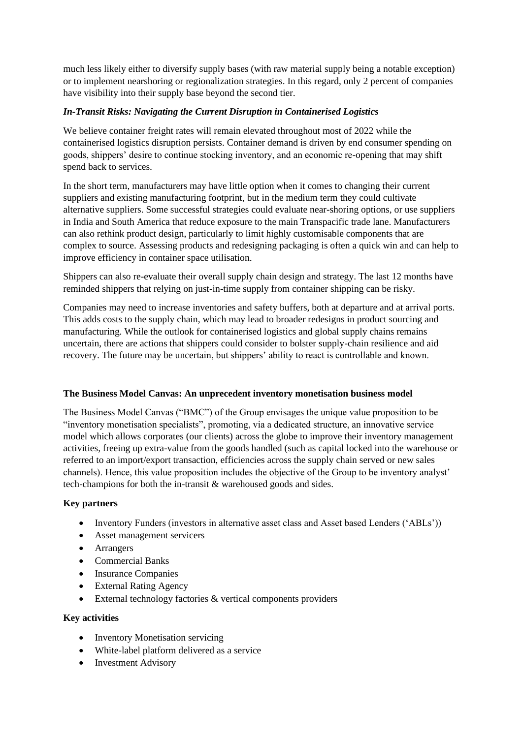much less likely either to diversify supply bases (with raw material supply being a notable exception) or to implement nearshoring or regionalization strategies. In this regard, only 2 percent of companies have visibility into their supply base beyond the second tier.

## *In-Transit Risks: Navigating the Current Disruption in Containerised Logistics*

We believe container freight rates will remain elevated throughout most of 2022 while the containerised logistics disruption persists. Container demand is driven by end consumer spending on goods, shippers' desire to continue stocking inventory, and an economic re-opening that may shift spend back to services.

In the short term, manufacturers may have little option when it comes to changing their current suppliers and existing manufacturing footprint, but in the medium term they could cultivate alternative suppliers. Some successful strategies could evaluate near-shoring options, or use suppliers in India and South America that reduce exposure to the main Transpacific trade lane. Manufacturers can also rethink product design, particularly to limit highly customisable components that are complex to source. Assessing products and redesigning packaging is often a quick win and can help to improve efficiency in container space utilisation.

Shippers can also re-evaluate their overall supply chain design and strategy. The last 12 months have reminded shippers that relying on just-in-time supply from container shipping can be risky.

Companies may need to increase inventories and safety buffers, both at departure and at arrival ports. This adds costs to the supply chain, which may lead to broader redesigns in product sourcing and manufacturing. While the outlook for containerised logistics and global supply chains remains uncertain, there are actions that shippers could consider to bolster supply-chain resilience and aid recovery. The future may be uncertain, but shippers' ability to react is controllable and known.

## **The Business Model Canvas: An unprecedent inventory monetisation business model**

The Business Model Canvas ("BMC") of the Group envisages the unique value proposition to be "inventory monetisation specialists", promoting, via a dedicated structure, an innovative service model which allows corporates (our clients) across the globe to improve their inventory management activities, freeing up extra-value from the goods handled (such as capital locked into the warehouse or referred to an import/export transaction, efficiencies across the supply chain served or new sales channels). Hence, this value proposition includes the objective of the Group to be inventory analyst' tech-champions for both the in-transit & warehoused goods and sides.

## **Key partners**

- Inventory Funders (investors in alternative asset class and Asset based Lenders ('ABLs'))
- Asset management servicers
- Arrangers
- Commercial Banks
- Insurance Companies
- External Rating Agency
- External technology factories & vertical components providers

## **Key activities**

- Inventory Monetisation servicing
- White-label platform delivered as a service
- Investment Advisory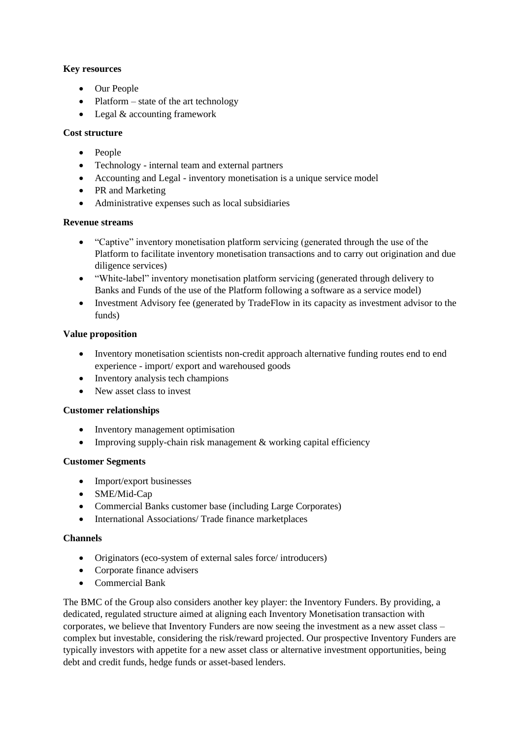## **Key resources**

- Our People
- Platform state of the art technology
- Legal & accounting framework

## **Cost structure**

- People
- Technology internal team and external partners
- Accounting and Legal inventory monetisation is a unique service model
- PR and Marketing
- Administrative expenses such as local subsidiaries

## **Revenue streams**

- "Captive" inventory monetisation platform servicing (generated through the use of the Platform to facilitate inventory monetisation transactions and to carry out origination and due diligence services)
- "White-label" inventory monetisation platform servicing (generated through delivery to Banks and Funds of the use of the Platform following a software as a service model)
- Investment Advisory fee (generated by TradeFlow in its capacity as investment advisor to the funds)

## **Value proposition**

- Inventory monetisation scientists non-credit approach alternative funding routes end to end experience - import/ export and warehoused goods
- Inventory analysis tech champions
- New asset class to invest

## **Customer relationships**

- Inventory management optimisation
- Improving supply-chain risk management & working capital efficiency

## **Customer Segments**

- Import/export businesses
- SME/Mid-Cap
- Commercial Banks customer base (including Large Corporates)
- International Associations/ Trade finance marketplaces

#### **Channels**

- Originators (eco-system of external sales force/ introducers)
- Corporate finance advisers
- Commercial Bank

The BMC of the Group also considers another key player: the Inventory Funders. By providing, a dedicated, regulated structure aimed at aligning each Inventory Monetisation transaction with corporates, we believe that Inventory Funders are now seeing the investment as a new asset class – complex but investable, considering the risk/reward projected. Our prospective Inventory Funders are typically investors with appetite for a new asset class or alternative investment opportunities, being debt and credit funds, hedge funds or asset-based lenders.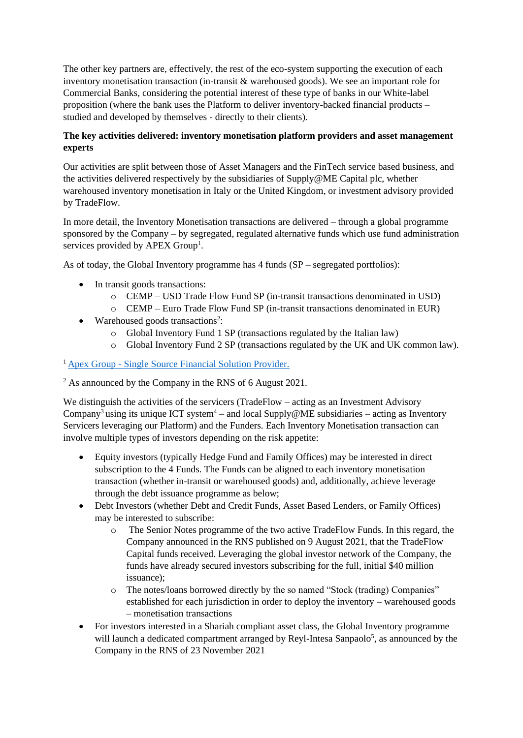The other key partners are, effectively, the rest of the eco-system supporting the execution of each inventory monetisation transaction (in-transit & warehoused goods). We see an important role for Commercial Banks, considering the potential interest of these type of banks in our White-label proposition (where the bank uses the Platform to deliver inventory-backed financial products – studied and developed by themselves - directly to their clients).

## **The key activities delivered: inventory monetisation platform providers and asset management experts**

Our activities are split between those of Asset Managers and the FinTech service based business, and the activities delivered respectively by the subsidiaries of Supply@ME Capital plc, whether warehoused inventory monetisation in Italy or the United Kingdom, or investment advisory provided by TradeFlow.

In more detail, the Inventory Monetisation transactions are delivered – through a global programme sponsored by the Company – by segregated, regulated alternative funds which use fund administration services provided by APEX Group<sup>1</sup>.

As of today, the Global Inventory programme has 4 funds (SP – segregated portfolios):

- In transit goods transactions:
	- o CEMP USD Trade Flow Fund SP (in-transit transactions denominated in USD)
	- o CEMP Euro Trade Flow Fund SP (in-transit transactions denominated in EUR)
- Warehoused goods transactions<sup>2</sup>:
	- o Global Inventory Fund 1 SP (transactions regulated by the Italian law)
	- o Global Inventory Fund 2 SP (transactions regulated by the UK and UK common law).

<sup>1</sup>Apex Group - [Single Source Financial Solution Provider.](https://www.apexgroup.com/)

<sup>2</sup> As announced by the Company in the RNS of 6 August 2021.

We distinguish the activities of the servicers (TradeFlow – acting as an Investment Advisory Company<sup>3</sup> using its unique ICT system<sup>4</sup> – and local Supply@ME subsidiaries – acting as Inventory Servicers leveraging our Platform) and the Funders. Each Inventory Monetisation transaction can involve multiple types of investors depending on the risk appetite:

- Equity investors (typically Hedge Fund and Family Offices) may be interested in direct subscription to the 4 Funds. The Funds can be aligned to each inventory monetisation transaction (whether in-transit or warehoused goods) and, additionally, achieve leverage through the debt issuance programme as below;
- Debt Investors (whether Debt and Credit Funds, Asset Based Lenders, or Family Offices) may be interested to subscribe:
	- o The Senior Notes programme of the two active TradeFlow Funds. In this regard, the Company announced in the RNS published on 9 August 2021, that the TradeFlow Capital funds received. Leveraging the global investor network of the Company, the funds have already secured investors subscribing for the full, initial \$40 million issuance);
	- o The notes/loans borrowed directly by the so named "Stock (trading) Companies" established for each jurisdiction in order to deploy the inventory – warehoused goods – monetisation transactions
- For investors interested in a Shariah compliant asset class, the Global Inventory programme will launch a dedicated compartment arranged by Reyl-Intesa Sanpaolo<sup>5</sup>, as announced by the Company in the RNS of 23 November 2021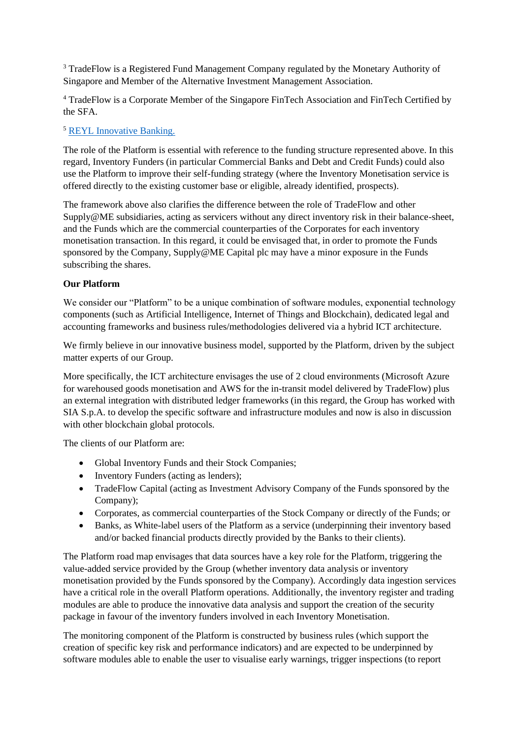<sup>3</sup> TradeFlow is a Registered Fund Management Company regulated by the Monetary Authority of Singapore and Member of the Alternative Investment Management Association.

<sup>4</sup> TradeFlow is a Corporate Member of the Singapore FinTech Association and FinTech Certified by the SFA.

## <sup>5</sup> [REYL Innovative Banking.](https://www.reyl.com/en?gclid=Cj0KCQjwxtSSBhDYARIsAEn0thRy8_j1oI1I_AdRPrv0yYg9SwNfLUd8mua3a-TlX6q150KkKIzkFz8aAorpEALw_wcB)

The role of the Platform is essential with reference to the funding structure represented above. In this regard, Inventory Funders (in particular Commercial Banks and Debt and Credit Funds) could also use the Platform to improve their self-funding strategy (where the Inventory Monetisation service is offered directly to the existing customer base or eligible, already identified, prospects).

The framework above also clarifies the difference between the role of TradeFlow and other Supply@ME subsidiaries, acting as servicers without any direct inventory risk in their balance-sheet, and the Funds which are the commercial counterparties of the Corporates for each inventory monetisation transaction. In this regard, it could be envisaged that, in order to promote the Funds sponsored by the Company, Supply@ME Capital plc may have a minor exposure in the Funds subscribing the shares.

## **Our Platform**

We consider our "Platform" to be a unique combination of software modules, exponential technology components (such as Artificial Intelligence, Internet of Things and Blockchain), dedicated legal and accounting frameworks and business rules/methodologies delivered via a hybrid ICT architecture.

We firmly believe in our innovative business model, supported by the Platform, driven by the subject matter experts of our Group.

More specifically, the ICT architecture envisages the use of 2 cloud environments (Microsoft Azure for warehoused goods monetisation and AWS for the in-transit model delivered by TradeFlow) plus an external integration with distributed ledger frameworks (in this regard, the Group has worked with SIA S.p.A. to develop the specific software and infrastructure modules and now is also in discussion with other blockchain global protocols.

The clients of our Platform are:

- Global Inventory Funds and their Stock Companies;
- Inventory Funders (acting as lenders);
- TradeFlow Capital (acting as Investment Advisory Company of the Funds sponsored by the Company);
- Corporates, as commercial counterparties of the Stock Company or directly of the Funds; or
- Banks, as White-label users of the Platform as a service (underpinning their inventory based and/or backed financial products directly provided by the Banks to their clients).

The Platform road map envisages that data sources have a key role for the Platform, triggering the value-added service provided by the Group (whether inventory data analysis or inventory monetisation provided by the Funds sponsored by the Company). Accordingly data ingestion services have a critical role in the overall Platform operations. Additionally, the inventory register and trading modules are able to produce the innovative data analysis and support the creation of the security package in favour of the inventory funders involved in each Inventory Monetisation.

The monitoring component of the Platform is constructed by business rules (which support the creation of specific key risk and performance indicators) and are expected to be underpinned by software modules able to enable the user to visualise early warnings, trigger inspections (to report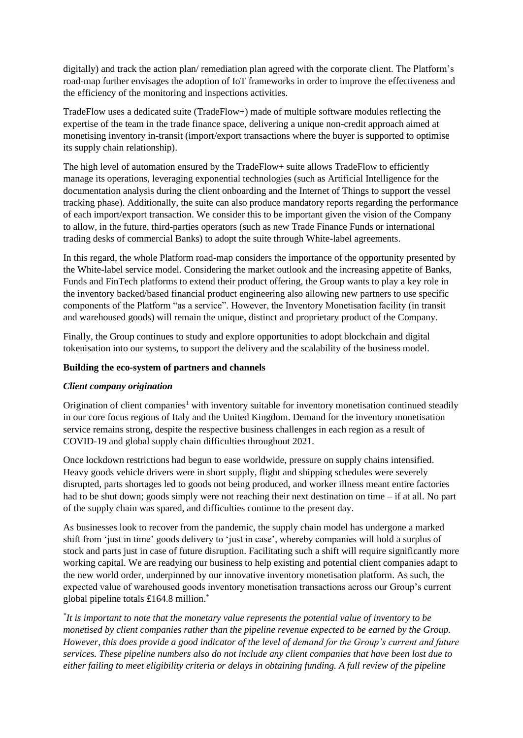digitally) and track the action plan/ remediation plan agreed with the corporate client. The Platform's road-map further envisages the adoption of IoT frameworks in order to improve the effectiveness and the efficiency of the monitoring and inspections activities.

TradeFlow uses a dedicated suite (TradeFlow+) made of multiple software modules reflecting the expertise of the team in the trade finance space, delivering a unique non-credit approach aimed at monetising inventory in-transit (import/export transactions where the buyer is supported to optimise its supply chain relationship).

The high level of automation ensured by the TradeFlow+ suite allows TradeFlow to efficiently manage its operations, leveraging exponential technologies (such as Artificial Intelligence for the documentation analysis during the client onboarding and the Internet of Things to support the vessel tracking phase). Additionally, the suite can also produce mandatory reports regarding the performance of each import/export transaction. We consider this to be important given the vision of the Company to allow, in the future, third-parties operators (such as new Trade Finance Funds or international trading desks of commercial Banks) to adopt the suite through White-label agreements.

In this regard, the whole Platform road-map considers the importance of the opportunity presented by the White-label service model. Considering the market outlook and the increasing appetite of Banks, Funds and FinTech platforms to extend their product offering, the Group wants to play a key role in the inventory backed/based financial product engineering also allowing new partners to use specific components of the Platform "as a service". However, the Inventory Monetisation facility (in transit and warehoused goods) will remain the unique, distinct and proprietary product of the Company.

Finally, the Group continues to study and explore opportunities to adopt blockchain and digital tokenisation into our systems, to support the delivery and the scalability of the business model.

#### **Building the eco-system of partners and channels**

#### *Client company origination*

Origination of client companies<sup>1</sup> with inventory suitable for inventory monetisation continued steadily in our core focus regions of Italy and the United Kingdom. Demand for the inventory monetisation service remains strong, despite the respective business challenges in each region as a result of COVID-19 and global supply chain difficulties throughout 2021.

Once lockdown restrictions had begun to ease worldwide, pressure on supply chains intensified. Heavy goods vehicle drivers were in short supply, flight and shipping schedules were severely disrupted, parts shortages led to goods not being produced, and worker illness meant entire factories had to be shut down; goods simply were not reaching their next destination on time – if at all. No part of the supply chain was spared, and difficulties continue to the present day.

As businesses look to recover from the pandemic, the supply chain model has undergone a marked shift from 'just in time' goods delivery to 'just in case', whereby companies will hold a surplus of stock and parts just in case of future disruption. Facilitating such a shift will require significantly more working capital. We are readying our business to help existing and potential client companies adapt to the new world order, underpinned by our innovative inventory monetisation platform. As such, the expected value of warehoused goods inventory monetisation transactions across our Group's current global pipeline totals £164.8 million.\*

*\* It is important to note that the monetary value represents the potential value of inventory to be monetised by client companies rather than the pipeline revenue expected to be earned by the Group. However, this does provide a good indicator of the level of demand for the Group's current and future services. These pipeline numbers also do not include any client companies that have been lost due to either failing to meet eligibility criteria or delays in obtaining funding. A full review of the pipeline*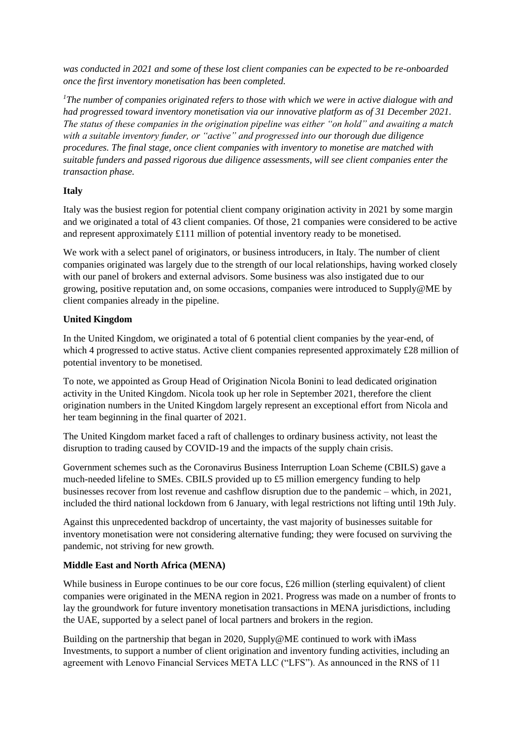*was conducted in 2021 and some of these lost client companies can be expected to be re-onboarded once the first inventory monetisation has been completed.* 

*<sup>1</sup>The number of companies originated refers to those with which we were in active dialogue with and had progressed toward inventory monetisation via our innovative platform as of 31 December 2021. The status of these companies in the origination pipeline was either "on hold" and awaiting a match with a suitable inventory funder, or "active" and progressed into our thorough due diligence procedures. The final stage, once client companies with inventory to monetise are matched with suitable funders and passed rigorous due diligence assessments, will see client companies enter the transaction phase.*

## **Italy**

Italy was the busiest region for potential client company origination activity in 2021 by some margin and we originated a total of 43 client companies. Of those, 21 companies were considered to be active and represent approximately  $\pounds$ 111 million of potential inventory ready to be monetised.

We work with a select panel of originators, or business introducers, in Italy. The number of client companies originated was largely due to the strength of our local relationships, having worked closely with our panel of brokers and external advisors. Some business was also instigated due to our growing, positive reputation and, on some occasions, companies were introduced to Supply@ME by client companies already in the pipeline.

## **United Kingdom**

In the United Kingdom, we originated a total of 6 potential client companies by the year-end, of which 4 progressed to active status. Active client companies represented approximately £28 million of potential inventory to be monetised.

To note, we appointed as Group Head of Origination Nicola Bonini to lead dedicated origination activity in the United Kingdom. Nicola took up her role in September 2021, therefore the client origination numbers in the United Kingdom largely represent an exceptional effort from Nicola and her team beginning in the final quarter of 2021.

The United Kingdom market faced a raft of challenges to ordinary business activity, not least the disruption to trading caused by COVID-19 and the impacts of the supply chain crisis.

Government schemes such as the Coronavirus Business Interruption Loan Scheme (CBILS) gave a much-needed lifeline to SMEs. CBILS provided up to £5 million emergency funding to help businesses recover from lost revenue and cashflow disruption due to the pandemic – which, in 2021, included the third national lockdown from 6 January, with legal restrictions not lifting until 19th July.

Against this unprecedented backdrop of uncertainty, the vast majority of businesses suitable for inventory monetisation were not considering alternative funding; they were focused on surviving the pandemic, not striving for new growth.

## **Middle East and North Africa (MENA)**

While business in Europe continues to be our core focus, £26 million (sterling equivalent) of client companies were originated in the MENA region in 2021. Progress was made on a number of fronts to lay the groundwork for future inventory monetisation transactions in MENA jurisdictions, including the UAE, supported by a select panel of local partners and brokers in the region.

Building on the partnership that began in 2020, Supply@ME continued to work with iMass Investments, to support a number of client origination and inventory funding activities, including an agreement with Lenovo Financial Services META LLC ("LFS"). As announced in the RNS of 11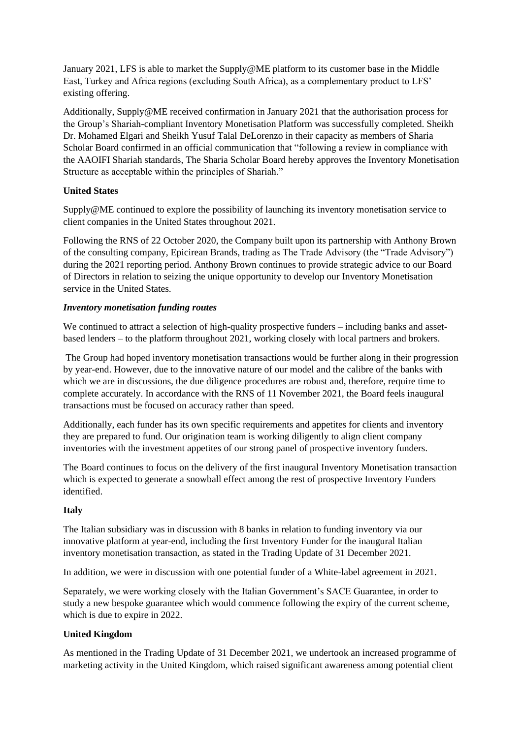January 2021, LFS is able to market the Supply@ME platform to its customer base in the Middle East, Turkey and Africa regions (excluding South Africa), as a complementary product to LFS' existing offering.

Additionally, Supply@ME received confirmation in January 2021 that the authorisation process for the Group's Shariah-compliant Inventory Monetisation Platform was successfully completed. Sheikh Dr. Mohamed Elgari and Sheikh Yusuf Talal DeLorenzo in their capacity as members of Sharia Scholar Board confirmed in an official communication that "following a review in compliance with the AAOIFI Shariah standards, The Sharia Scholar Board hereby approves the Inventory Monetisation Structure as acceptable within the principles of Shariah."

## **United States**

Supply@ME continued to explore the possibility of launching its inventory monetisation service to client companies in the United States throughout 2021.

Following the RNS of 22 October 2020, the Company built upon its partnership with Anthony Brown of the consulting company, Epicirean Brands, trading as The Trade Advisory (the "Trade Advisory") during the 2021 reporting period. Anthony Brown continues to provide strategic advice to our Board of Directors in relation to seizing the unique opportunity to develop our Inventory Monetisation service in the United States.

## *Inventory monetisation funding routes*

We continued to attract a selection of high-quality prospective funders – including banks and assetbased lenders – to the platform throughout 2021, working closely with local partners and brokers.

The Group had hoped inventory monetisation transactions would be further along in their progression by year-end. However, due to the innovative nature of our model and the calibre of the banks with which we are in discussions, the due diligence procedures are robust and, therefore, require time to complete accurately. In accordance with the RNS of 11 November 2021, the Board feels inaugural transactions must be focused on accuracy rather than speed.

Additionally, each funder has its own specific requirements and appetites for clients and inventory they are prepared to fund. Our origination team is working diligently to align client company inventories with the investment appetites of our strong panel of prospective inventory funders.

The Board continues to focus on the delivery of the first inaugural Inventory Monetisation transaction which is expected to generate a snowball effect among the rest of prospective Inventory Funders identified.

## **Italy**

The Italian subsidiary was in discussion with 8 banks in relation to funding inventory via our innovative platform at year-end, including the first Inventory Funder for the inaugural Italian inventory monetisation transaction, as stated in the Trading Update of 31 December 2021.

In addition, we were in discussion with one potential funder of a White-label agreement in 2021.

Separately, we were working closely with the Italian Government's SACE Guarantee, in order to study a new bespoke guarantee which would commence following the expiry of the current scheme, which is due to expire in 2022.

## **United Kingdom**

As mentioned in the Trading Update of 31 December 2021, we undertook an increased programme of marketing activity in the United Kingdom, which raised significant awareness among potential client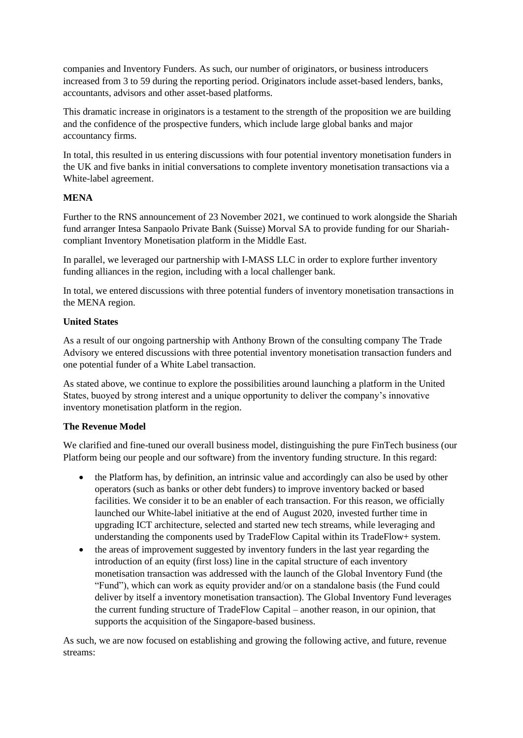companies and Inventory Funders. As such, our number of originators, or business introducers increased from 3 to 59 during the reporting period. Originators include asset-based lenders, banks, accountants, advisors and other asset-based platforms.

This dramatic increase in originators is a testament to the strength of the proposition we are building and the confidence of the prospective funders, which include large global banks and major accountancy firms.

In total, this resulted in us entering discussions with four potential inventory monetisation funders in the UK and five banks in initial conversations to complete inventory monetisation transactions via a White-label agreement.

## **MENA**

Further to the RNS announcement of 23 November 2021, we continued to work alongside the Shariah fund arranger Intesa Sanpaolo Private Bank (Suisse) Morval SA to provide funding for our Shariahcompliant Inventory Monetisation platform in the Middle East.

In parallel, we leveraged our partnership with I-MASS LLC in order to explore further inventory funding alliances in the region, including with a local challenger bank.

In total, we entered discussions with three potential funders of inventory monetisation transactions in the MENA region.

## **United States**

As a result of our ongoing partnership with Anthony Brown of the consulting company The Trade Advisory we entered discussions with three potential inventory monetisation transaction funders and one potential funder of a White Label transaction.

As stated above, we continue to explore the possibilities around launching a platform in the United States, buoyed by strong interest and a unique opportunity to deliver the company's innovative inventory monetisation platform in the region.

## **The Revenue Model**

We clarified and fine-tuned our overall business model, distinguishing the pure FinTech business (our Platform being our people and our software) from the inventory funding structure. In this regard:

- the Platform has, by definition, an intrinsic value and accordingly can also be used by other operators (such as banks or other debt funders) to improve inventory backed or based facilities. We consider it to be an enabler of each transaction. For this reason, we officially launched our White-label initiative at the end of August 2020, invested further time in upgrading ICT architecture, selected and started new tech streams, while leveraging and understanding the components used by TradeFlow Capital within its TradeFlow+ system.
- the areas of improvement suggested by inventory funders in the last year regarding the introduction of an equity (first loss) line in the capital structure of each inventory monetisation transaction was addressed with the launch of the Global Inventory Fund (the "Fund"), which can work as equity provider and/or on a standalone basis (the Fund could deliver by itself a inventory monetisation transaction). The Global Inventory Fund leverages the current funding structure of TradeFlow Capital – another reason, in our opinion, that supports the acquisition of the Singapore-based business.

As such, we are now focused on establishing and growing the following active, and future, revenue streams: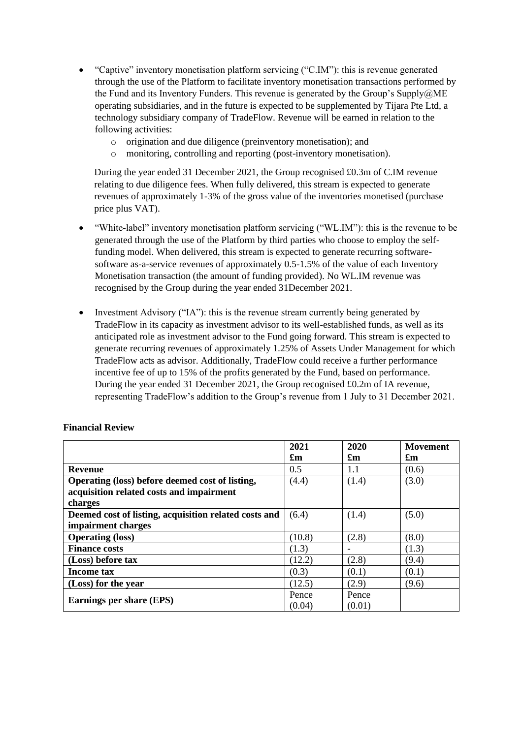- "Captive" inventory monetisation platform servicing ("C.IM"): this is revenue generated through the use of the Platform to facilitate inventory monetisation transactions performed by the Fund and its Inventory Funders. This revenue is generated by the Group's Supply@ME operating subsidiaries, and in the future is expected to be supplemented by Tijara Pte Ltd, a technology subsidiary company of TradeFlow. Revenue will be earned in relation to the following activities:
	- o origination and due diligence (preinventory monetisation); and
	- o monitoring, controlling and reporting (post-inventory monetisation).

During the year ended 31 December 2021, the Group recognised £0.3m of C.IM revenue relating to due diligence fees. When fully delivered, this stream is expected to generate revenues of approximately 1-3% of the gross value of the inventories monetised (purchase price plus VAT).

- "White-label" inventory monetisation platform servicing ("WL.IM"): this is the revenue to be generated through the use of the Platform by third parties who choose to employ the selffunding model. When delivered, this stream is expected to generate recurring softwaresoftware as-a-service revenues of approximately 0.5-1.5% of the value of each Inventory Monetisation transaction (the amount of funding provided). No WL.IM revenue was recognised by the Group during the year ended 31December 2021.
- Investment Advisory ("IA"): this is the revenue stream currently being generated by TradeFlow in its capacity as investment advisor to its well-established funds, as well as its anticipated role as investment advisor to the Fund going forward. This stream is expected to generate recurring revenues of approximately 1.25% of Assets Under Management for which TradeFlow acts as advisor. Additionally, TradeFlow could receive a further performance incentive fee of up to 15% of the profits generated by the Fund, based on performance. During the year ended 31 December 2021, the Group recognised £0.2m of IA revenue, representing TradeFlow's addition to the Group's revenue from 1 July to 31 December 2021.

|                                                       | 2021                      | 2020                      | <b>Movement</b> |
|-------------------------------------------------------|---------------------------|---------------------------|-----------------|
|                                                       | $\mathbf{f}_{\mathbf{m}}$ | $\mathbf{f}_{\mathbf{m}}$ | £m              |
| <b>Revenue</b>                                        | 0.5                       | 1.1                       | (0.6)           |
| Operating (loss) before deemed cost of listing,       | (4.4)                     | (1.4)                     | (3.0)           |
| acquisition related costs and impairment              |                           |                           |                 |
| charges                                               |                           |                           |                 |
| Deemed cost of listing, acquisition related costs and | (6.4)                     | (1.4)                     | (5.0)           |
| impairment charges                                    |                           |                           |                 |
| <b>Operating (loss)</b>                               | (10.8)                    | (2.8)                     | (8.0)           |
| <b>Finance costs</b>                                  | (1.3)                     |                           | (1.3)           |
| (Loss) before tax                                     | (12.2)                    | (2.8)                     | (9.4)           |
| <b>Income tax</b>                                     | (0.3)                     | (0.1)                     | (0.1)           |
| (Loss) for the year                                   | (12.5)                    | (2.9)                     | (9.6)           |
| Earnings per share (EPS)                              | Pence                     | Pence                     |                 |
|                                                       | (0.04)                    | (0.01)                    |                 |

#### **Financial Review**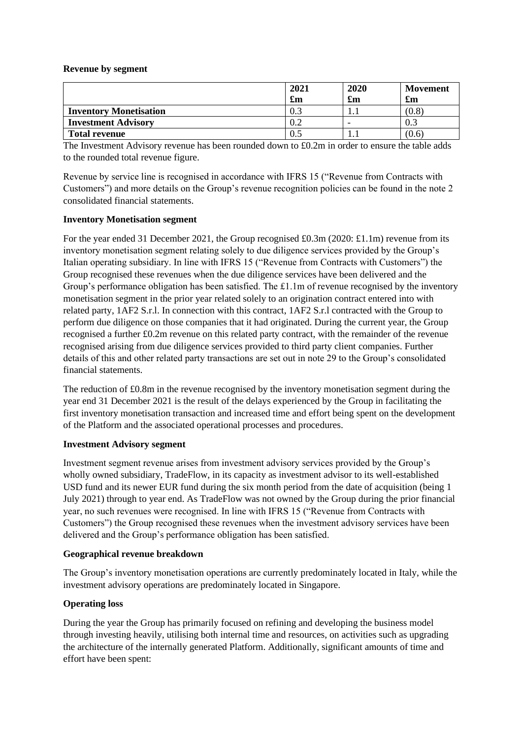#### **Revenue by segment**

|                               | 2021                      | 2020                      | <b>Movement</b>           |
|-------------------------------|---------------------------|---------------------------|---------------------------|
|                               | $\mathbf{f}_{\mathbf{m}}$ | $\mathbf{f}_{\mathbf{m}}$ | $\mathbf{f}_{\mathbf{m}}$ |
| <b>Inventory Monetisation</b> | 0.3                       |                           | (0.8)                     |
| <b>Investment Advisory</b>    | 0.2                       |                           | 0.3                       |
| <b>Total revenue</b>          |                           |                           | (0.6)                     |

The Investment Advisory revenue has been rounded down to £0.2m in order to ensure the table adds to the rounded total revenue figure.

Revenue by service line is recognised in accordance with IFRS 15 ("Revenue from Contracts with Customers") and more details on the Group's revenue recognition policies can be found in the note 2 consolidated financial statements.

#### **Inventory Monetisation segment**

For the year ended 31 December 2021, the Group recognised £0.3m (2020: £1.1m) revenue from its inventory monetisation segment relating solely to due diligence services provided by the Group's Italian operating subsidiary. In line with IFRS 15 ("Revenue from Contracts with Customers") the Group recognised these revenues when the due diligence services have been delivered and the Group's performance obligation has been satisfied. The £1.1m of revenue recognised by the inventory monetisation segment in the prior year related solely to an origination contract entered into with related party, 1AF2 S.r.l. In connection with this contract, 1AF2 S.r.l contracted with the Group to perform due diligence on those companies that it had originated. During the current year, the Group recognised a further £0.2m revenue on this related party contract, with the remainder of the revenue recognised arising from due diligence services provided to third party client companies. Further details of this and other related party transactions are set out in note 29 to the Group's consolidated financial statements.

The reduction of £0.8m in the revenue recognised by the inventory monetisation segment during the year end 31 December 2021 is the result of the delays experienced by the Group in facilitating the first inventory monetisation transaction and increased time and effort being spent on the development of the Platform and the associated operational processes and procedures.

#### **Investment Advisory segment**

Investment segment revenue arises from investment advisory services provided by the Group's wholly owned subsidiary, TradeFlow, in its capacity as investment advisor to its well-established USD fund and its newer EUR fund during the six month period from the date of acquisition (being 1 July 2021) through to year end. As TradeFlow was not owned by the Group during the prior financial year, no such revenues were recognised. In line with IFRS 15 ("Revenue from Contracts with Customers") the Group recognised these revenues when the investment advisory services have been delivered and the Group's performance obligation has been satisfied.

#### **Geographical revenue breakdown**

The Group's inventory monetisation operations are currently predominately located in Italy, while the investment advisory operations are predominately located in Singapore.

## **Operating loss**

During the year the Group has primarily focused on refining and developing the business model through investing heavily, utilising both internal time and resources, on activities such as upgrading the architecture of the internally generated Platform. Additionally, significant amounts of time and effort have been spent: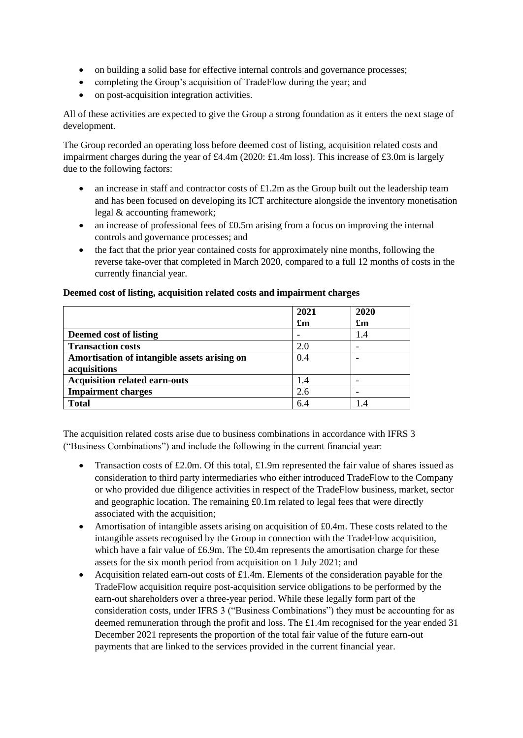- on building a solid base for effective internal controls and governance processes;
- completing the Group's acquisition of TradeFlow during the year; and
- on post-acquisition integration activities.

All of these activities are expected to give the Group a strong foundation as it enters the next stage of development.

The Group recorded an operating loss before deemed cost of listing, acquisition related costs and impairment charges during the year of £4.4m (2020:  $\pounds$ 1.4m loss). This increase of £3.0m is largely due to the following factors:

- an increase in staff and contractor costs of £1.2m as the Group built out the leadership team and has been focused on developing its ICT architecture alongside the inventory monetisation legal & accounting framework;
- an increase of professional fees of £0.5m arising from a focus on improving the internal controls and governance processes; and
- the fact that the prior year contained costs for approximately nine months, following the reverse take-over that completed in March 2020, compared to a full 12 months of costs in the currently financial year.

# **Deemed cost of listing, acquisition related costs and impairment charges**

|                                              | 2021                      | 2020                      |
|----------------------------------------------|---------------------------|---------------------------|
|                                              | $\mathbf{f}_{\mathbf{m}}$ | $\mathbf{f}_{\mathbf{m}}$ |
| Deemed cost of listing                       |                           | 1.4                       |
| <b>Transaction costs</b>                     | 2.0                       |                           |
| Amortisation of intangible assets arising on | 0.4                       |                           |
| acquisitions                                 |                           |                           |
| <b>Acquisition related earn-outs</b>         | I.4                       |                           |
| <b>Impairment charges</b>                    | 2.6                       |                           |
| <b>Total</b>                                 | 6.4                       |                           |

The acquisition related costs arise due to business combinations in accordance with IFRS 3 ("Business Combinations") and include the following in the current financial year:

- Transaction costs of £2.0m. Of this total, £1.9m represented the fair value of shares issued as consideration to third party intermediaries who either introduced TradeFlow to the Company or who provided due diligence activities in respect of the TradeFlow business, market, sector and geographic location. The remaining £0.1m related to legal fees that were directly associated with the acquisition;
- Amortisation of intangible assets arising on acquisition of £0.4m. These costs related to the intangible assets recognised by the Group in connection with the TradeFlow acquisition, which have a fair value of £6.9m. The £0.4m represents the amortisation charge for these assets for the six month period from acquisition on 1 July 2021; and
- Acquisition related earn-out costs of £1.4m. Elements of the consideration payable for the TradeFlow acquisition require post-acquisition service obligations to be performed by the earn-out shareholders over a three-year period. While these legally form part of the consideration costs, under IFRS 3 ("Business Combinations") they must be accounting for as deemed remuneration through the profit and loss. The £1.4m recognised for the year ended 31 December 2021 represents the proportion of the total fair value of the future earn-out payments that are linked to the services provided in the current financial year.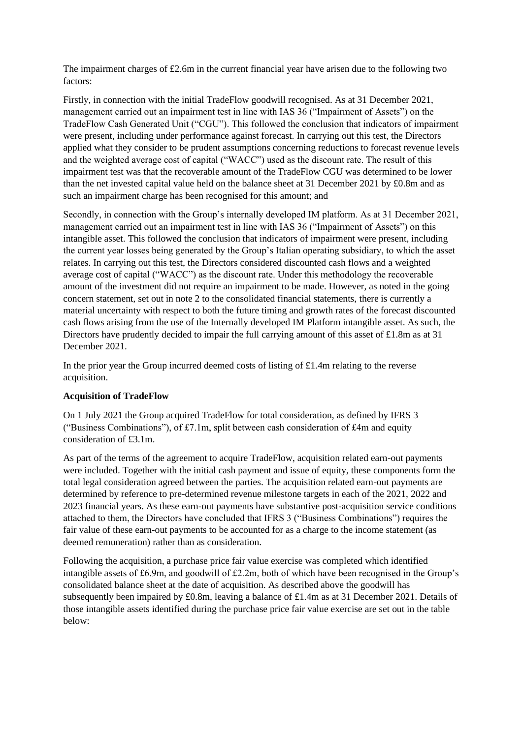The impairment charges of  $\text{\pounds}2.6m$  in the current financial year have arisen due to the following two factors:

Firstly, in connection with the initial TradeFlow goodwill recognised. As at 31 December 2021, management carried out an impairment test in line with IAS 36 ("Impairment of Assets") on the TradeFlow Cash Generated Unit ("CGU"). This followed the conclusion that indicators of impairment were present, including under performance against forecast. In carrying out this test, the Directors applied what they consider to be prudent assumptions concerning reductions to forecast revenue levels and the weighted average cost of capital ("WACC") used as the discount rate. The result of this impairment test was that the recoverable amount of the TradeFlow CGU was determined to be lower than the net invested capital value held on the balance sheet at 31 December 2021 by £0.8m and as such an impairment charge has been recognised for this amount; and

Secondly, in connection with the Group's internally developed IM platform. As at 31 December 2021, management carried out an impairment test in line with IAS 36 ("Impairment of Assets") on this intangible asset. This followed the conclusion that indicators of impairment were present, including the current year losses being generated by the Group's Italian operating subsidiary, to which the asset relates. In carrying out this test, the Directors considered discounted cash flows and a weighted average cost of capital ("WACC") as the discount rate. Under this methodology the recoverable amount of the investment did not require an impairment to be made. However, as noted in the going concern statement, set out in note 2 to the consolidated financial statements, there is currently a material uncertainty with respect to both the future timing and growth rates of the forecast discounted cash flows arising from the use of the Internally developed IM Platform intangible asset. As such, the Directors have prudently decided to impair the full carrying amount of this asset of £1.8m as at 31 December 2021.

In the prior year the Group incurred deemed costs of listing of £1.4m relating to the reverse acquisition.

## **Acquisition of TradeFlow**

On 1 July 2021 the Group acquired TradeFlow for total consideration, as defined by IFRS 3 ("Business Combinations"), of £7.1m, split between cash consideration of  $\text{\pounds}4m$  and equity consideration of £3.1m.

As part of the terms of the agreement to acquire TradeFlow, acquisition related earn-out payments were included. Together with the initial cash payment and issue of equity, these components form the total legal consideration agreed between the parties. The acquisition related earn-out payments are determined by reference to pre-determined revenue milestone targets in each of the 2021, 2022 and 2023 financial years. As these earn-out payments have substantive post-acquisition service conditions attached to them, the Directors have concluded that IFRS 3 ("Business Combinations") requires the fair value of these earn-out payments to be accounted for as a charge to the income statement (as deemed remuneration) rather than as consideration.

Following the acquisition, a purchase price fair value exercise was completed which identified intangible assets of £6.9m, and goodwill of £2.2m, both of which have been recognised in the Group's consolidated balance sheet at the date of acquisition. As described above the goodwill has subsequently been impaired by £0.8m, leaving a balance of £1.4m as at 31 December 2021. Details of those intangible assets identified during the purchase price fair value exercise are set out in the table below: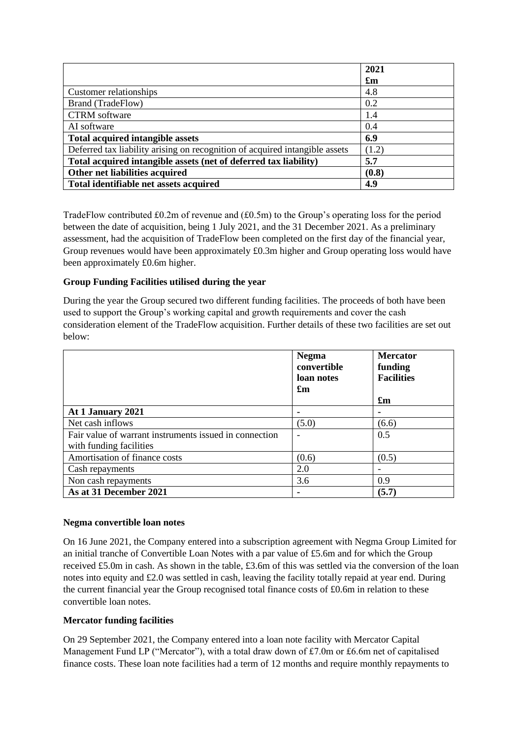|                                                                             | 2021                      |
|-----------------------------------------------------------------------------|---------------------------|
|                                                                             | $\mathbf{f}_{\mathbf{m}}$ |
| Customer relationships                                                      | 4.8                       |
| <b>Brand (TradeFlow)</b>                                                    | 0.2                       |
| <b>CTRM</b> software                                                        | 1.4                       |
| AI software                                                                 | 0.4                       |
| <b>Total acquired intangible assets</b>                                     | 6.9                       |
| Deferred tax liability arising on recognition of acquired intangible assets | (1.2)                     |
| Total acquired intangible assets (net of deferred tax liability)            | 5.7                       |
| Other net liabilities acquired                                              | (0.8)                     |
| Total identifiable net assets acquired                                      | 4.9                       |

TradeFlow contributed £0.2m of revenue and (£0.5m) to the Group's operating loss for the period between the date of acquisition, being 1 July 2021, and the 31 December 2021. As a preliminary assessment, had the acquisition of TradeFlow been completed on the first day of the financial year, Group revenues would have been approximately £0.3m higher and Group operating loss would have been approximately £0.6m higher.

## **Group Funding Facilities utilised during the year**

During the year the Group secured two different funding facilities. The proceeds of both have been used to support the Group's working capital and growth requirements and cover the cash consideration element of the TradeFlow acquisition. Further details of these two facilities are set out below:

|                                                                                   | <b>Negma</b><br>convertible<br>loan notes<br>$\mathbf{f}_{\mathbf{m}}$ | <b>Mercator</b><br>funding<br><b>Facilities</b><br>$\mathbf{f}_{\mathbf{m}}$ |
|-----------------------------------------------------------------------------------|------------------------------------------------------------------------|------------------------------------------------------------------------------|
| At 1 January 2021                                                                 | -                                                                      |                                                                              |
| Net cash inflows                                                                  | (5.0)                                                                  | (6.6)                                                                        |
| Fair value of warrant instruments issued in connection<br>with funding facilities |                                                                        | 0.5                                                                          |
| Amortisation of finance costs                                                     | (0.6)                                                                  | (0.5)                                                                        |
| Cash repayments                                                                   | 2.0                                                                    |                                                                              |
| Non cash repayments                                                               | 3.6                                                                    | 0.9                                                                          |
| As at 31 December 2021                                                            |                                                                        | (5.7)                                                                        |

## **Negma convertible loan notes**

On 16 June 2021, the Company entered into a subscription agreement with Negma Group Limited for an initial tranche of Convertible Loan Notes with a par value of £5.6m and for which the Group received £5.0m in cash. As shown in the table, £3.6m of this was settled via the conversion of the loan notes into equity and £2.0 was settled in cash, leaving the facility totally repaid at year end. During the current financial year the Group recognised total finance costs of £0.6m in relation to these convertible loan notes.

## **Mercator funding facilities**

On 29 September 2021, the Company entered into a loan note facility with Mercator Capital Management Fund LP ("Mercator"), with a total draw down of £7.0m or £6.6m net of capitalised finance costs. These loan note facilities had a term of 12 months and require monthly repayments to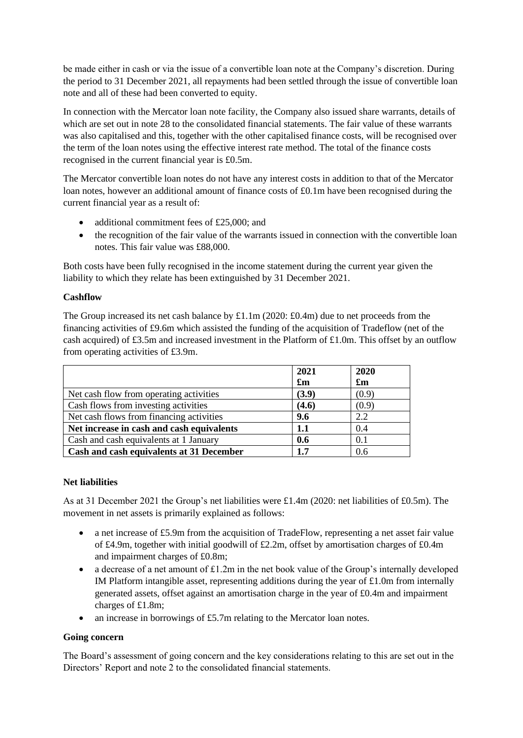be made either in cash or via the issue of a convertible loan note at the Company's discretion. During the period to 31 December 2021, all repayments had been settled through the issue of convertible loan note and all of these had been converted to equity.

In connection with the Mercator loan note facility, the Company also issued share warrants, details of which are set out in note 28 to the consolidated financial statements. The fair value of these warrants was also capitalised and this, together with the other capitalised finance costs, will be recognised over the term of the loan notes using the effective interest rate method. The total of the finance costs recognised in the current financial year is £0.5m.

The Mercator convertible loan notes do not have any interest costs in addition to that of the Mercator loan notes, however an additional amount of finance costs of £0.1m have been recognised during the current financial year as a result of:

- additional commitment fees of £25,000; and
- the recognition of the fair value of the warrants issued in connection with the convertible loan notes. This fair value was £88,000.

Both costs have been fully recognised in the income statement during the current year given the liability to which they relate has been extinguished by 31 December 2021.

## **Cashflow**

The Group increased its net cash balance by £1.1m (2020: £0.4m) due to net proceeds from the financing activities of £9.6m which assisted the funding of the acquisition of Tradeflow (net of the cash acquired) of £3.5m and increased investment in the Platform of £1.0m. This offset by an outflow from operating activities of £3.9m.

|                                           | 2021                      | 2020                      |
|-------------------------------------------|---------------------------|---------------------------|
|                                           | $\mathbf{f}_{\mathbf{m}}$ | $\mathbf{f}_{\mathbf{m}}$ |
| Net cash flow from operating activities   | (3.9)                     | (0.9)                     |
| Cash flows from investing activities      | (4.6)                     | (0.9)                     |
| Net cash flows from financing activities  | 9.6                       | 2.2                       |
| Net increase in cash and cash equivalents | 1.1                       | 0.4                       |
| Cash and cash equivalents at 1 January    | 0.6                       | 0.1                       |
| Cash and cash equivalents at 31 December  | $1.7\,$                   | 0.6                       |

## **Net liabilities**

As at 31 December 2021 the Group's net liabilities were £1.4m (2020: net liabilities of £0.5m). The movement in net assets is primarily explained as follows:

- a net increase of £5.9m from the acquisition of TradeFlow, representing a net asset fair value of £4.9m, together with initial goodwill of £2.2m, offset by amortisation charges of £0.4m and impairment charges of £0.8m;
- a decrease of a net amount of £1.2m in the net book value of the Group's internally developed IM Platform intangible asset, representing additions during the year of  $£1.0m$  from internally generated assets, offset against an amortisation charge in the year of £0.4m and impairment charges of £1.8m;
- an increase in borrowings of £5.7m relating to the Mercator loan notes.

## **Going concern**

The Board's assessment of going concern and the key considerations relating to this are set out in the Directors' Report and note 2 to the consolidated financial statements.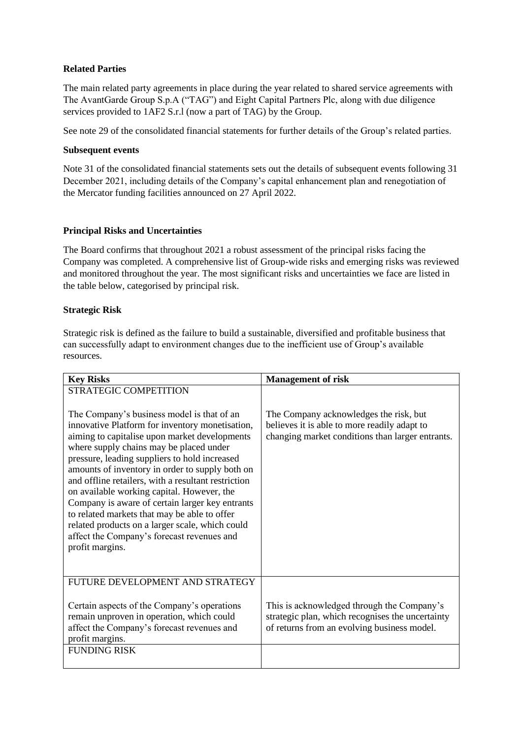## **Related Parties**

The main related party agreements in place during the year related to shared service agreements with The AvantGarde Group S.p.A ("TAG") and Eight Capital Partners Plc, along with due diligence services provided to 1AF2 S.r.l (now a part of TAG) by the Group.

See note 29 of the consolidated financial statements for further details of the Group's related parties.

#### **Subsequent events**

Note 31 of the consolidated financial statements sets out the details of subsequent events following 31 December 2021, including details of the Company's capital enhancement plan and renegotiation of the Mercator funding facilities announced on 27 April 2022.

## **Principal Risks and Uncertainties**

The Board confirms that throughout 2021 a robust assessment of the principal risks facing the Company was completed. A comprehensive list of Group-wide risks and emerging risks was reviewed and monitored throughout the year. The most significant risks and uncertainties we face are listed in the table below, categorised by principal risk.

## **Strategic Risk**

Strategic risk is defined as the failure to build a sustainable, diversified and profitable business that can successfully adapt to environment changes due to the inefficient use of Group's available resources.

| <b>Key Risks</b>                                                                                                                                                                                                                                                                                                                                                                                                                                                                                                                                                                                                          | <b>Management of risk</b>                                                                                                                     |
|---------------------------------------------------------------------------------------------------------------------------------------------------------------------------------------------------------------------------------------------------------------------------------------------------------------------------------------------------------------------------------------------------------------------------------------------------------------------------------------------------------------------------------------------------------------------------------------------------------------------------|-----------------------------------------------------------------------------------------------------------------------------------------------|
| <b>STRATEGIC COMPETITION</b>                                                                                                                                                                                                                                                                                                                                                                                                                                                                                                                                                                                              |                                                                                                                                               |
| The Company's business model is that of an<br>innovative Platform for inventory monetisation,<br>aiming to capitalise upon market developments<br>where supply chains may be placed under<br>pressure, leading suppliers to hold increased<br>amounts of inventory in order to supply both on<br>and offline retailers, with a resultant restriction<br>on available working capital. However, the<br>Company is aware of certain larger key entrants<br>to related markets that may be able to offer<br>related products on a larger scale, which could<br>affect the Company's forecast revenues and<br>profit margins. | The Company acknowledges the risk, but<br>believes it is able to more readily adapt to<br>changing market conditions than larger entrants.    |
| FUTURE DEVELOPMENT AND STRATEGY                                                                                                                                                                                                                                                                                                                                                                                                                                                                                                                                                                                           |                                                                                                                                               |
| Certain aspects of the Company's operations<br>remain unproven in operation, which could<br>affect the Company's forecast revenues and<br>profit margins.                                                                                                                                                                                                                                                                                                                                                                                                                                                                 | This is acknowledged through the Company's<br>strategic plan, which recognises the uncertainty<br>of returns from an evolving business model. |
| <b>FUNDING RISK</b>                                                                                                                                                                                                                                                                                                                                                                                                                                                                                                                                                                                                       |                                                                                                                                               |
|                                                                                                                                                                                                                                                                                                                                                                                                                                                                                                                                                                                                                           |                                                                                                                                               |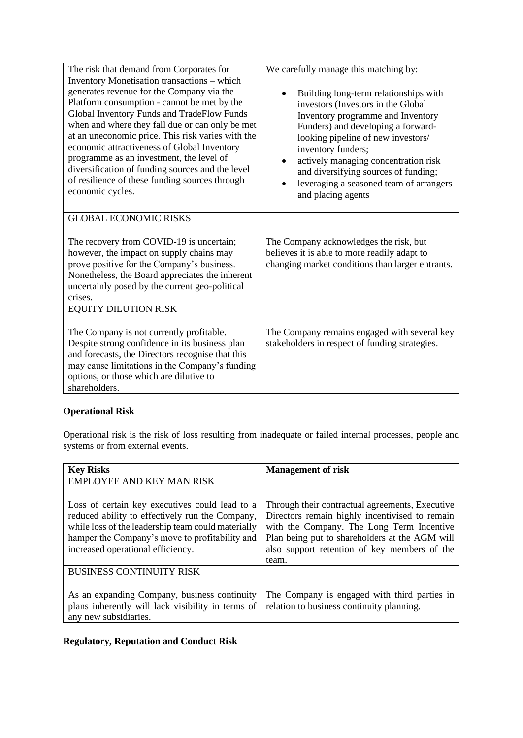| The risk that demand from Corporates for<br>Inventory Monetisation transactions - which<br>generates revenue for the Company via the<br>Platform consumption - cannot be met by the<br>Global Inventory Funds and TradeFlow Funds<br>when and where they fall due or can only be met<br>at an uneconomic price. This risk varies with the<br>economic attractiveness of Global Inventory<br>programme as an investment, the level of<br>diversification of funding sources and the level<br>of resilience of these funding sources through<br>economic cycles. | We carefully manage this matching by:<br>Building long-term relationships with<br>investors (Investors in the Global<br>Inventory programme and Inventory<br>Funders) and developing a forward-<br>looking pipeline of new investors/<br>inventory funders;<br>actively managing concentration risk<br>and diversifying sources of funding;<br>leveraging a seasoned team of arrangers<br>and placing agents |
|----------------------------------------------------------------------------------------------------------------------------------------------------------------------------------------------------------------------------------------------------------------------------------------------------------------------------------------------------------------------------------------------------------------------------------------------------------------------------------------------------------------------------------------------------------------|--------------------------------------------------------------------------------------------------------------------------------------------------------------------------------------------------------------------------------------------------------------------------------------------------------------------------------------------------------------------------------------------------------------|
| <b>GLOBAL ECONOMIC RISKS</b><br>The recovery from COVID-19 is uncertain;<br>however, the impact on supply chains may<br>prove positive for the Company's business.<br>Nonetheless, the Board appreciates the inherent<br>uncertainly posed by the current geo-political<br>crises.                                                                                                                                                                                                                                                                             | The Company acknowledges the risk, but<br>believes it is able to more readily adapt to<br>changing market conditions than larger entrants.                                                                                                                                                                                                                                                                   |
| <b>EQUITY DILUTION RISK</b><br>The Company is not currently profitable.<br>Despite strong confidence in its business plan<br>and forecasts, the Directors recognise that this<br>may cause limitations in the Company's funding<br>options, or those which are dilutive to<br>shareholders.                                                                                                                                                                                                                                                                    | The Company remains engaged with several key<br>stakeholders in respect of funding strategies.                                                                                                                                                                                                                                                                                                               |

## **Operational Risk**

Operational risk is the risk of loss resulting from inadequate or failed internal processes, people and systems or from external events.

| <b>Key Risks</b>                                                                                                                                                                                                                               | <b>Management of risk</b>                                                                                                                                                                                                                                 |
|------------------------------------------------------------------------------------------------------------------------------------------------------------------------------------------------------------------------------------------------|-----------------------------------------------------------------------------------------------------------------------------------------------------------------------------------------------------------------------------------------------------------|
| <b>EMPLOYEE AND KEY MAN RISK</b>                                                                                                                                                                                                               |                                                                                                                                                                                                                                                           |
| Loss of certain key executives could lead to a<br>reduced ability to effectively run the Company,<br>while loss of the leadership team could materially<br>hamper the Company's move to profitability and<br>increased operational efficiency. | Through their contractual agreements, Executive<br>Directors remain highly incentivised to remain<br>with the Company. The Long Term Incentive<br>Plan being put to shareholders at the AGM will<br>also support retention of key members of the<br>team. |
| <b>BUSINESS CONTINUITY RISK</b>                                                                                                                                                                                                                |                                                                                                                                                                                                                                                           |
| As an expanding Company, business continuity<br>plans inherently will lack visibility in terms of<br>any new subsidiaries.                                                                                                                     | The Company is engaged with third parties in<br>relation to business continuity planning.                                                                                                                                                                 |

## **Regulatory, Reputation and Conduct Risk**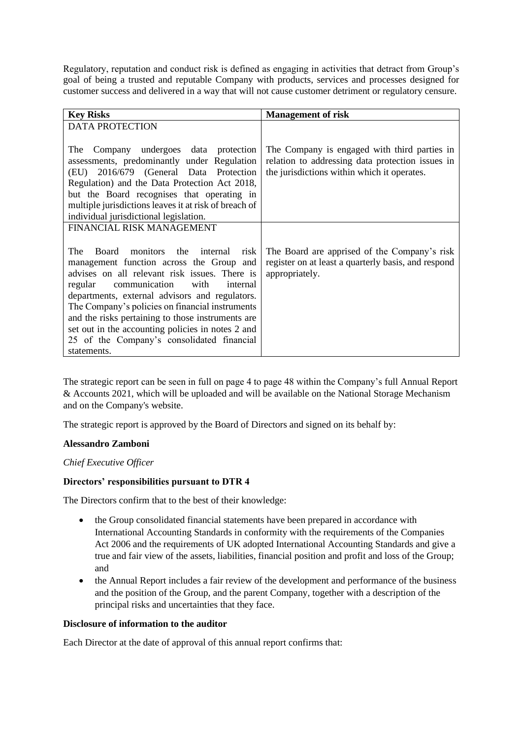Regulatory, reputation and conduct risk is defined as engaging in activities that detract from Group's goal of being a trusted and reputable Company with products, services and processes designed for customer success and delivered in a way that will not cause customer detriment or regulatory censure.

| <b>Key Risks</b>                                                                                                                                                                                                                                                                                                                                                                                                                                                              | <b>Management of risk</b>                                                                                                                       |
|-------------------------------------------------------------------------------------------------------------------------------------------------------------------------------------------------------------------------------------------------------------------------------------------------------------------------------------------------------------------------------------------------------------------------------------------------------------------------------|-------------------------------------------------------------------------------------------------------------------------------------------------|
| <b>DATA PROTECTION</b>                                                                                                                                                                                                                                                                                                                                                                                                                                                        |                                                                                                                                                 |
| Company undergoes data protection<br>The<br>assessments, predominantly under Regulation<br>(EU) 2016/679 (General Data Protection<br>Regulation) and the Data Protection Act 2018,<br>but the Board recognises that operating in<br>multiple jurisdictions leaves it at risk of breach of<br>individual jurisdictional legislation.                                                                                                                                           | The Company is engaged with third parties in<br>relation to addressing data protection issues in<br>the jurisdictions within which it operates. |
| FINANCIAL RISK MANAGEMENT                                                                                                                                                                                                                                                                                                                                                                                                                                                     |                                                                                                                                                 |
| monitors<br>the internal risk<br>The<br><b>Board</b><br>management function across the Group and<br>advises on all relevant risk issues. There is<br>regular<br>communication<br>with<br>internal<br>departments, external advisors and regulators.<br>The Company's policies on financial instruments<br>and the risks pertaining to those instruments are<br>set out in the accounting policies in notes 2 and<br>25 of the Company's consolidated financial<br>statements. | The Board are apprised of the Company's risk<br>register on at least a quarterly basis, and respond<br>appropriately.                           |

The strategic report can be seen in full on page 4 to page 48 within the Company's full Annual Report & Accounts 2021, which will be uploaded and will be available on the National Storage Mechanism and on the Company's website.

The strategic report is approved by the Board of Directors and signed on its behalf by:

#### **Alessandro Zamboni**

*Chief Executive Officer*

## **Directors' responsibilities pursuant to DTR 4**

The Directors confirm that to the best of their knowledge:

- the Group consolidated financial statements have been prepared in accordance with International Accounting Standards in conformity with the requirements of the Companies Act 2006 and the requirements of UK adopted International Accounting Standards and give a true and fair view of the assets, liabilities, financial position and profit and loss of the Group; and
- the Annual Report includes a fair review of the development and performance of the business and the position of the Group, and the parent Company, together with a description of the principal risks and uncertainties that they face.

#### **Disclosure of information to the auditor**

Each Director at the date of approval of this annual report confirms that: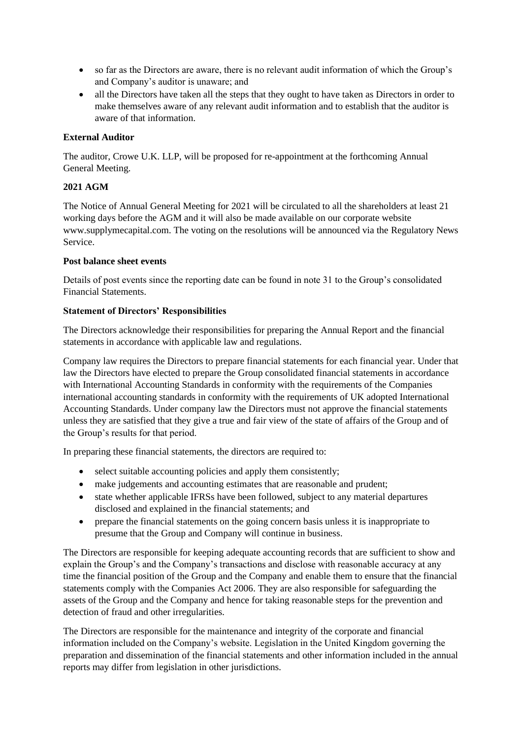- so far as the Directors are aware, there is no relevant audit information of which the Group's and Company's auditor is unaware; and
- all the Directors have taken all the steps that they ought to have taken as Directors in order to make themselves aware of any relevant audit information and to establish that the auditor is aware of that information.

## **External Auditor**

The auditor, Crowe U.K. LLP, will be proposed for re-appointment at the forthcoming Annual General Meeting.

#### **2021 AGM**

The Notice of Annual General Meeting for 2021 will be circulated to all the shareholders at least 21 working days before the AGM and it will also be made available on our corporate website www.supplymecapital.com. The voting on the resolutions will be announced via the Regulatory News Service.

#### **Post balance sheet events**

Details of post events since the reporting date can be found in note 31 to the Group's consolidated Financial Statements.

#### **Statement of Directors' Responsibilities**

The Directors acknowledge their responsibilities for preparing the Annual Report and the financial statements in accordance with applicable law and regulations.

Company law requires the Directors to prepare financial statements for each financial year. Under that law the Directors have elected to prepare the Group consolidated financial statements in accordance with International Accounting Standards in conformity with the requirements of the Companies international accounting standards in conformity with the requirements of UK adopted International Accounting Standards. Under company law the Directors must not approve the financial statements unless they are satisfied that they give a true and fair view of the state of affairs of the Group and of the Group's results for that period.

In preparing these financial statements, the directors are required to:

- select suitable accounting policies and apply them consistently;
- make judgements and accounting estimates that are reasonable and prudent;
- state whether applicable IFRSs have been followed, subject to any material departures disclosed and explained in the financial statements; and
- prepare the financial statements on the going concern basis unless it is inappropriate to presume that the Group and Company will continue in business.

The Directors are responsible for keeping adequate accounting records that are sufficient to show and explain the Group's and the Company's transactions and disclose with reasonable accuracy at any time the financial position of the Group and the Company and enable them to ensure that the financial statements comply with the Companies Act 2006. They are also responsible for safeguarding the assets of the Group and the Company and hence for taking reasonable steps for the prevention and detection of fraud and other irregularities.

The Directors are responsible for the maintenance and integrity of the corporate and financial information included on the Company's website. Legislation in the United Kingdom governing the preparation and dissemination of the financial statements and other information included in the annual reports may differ from legislation in other jurisdictions.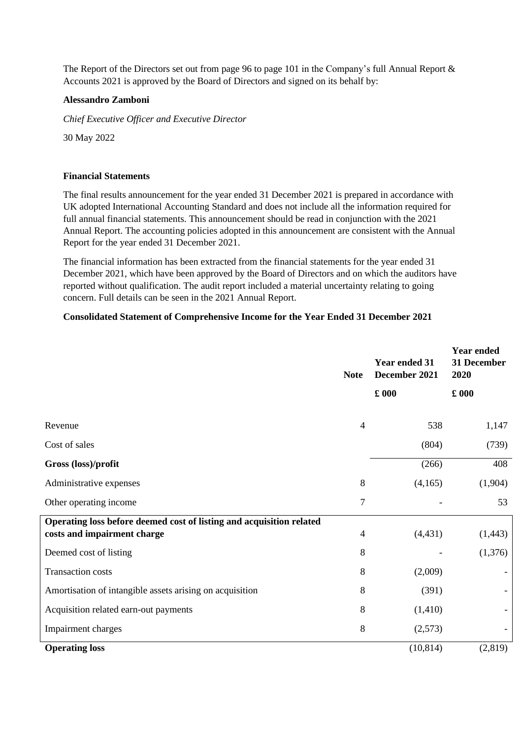The Report of the Directors set out from page 96 to page 101 in the Company's full Annual Report  $\&$ Accounts 2021 is approved by the Board of Directors and signed on its behalf by:

#### **Alessandro Zamboni**

*Chief Executive Officer and Executive Director*

30 May 2022

#### **Financial Statements**

The final results announcement for the year ended 31 December 2021 is prepared in accordance with UK adopted International Accounting Standard and does not include all the information required for full annual financial statements. This announcement should be read in conjunction with the 2021 Annual Report. The accounting policies adopted in this announcement are consistent with the Annual Report for the year ended 31 December 2021.

The financial information has been extracted from the financial statements for the year ended 31 December 2021, which have been approved by the Board of Directors and on which the auditors have reported without qualification. The audit report included a material uncertainty relating to going concern. Full details can be seen in the 2021 Annual Report.

## **Consolidated Statement of Comprehensive Income for the Year Ended 31 December 2021**

|                                                                                                     | <b>Note</b>    | <b>Year ended 31</b><br>December 2021 | <b>Year ended</b><br>31 December<br>2020 |  |
|-----------------------------------------------------------------------------------------------------|----------------|---------------------------------------|------------------------------------------|--|
|                                                                                                     |                | $\pounds$ 000                         | $\pounds$ 000                            |  |
| Revenue                                                                                             | $\overline{4}$ | 538                                   | 1,147                                    |  |
| Cost of sales                                                                                       |                | (804)                                 | (739)                                    |  |
| Gross (loss)/profit                                                                                 |                | (266)                                 | 408                                      |  |
| Administrative expenses                                                                             | 8              | (4,165)                               | (1,904)                                  |  |
| Other operating income                                                                              | 7              |                                       | 53                                       |  |
| Operating loss before deemed cost of listing and acquisition related<br>costs and impairment charge | $\overline{4}$ | (4, 431)                              | (1,443)                                  |  |
| Deemed cost of listing                                                                              | 8              |                                       | (1,376)                                  |  |
| <b>Transaction costs</b>                                                                            | 8              | (2,009)                               |                                          |  |
| Amortisation of intangible assets arising on acquisition                                            | 8              | (391)                                 |                                          |  |
| Acquisition related earn-out payments                                                               | 8              | (1, 410)                              |                                          |  |
| Impairment charges                                                                                  | 8              | (2,573)                               |                                          |  |
| <b>Operating loss</b>                                                                               |                | (10, 814)                             | (2,819)                                  |  |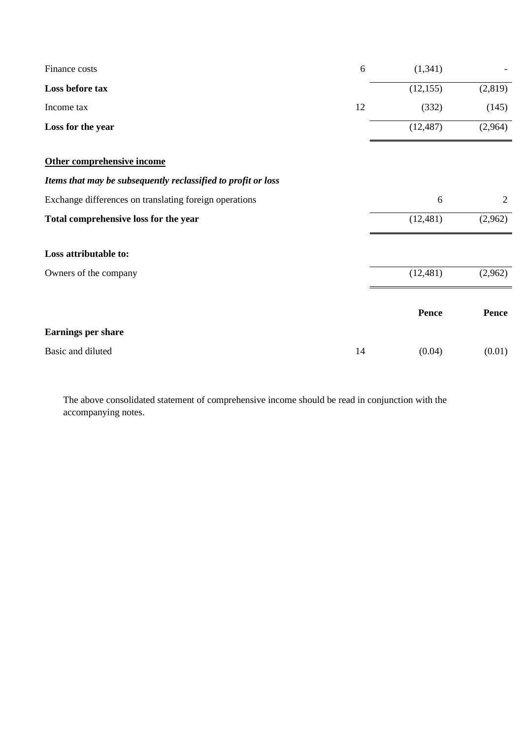| Finance costs                                                 | 6  | (1,341)   |         |
|---------------------------------------------------------------|----|-----------|---------|
| Loss before tax                                               |    | (12, 155) | (2,819) |
| Income tax                                                    | 12 | (332)     | (145)   |
| Loss for the year                                             |    | (12, 487) | (2,964) |
| Other comprehensive income                                    |    |           |         |
| Items that may be subsequently reclassified to profit or loss |    |           |         |
| Exchange differences on translating foreign operations        |    | 6         | 2       |
| Total comprehensive loss for the year                         |    | (12, 481) | (2,962) |
| Loss attributable to:                                         |    |           |         |
| Owners of the company                                         |    | (12, 481) | (2,962) |
|                                                               |    |           |         |
|                                                               |    | Pence     | Pence   |
| <b>Earnings per share</b>                                     |    |           |         |
| Basic and diluted                                             | 14 | (0.04)    | (0.01)  |

The above consolidated statement of comprehensive income should be read in conjunction with the accompanying notes.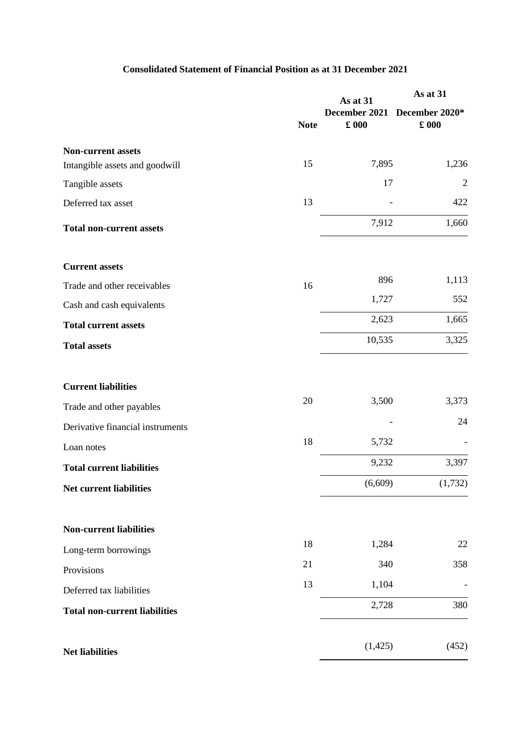## **Consolidated Statement of Financial Position as at 31 December 2021**

|                                      |             | As at 31      | As at 31                                      |  |  |
|--------------------------------------|-------------|---------------|-----------------------------------------------|--|--|
|                                      | <b>Note</b> | $\pounds$ 000 | December 2021 December 2020*<br>$\pounds$ 000 |  |  |
| <b>Non-current assets</b>            |             |               |                                               |  |  |
| Intangible assets and goodwill       | 15          | 7,895         | 1,236                                         |  |  |
| Tangible assets                      |             | 17            | $\mathbf{2}$                                  |  |  |
| Deferred tax asset                   | 13          |               | 422                                           |  |  |
| <b>Total non-current assets</b>      |             | 7,912         | 1,660                                         |  |  |
| <b>Current assets</b>                |             |               |                                               |  |  |
| Trade and other receivables          | 16          | 896           | 1,113                                         |  |  |
| Cash and cash equivalents            |             | 1,727         | 552                                           |  |  |
| <b>Total current assets</b>          |             | 2,623         | 1,665                                         |  |  |
| <b>Total assets</b>                  |             | 10,535        | 3,325                                         |  |  |
| <b>Current liabilities</b>           |             |               |                                               |  |  |
| Trade and other payables             | 20          | 3,500         | 3,373                                         |  |  |
| Derivative financial instruments     |             |               | 24                                            |  |  |
| Loan notes                           | 18          | 5,732         |                                               |  |  |
| <b>Total current liabilities</b>     |             | 9,232         | 3,397                                         |  |  |
| <b>Net current liabilities</b>       |             | (6,609)       | (1,732)                                       |  |  |
| <b>Non-current liabilities</b>       |             |               |                                               |  |  |
| Long-term borrowings                 | 18          | 1,284         | 22                                            |  |  |
| Provisions                           | 21          | 340           | 358                                           |  |  |
| Deferred tax liabilities             | 13          | 1,104         |                                               |  |  |
| <b>Total non-current liabilities</b> |             | 2,728         | 380                                           |  |  |
| <b>Net liabilities</b>               |             | (1, 425)      | (452)                                         |  |  |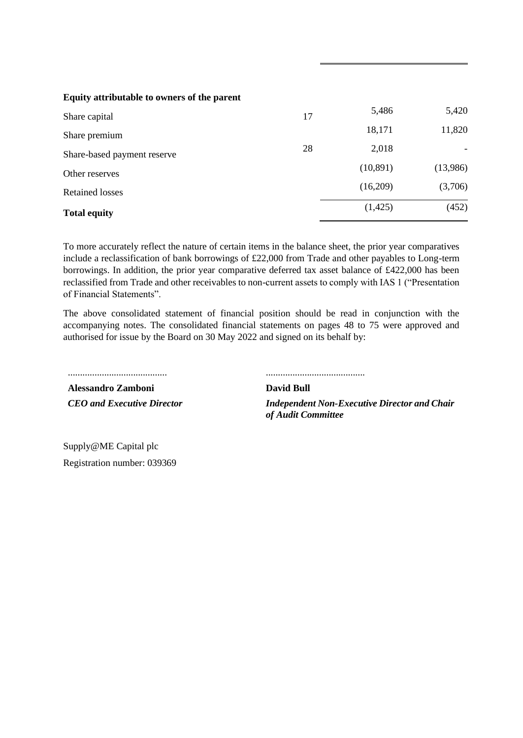#### **Equity attributable to owners of the parent**

| Share capital               | 17 | 5,486     | 5,420    |
|-----------------------------|----|-----------|----------|
| Share premium               |    | 18,171    | 11,820   |
| Share-based payment reserve | 28 | 2,018     |          |
| Other reserves              |    | (10, 891) | (13,986) |
| <b>Retained losses</b>      |    | (16,209)  | (3,706)  |
| <b>Total equity</b>         |    | (1,425)   | (452)    |

To more accurately reflect the nature of certain items in the balance sheet, the prior year comparatives include a reclassification of bank borrowings of £22,000 from Trade and other payables to Long-term borrowings. In addition, the prior year comparative deferred tax asset balance of £422,000 has been reclassified from Trade and other receivables to non-current assets to comply with IAS 1 ("Presentation of Financial Statements".

The above consolidated statement of financial position should be read in conjunction with the accompanying notes. The consolidated financial statements on pages 48 to 75 were approved and authorised for issue by the Board on 30 May 2022 and signed on its behalf by:

......................................... **Alessandro Zamboni** *CEO and Executive Director* .........................................

**David Bull**

*Independent Non-Executive Director and Chair of Audit Committee*

Supply@ME Capital plc Registration number: 039369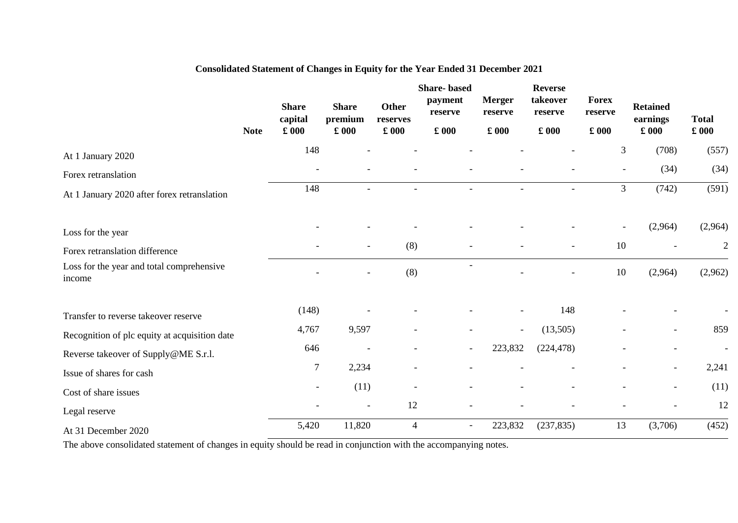|                                                     | <b>Note</b> | <b>Share</b><br>capital<br>$\pounds$ 000 | <b>Share</b><br>premium<br>$\pounds 000$ | Other<br>reserves<br>$\pounds 000$ | <b>Share-based</b><br>payment<br>reserve<br>$\pounds$ 000 | <b>Merger</b><br>reserve<br>$\pounds$ 000 | <b>Reverse</b><br>takeover<br>reserve<br>$\pounds$ 000 | <b>Forex</b><br>reserve<br>$\pounds$ 000 | <b>Retained</b><br>earnings<br>$\pmb{\pounds}$ 000 | <b>Total</b><br>$\pmb{\pounds}$ 000 |
|-----------------------------------------------------|-------------|------------------------------------------|------------------------------------------|------------------------------------|-----------------------------------------------------------|-------------------------------------------|--------------------------------------------------------|------------------------------------------|----------------------------------------------------|-------------------------------------|
| At 1 January 2020                                   |             | 148                                      |                                          |                                    |                                                           |                                           |                                                        | 3                                        | (708)                                              | (557)                               |
| Forex retranslation                                 |             |                                          |                                          |                                    |                                                           |                                           |                                                        |                                          | (34)                                               | (34)                                |
| At 1 January 2020 after forex retranslation         |             | 148                                      |                                          | $\overline{a}$                     |                                                           |                                           | $\overline{a}$                                         | $\overline{3}$                           | (742)                                              | (591)                               |
| Loss for the year                                   |             |                                          |                                          |                                    |                                                           |                                           |                                                        | $\overline{\phantom{a}}$                 | (2,964)                                            | (2,964)                             |
| Forex retranslation difference                      |             |                                          | $\overline{\phantom{a}}$                 | (8)                                |                                                           |                                           |                                                        | 10                                       |                                                    | 2                                   |
| Loss for the year and total comprehensive<br>income |             |                                          |                                          | (8)                                | $\overline{\phantom{a}}$                                  |                                           |                                                        | 10                                       | (2,964)                                            | (2,962)                             |
| Transfer to reverse takeover reserve                |             | (148)                                    |                                          |                                    |                                                           |                                           | 148                                                    |                                          |                                                    |                                     |
| Recognition of plc equity at acquisition date       |             | 4,767                                    | 9,597                                    |                                    |                                                           |                                           | (13,505)                                               |                                          |                                                    | 859                                 |
| Reverse takeover of Supply@ME S.r.l.                |             | 646                                      |                                          |                                    | $\overline{\phantom{a}}$                                  | 223,832                                   | (224, 478)                                             |                                          |                                                    |                                     |
| Issue of shares for cash                            |             | 7                                        | 2,234                                    |                                    |                                                           |                                           |                                                        |                                          | $\blacksquare$                                     | 2,241                               |
| Cost of share issues                                |             | $\overline{\phantom{a}}$                 | (11)                                     |                                    |                                                           |                                           |                                                        |                                          |                                                    | (11)                                |
| Legal reserve                                       |             |                                          | $\overline{\phantom{a}}$                 | 12                                 |                                                           |                                           |                                                        |                                          |                                                    | 12                                  |
| At 31 December 2020                                 |             | 5,420                                    | 11,820                                   | $\overline{4}$                     | $\overline{\phantom{a}}$                                  | 223,832                                   | (237, 835)                                             | 13                                       | (3,706)                                            | (452)                               |

## **Consolidated Statement of Changes in Equity for the Year Ended 31 December 2021**

The above consolidated statement of changes in equity should be read in conjunction with the accompanying notes.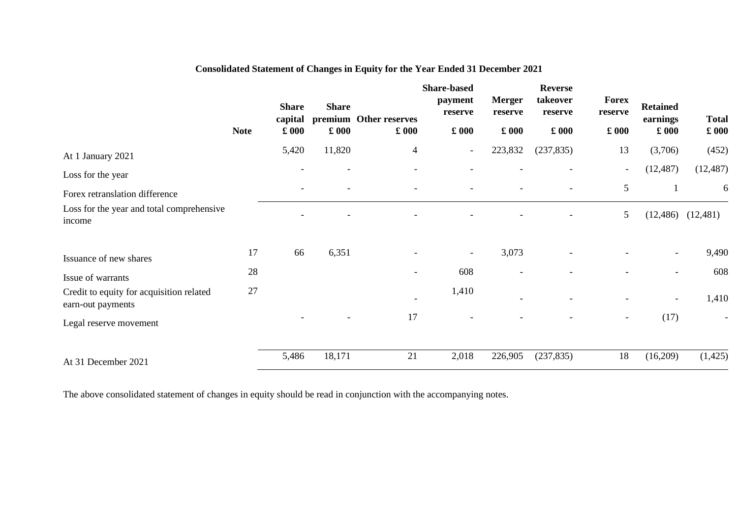## **Consolidated Statement of Changes in Equity for the Year Ended 31 December 2021**

|                                                               | <b>Note</b> | <b>Share</b><br>capital<br>$\pounds$ 000 | <b>Share</b><br>$\pounds 000$ | premium Other reserves<br>$\pounds$ 000 | <b>Share-based</b><br>payment<br>reserve<br>$\pounds$ 000 | <b>Merger</b><br>reserve<br>$\pounds 000$ | <b>Reverse</b><br>takeover<br>reserve<br>$\pounds 000$ | <b>Forex</b><br>reserve<br>$\pounds$ 000 | <b>Retained</b><br>earnings<br>$\pounds$ 000 | <b>Total</b><br>$\pounds$ 000 |
|---------------------------------------------------------------|-------------|------------------------------------------|-------------------------------|-----------------------------------------|-----------------------------------------------------------|-------------------------------------------|--------------------------------------------------------|------------------------------------------|----------------------------------------------|-------------------------------|
| At 1 January 2021                                             |             | 5,420                                    | 11,820                        | $\overline{4}$                          | $\overline{\phantom{a}}$                                  | 223,832                                   | (237, 835)                                             | 13                                       | (3,706)                                      | (452)                         |
| Loss for the year                                             |             | $\overline{\phantom{a}}$                 | $\overline{\phantom{a}}$      | $\overline{\phantom{a}}$                |                                                           |                                           |                                                        | $\overline{\phantom{a}}$                 | (12, 487)                                    | (12, 487)                     |
| Forex retranslation difference                                |             |                                          |                               |                                         |                                                           |                                           |                                                        | 5                                        | -1                                           | 6                             |
| Loss for the year and total comprehensive<br>income           |             |                                          |                               |                                         |                                                           |                                           |                                                        | 5                                        | (12, 486)                                    | (12, 481)                     |
| Issuance of new shares                                        | 17          | 66                                       | 6,351                         |                                         | $\overline{\phantom{a}}$                                  | 3,073                                     |                                                        |                                          |                                              | 9,490                         |
| Issue of warrants                                             | 28          |                                          |                               |                                         | 608                                                       |                                           |                                                        |                                          |                                              | 608                           |
| Credit to equity for acquisition related<br>earn-out payments | 27          |                                          |                               |                                         | 1,410                                                     | $\overline{\phantom{a}}$                  |                                                        |                                          | $\overline{\phantom{a}}$                     | 1,410                         |
| Legal reserve movement                                        |             |                                          |                               | 17                                      |                                                           |                                           |                                                        | $\overline{\phantom{a}}$                 | (17)                                         | $\overline{\phantom{a}}$      |
| At 31 December 2021                                           |             | 5,486                                    | 18,171                        | 21                                      | 2,018                                                     | 226,905                                   | (237, 835)                                             | 18                                       | (16,209)                                     | (1, 425)                      |

The above consolidated statement of changes in equity should be read in conjunction with the accompanying notes.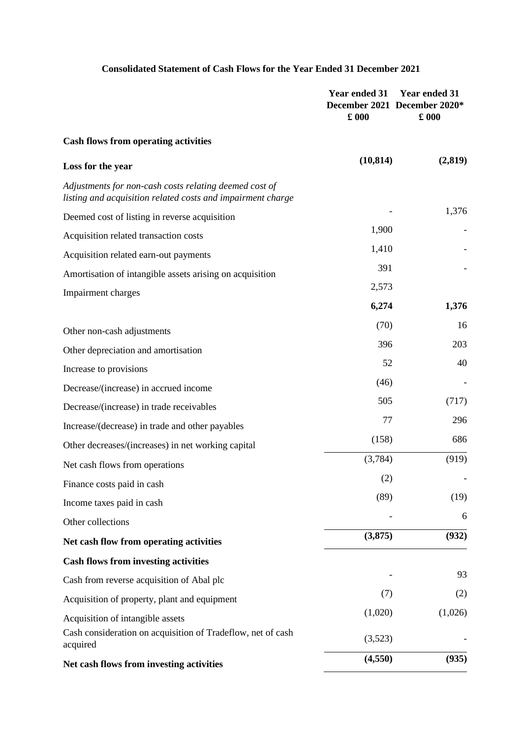## **Consolidated Statement of Cash Flows for the Year Ended 31 December 2021**

|                                                                                                                       | <b>Year ended 31</b><br>$\pounds$ 000 | <b>Year ended 31</b><br>December 2021 December 2020*<br>$\pounds$ 000 |
|-----------------------------------------------------------------------------------------------------------------------|---------------------------------------|-----------------------------------------------------------------------|
| <b>Cash flows from operating activities</b>                                                                           |                                       |                                                                       |
| Loss for the year                                                                                                     | (10, 814)                             | (2,819)                                                               |
| Adjustments for non-cash costs relating deemed cost of<br>listing and acquisition related costs and impairment charge |                                       |                                                                       |
| Deemed cost of listing in reverse acquisition                                                                         |                                       | 1,376                                                                 |
| Acquisition related transaction costs                                                                                 | 1,900                                 |                                                                       |
| Acquisition related earn-out payments                                                                                 | 1,410                                 |                                                                       |
| Amortisation of intangible assets arising on acquisition                                                              | 391                                   |                                                                       |
| Impairment charges                                                                                                    | 2,573                                 |                                                                       |
|                                                                                                                       | 6,274                                 | 1,376                                                                 |
| Other non-cash adjustments                                                                                            | (70)                                  | 16                                                                    |
| Other depreciation and amortisation                                                                                   | 396                                   | 203                                                                   |
| Increase to provisions                                                                                                | 52                                    | 40                                                                    |
| Decrease/(increase) in accrued income                                                                                 | (46)                                  |                                                                       |
| Decrease/(increase) in trade receivables                                                                              | 505                                   | (717)                                                                 |
| Increase/(decrease) in trade and other payables                                                                       | 77                                    | 296                                                                   |
| Other decreases/(increases) in net working capital                                                                    | (158)                                 | 686                                                                   |
| Net cash flows from operations                                                                                        | (3,784)                               | (919)                                                                 |
| Finance costs paid in cash                                                                                            | (2)                                   |                                                                       |
| Income taxes paid in cash                                                                                             | (89)                                  | (19)                                                                  |
| Other collections                                                                                                     |                                       | 6                                                                     |
| Net cash flow from operating activities                                                                               | (3,875)                               | (932)                                                                 |
| <b>Cash flows from investing activities</b>                                                                           |                                       |                                                                       |
| Cash from reverse acquisition of Abal plc                                                                             |                                       | 93                                                                    |
| Acquisition of property, plant and equipment                                                                          | (7)                                   | (2)                                                                   |
| Acquisition of intangible assets                                                                                      | (1,020)                               | (1,026)                                                               |
| Cash consideration on acquisition of Tradeflow, net of cash<br>acquired                                               | (3,523)                               |                                                                       |
| Net cash flows from investing activities                                                                              | (4,550)                               | (935)                                                                 |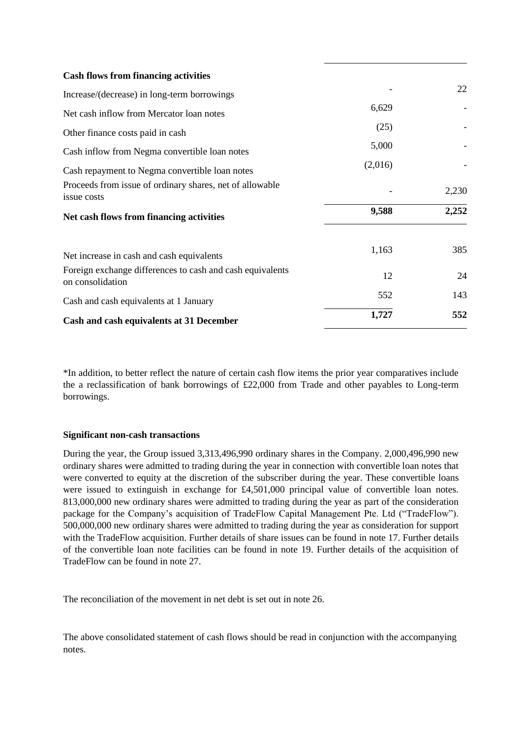| <b>Cash flows from financing activities</b>                                   |         |       |
|-------------------------------------------------------------------------------|---------|-------|
| Increase/(decrease) in long-term borrowings                                   |         | 22    |
| Net cash inflow from Mercator loan notes                                      | 6,629   |       |
| Other finance costs paid in cash                                              | (25)    |       |
| Cash inflow from Negma convertible loan notes                                 | 5,000   |       |
| Cash repayment to Negma convertible loan notes                                | (2,016) |       |
| Proceeds from issue of ordinary shares, net of allowable<br>issue costs       |         | 2,230 |
| Net cash flows from financing activities                                      | 9,588   | 2,252 |
| Net increase in cash and cash equivalents                                     | 1,163   | 385   |
| Foreign exchange differences to cash and cash equivalents<br>on consolidation | 12      | 24    |
| Cash and cash equivalents at 1 January                                        | 552     | 143   |
| Cash and cash equivalents at 31 December                                      | 1,727   | 552   |

\*In addition, to better reflect the nature of certain cash flow items the prior year comparatives include the a reclassification of bank borrowings of £22,000 from Trade and other payables to Long-term borrowings.

## **Significant non-cash transactions**

During the year, the Group issued 3,313,496,990 ordinary shares in the Company. 2,000,496,990 new ordinary shares were admitted to trading during the year in connection with convertible loan notes that were converted to equity at the discretion of the subscriber during the year. These convertible loans were issued to extinguish in exchange for £4,501,000 principal value of convertible loan notes. 813,000,000 new ordinary shares were admitted to trading during the year as part of the consideration package for the Company's acquisition of TradeFlow Capital Management Pte. Ltd ("TradeFlow"). 500,000,000 new ordinary shares were admitted to trading during the year as consideration for support with the TradeFlow acquisition. Further details of share issues can be found in note 17. Further details of the convertible loan note facilities can be found in note 19. Further details of the acquisition of TradeFlow can be found in note 27.

The reconciliation of the movement in net debt is set out in note 26.

The above consolidated statement of cash flows should be read in conjunction with the accompanying notes.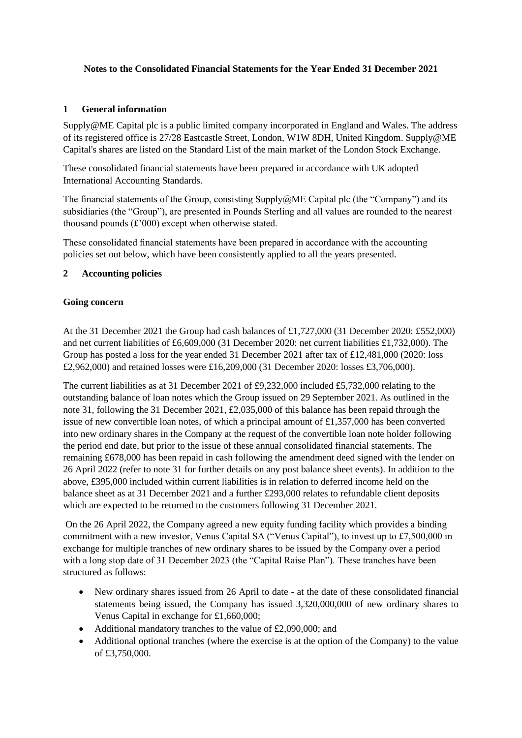#### **Notes to the Consolidated Financial Statements for the Year Ended 31 December 2021**

#### **1 General information**

Supply@ME Capital plc is a public limited company incorporated in England and Wales. The address of its registered office is 27/28 Eastcastle Street, London, W1W 8DH, United Kingdom. Supply@ME Capital's shares are listed on the Standard List of the main market of the London Stock Exchange.

These consolidated financial statements have been prepared in accordance with UK adopted International Accounting Standards.

The financial statements of the Group, consisting Supply $@$ ME Capital plc (the "Company") and its subsidiaries (the "Group"), are presented in Pounds Sterling and all values are rounded to the nearest thousand pounds  $(E'000)$  except when otherwise stated.

These consolidated financial statements have been prepared in accordance with the accounting policies set out below, which have been consistently applied to all the years presented.

#### **2 Accounting policies**

#### **Going concern**

At the 31 December 2021 the Group had cash balances of £1,727,000 (31 December 2020: £552,000) and net current liabilities of £6,609,000 (31 December 2020: net current liabilities £1,732,000). The Group has posted a loss for the year ended 31 December 2021 after tax of £12,481,000 (2020: loss £2,962,000) and retained losses were £16,209,000 (31 December 2020: losses £3,706,000).

The current liabilities as at 31 December 2021 of £9,232,000 included £5,732,000 relating to the outstanding balance of loan notes which the Group issued on 29 September 2021. As outlined in the note 31, following the 31 December 2021, £2,035,000 of this balance has been repaid through the issue of new convertible loan notes, of which a principal amount of  $£1,357,000$  has been converted into new ordinary shares in the Company at the request of the convertible loan note holder following the period end date, but prior to the issue of these annual consolidated financial statements. The remaining £678,000 has been repaid in cash following the amendment deed signed with the lender on 26 April 2022 (refer to note 31 for further details on any post balance sheet events). In addition to the above, £395,000 included within current liabilities is in relation to deferred income held on the balance sheet as at 31 December 2021 and a further £293,000 relates to refundable client deposits which are expected to be returned to the customers following 31 December 2021.

On the 26 April 2022, the Company agreed a new equity funding facility which provides a binding commitment with a new investor, Venus Capital SA ("Venus Capital"), to invest up to £7,500,000 in exchange for multiple tranches of new ordinary shares to be issued by the Company over a period with a long stop date of 31 December 2023 (the "Capital Raise Plan"). These tranches have been structured as follows:

- New ordinary shares issued from 26 April to date at the date of these consolidated financial statements being issued, the Company has issued 3,320,000,000 of new ordinary shares to Venus Capital in exchange for £1,660,000;
- Additional mandatory tranches to the value of £2,090,000; and
- Additional optional tranches (where the exercise is at the option of the Company) to the value of £3,750,000.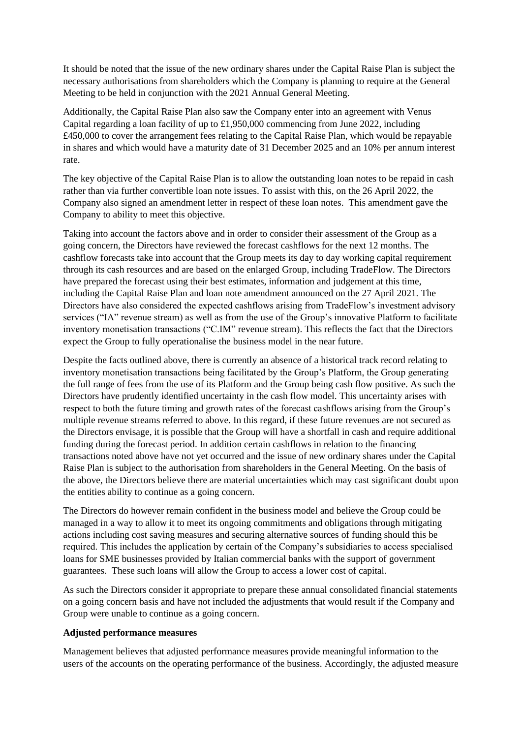It should be noted that the issue of the new ordinary shares under the Capital Raise Plan is subject the necessary authorisations from shareholders which the Company is planning to require at the General Meeting to be held in conjunction with the 2021 Annual General Meeting.

Additionally, the Capital Raise Plan also saw the Company enter into an agreement with Venus Capital regarding a loan facility of up to £1,950,000 commencing from June 2022, including £450,000 to cover the arrangement fees relating to the Capital Raise Plan, which would be repayable in shares and which would have a maturity date of 31 December 2025 and an 10% per annum interest rate.

The key objective of the Capital Raise Plan is to allow the outstanding loan notes to be repaid in cash rather than via further convertible loan note issues. To assist with this, on the 26 April 2022, the Company also signed an amendment letter in respect of these loan notes. This amendment gave the Company to ability to meet this objective.

Taking into account the factors above and in order to consider their assessment of the Group as a going concern, the Directors have reviewed the forecast cashflows for the next 12 months. The cashflow forecasts take into account that the Group meets its day to day working capital requirement through its cash resources and are based on the enlarged Group, including TradeFlow. The Directors have prepared the forecast using their best estimates, information and judgement at this time, including the Capital Raise Plan and loan note amendment announced on the 27 April 2021. The Directors have also considered the expected cashflows arising from TradeFlow's investment advisory services ("IA" revenue stream) as well as from the use of the Group's innovative Platform to facilitate inventory monetisation transactions ("C.IM" revenue stream). This reflects the fact that the Directors expect the Group to fully operationalise the business model in the near future.

Despite the facts outlined above, there is currently an absence of a historical track record relating to inventory monetisation transactions being facilitated by the Group's Platform, the Group generating the full range of fees from the use of its Platform and the Group being cash flow positive. As such the Directors have prudently identified uncertainty in the cash flow model. This uncertainty arises with respect to both the future timing and growth rates of the forecast cashflows arising from the Group's multiple revenue streams referred to above. In this regard, if these future revenues are not secured as the Directors envisage, it is possible that the Group will have a shortfall in cash and require additional funding during the forecast period. In addition certain cashflows in relation to the financing transactions noted above have not yet occurred and the issue of new ordinary shares under the Capital Raise Plan is subject to the authorisation from shareholders in the General Meeting. On the basis of the above, the Directors believe there are material uncertainties which may cast significant doubt upon the entities ability to continue as a going concern.

The Directors do however remain confident in the business model and believe the Group could be managed in a way to allow it to meet its ongoing commitments and obligations through mitigating actions including cost saving measures and securing alternative sources of funding should this be required. This includes the application by certain of the Company's subsidiaries to access specialised loans for SME businesses provided by Italian commercial banks with the support of government guarantees. These such loans will allow the Group to access a lower cost of capital.

As such the Directors consider it appropriate to prepare these annual consolidated financial statements on a going concern basis and have not included the adjustments that would result if the Company and Group were unable to continue as a going concern.

#### **Adjusted performance measures**

Management believes that adjusted performance measures provide meaningful information to the users of the accounts on the operating performance of the business. Accordingly, the adjusted measure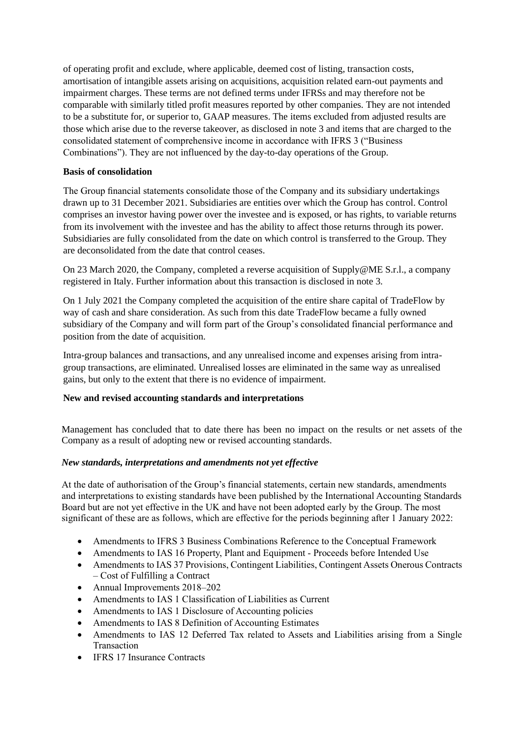of operating profit and exclude, where applicable, deemed cost of listing, transaction costs, amortisation of intangible assets arising on acquisitions, acquisition related earn-out payments and impairment charges. These terms are not defined terms under IFRSs and may therefore not be comparable with similarly titled profit measures reported by other companies. They are not intended to be a substitute for, or superior to, GAAP measures. The items excluded from adjusted results are those which arise due to the reverse takeover, as disclosed in note 3 and items that are charged to the consolidated statement of comprehensive income in accordance with IFRS 3 ("Business Combinations"). They are not influenced by the day-to-day operations of the Group.

# **Basis of consolidation**

The Group financial statements consolidate those of the Company and its subsidiary undertakings drawn up to 31 December 2021. Subsidiaries are entities over which the Group has control. Control comprises an investor having power over the investee and is exposed, or has rights, to variable returns from its involvement with the investee and has the ability to affect those returns through its power. Subsidiaries are fully consolidated from the date on which control is transferred to the Group. They are deconsolidated from the date that control ceases.

On 23 March 2020, the Company, completed a reverse acquisition of Supply@ME S.r.l., a company registered in Italy. Further information about this transaction is disclosed in note 3.

On 1 July 2021 the Company completed the acquisition of the entire share capital of TradeFlow by way of cash and share consideration. As such from this date TradeFlow became a fully owned subsidiary of the Company and will form part of the Group's consolidated financial performance and position from the date of acquisition.

Intra-group balances and transactions, and any unrealised income and expenses arising from intragroup transactions, are eliminated. Unrealised losses are eliminated in the same way as unrealised gains, but only to the extent that there is no evidence of impairment.

### **New and revised accounting standards and interpretations**

Management has concluded that to date there has been no impact on the results or net assets of the Company as a result of adopting new or revised accounting standards.

# *New standards, interpretations and amendments not yet effective*

At the date of authorisation of the Group's financial statements, certain new standards, amendments and interpretations to existing standards have been published by the International Accounting Standards Board but are not yet effective in the UK and have not been adopted early by the Group. The most significant of these are as follows, which are effective for the periods beginning after 1 January 2022:

- Amendments to IFRS 3 Business Combinations Reference to the Conceptual Framework
- Amendments to IAS 16 Property, Plant and Equipment Proceeds before Intended Use
- Amendments to IAS 37 Provisions, Contingent Liabilities, Contingent Assets Onerous Contracts – Cost of Fulfilling a Contract
- Annual Improvements 2018–202
- Amendments to IAS 1 Classification of Liabilities as Current
- Amendments to IAS 1 Disclosure of Accounting policies
- Amendments to IAS 8 Definition of Accounting Estimates
- Amendments to IAS 12 Deferred Tax related to Assets and Liabilities arising from a Single Transaction
- IFRS 17 Insurance Contracts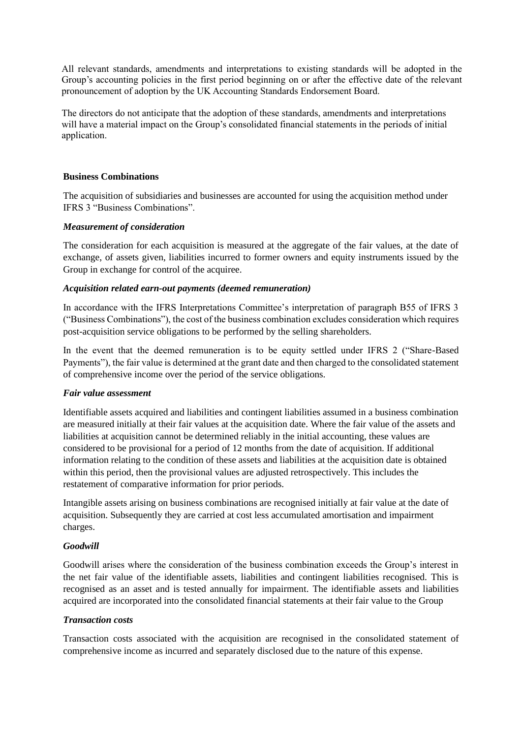All relevant standards, amendments and interpretations to existing standards will be adopted in the Group's accounting policies in the first period beginning on or after the effective date of the relevant pronouncement of adoption by the UK Accounting Standards Endorsement Board.

The directors do not anticipate that the adoption of these standards, amendments and interpretations will have a material impact on the Group's consolidated financial statements in the periods of initial application.

### **Business Combinations**

The acquisition of subsidiaries and businesses are accounted for using the acquisition method under IFRS 3 "Business Combinations".

## *Measurement of consideration*

The consideration for each acquisition is measured at the aggregate of the fair values, at the date of exchange, of assets given, liabilities incurred to former owners and equity instruments issued by the Group in exchange for control of the acquiree.

## *Acquisition related earn-out payments (deemed remuneration)*

In accordance with the IFRS Interpretations Committee's interpretation of paragraph B55 of IFRS 3 ("Business Combinations"), the cost of the business combination excludes consideration which requires post-acquisition service obligations to be performed by the selling shareholders.

In the event that the deemed remuneration is to be equity settled under IFRS 2 ("Share-Based Payments"), the fair value is determined at the grant date and then charged to the consolidated statement of comprehensive income over the period of the service obligations.

# *Fair value assessment*

Identifiable assets acquired and liabilities and contingent liabilities assumed in a business combination are measured initially at their fair values at the acquisition date. Where the fair value of the assets and liabilities at acquisition cannot be determined reliably in the initial accounting, these values are considered to be provisional for a period of 12 months from the date of acquisition. If additional information relating to the condition of these assets and liabilities at the acquisition date is obtained within this period, then the provisional values are adjusted retrospectively. This includes the restatement of comparative information for prior periods.

Intangible assets arising on business combinations are recognised initially at fair value at the date of acquisition. Subsequently they are carried at cost less accumulated amortisation and impairment charges.

### *Goodwill*

Goodwill arises where the consideration of the business combination exceeds the Group's interest in the net fair value of the identifiable assets, liabilities and contingent liabilities recognised. This is recognised as an asset and is tested annually for impairment. The identifiable assets and liabilities acquired are incorporated into the consolidated financial statements at their fair value to the Group

### *Transaction costs*

Transaction costs associated with the acquisition are recognised in the consolidated statement of comprehensive income as incurred and separately disclosed due to the nature of this expense.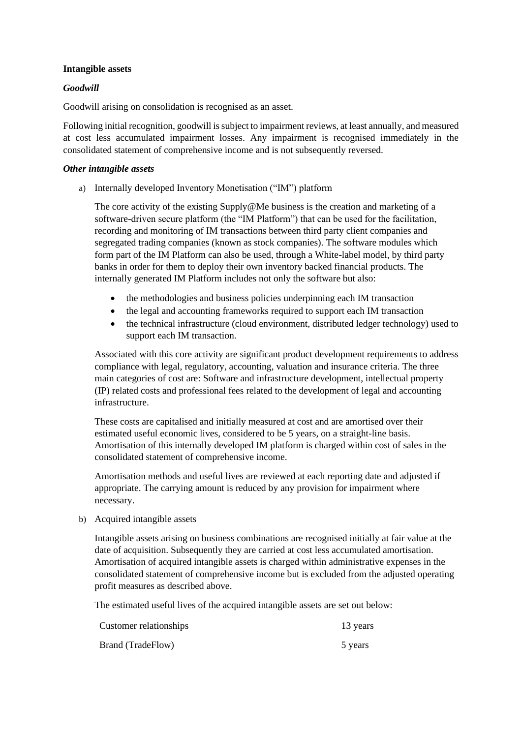### **Intangible assets**

## *Goodwill*

Goodwill arising on consolidation is recognised as an asset.

Following initial recognition, goodwill is subject to impairment reviews, at least annually, and measured at cost less accumulated impairment losses. Any impairment is recognised immediately in the consolidated statement of comprehensive income and is not subsequently reversed.

### *Other intangible assets*

a) Internally developed Inventory Monetisation ("IM") platform

The core activity of the existing Supply@Me business is the creation and marketing of a software-driven secure platform (the "IM Platform") that can be used for the facilitation, recording and monitoring of IM transactions between third party client companies and segregated trading companies (known as stock companies). The software modules which form part of the IM Platform can also be used, through a White-label model, by third party banks in order for them to deploy their own inventory backed financial products. The internally generated IM Platform includes not only the software but also:

- the methodologies and business policies underpinning each IM transaction
- the legal and accounting frameworks required to support each IM transaction
- the technical infrastructure (cloud environment, distributed ledger technology) used to support each IM transaction.

Associated with this core activity are significant product development requirements to address compliance with legal, regulatory, accounting, valuation and insurance criteria. The three main categories of cost are: Software and infrastructure development, intellectual property (IP) related costs and professional fees related to the development of legal and accounting infrastructure.

These costs are capitalised and initially measured at cost and are amortised over their estimated useful economic lives, considered to be 5 years, on a straight-line basis. Amortisation of this internally developed IM platform is charged within cost of sales in the consolidated statement of comprehensive income.

Amortisation methods and useful lives are reviewed at each reporting date and adjusted if appropriate. The carrying amount is reduced by any provision for impairment where necessary.

b) Acquired intangible assets

Intangible assets arising on business combinations are recognised initially at fair value at the date of acquisition. Subsequently they are carried at cost less accumulated amortisation. Amortisation of acquired intangible assets is charged within administrative expenses in the consolidated statement of comprehensive income but is excluded from the adjusted operating profit measures as described above.

The estimated useful lives of the acquired intangible assets are set out below:

| Customer relationships   | 13 years |
|--------------------------|----------|
| <b>Brand (TradeFlow)</b> | 5 years  |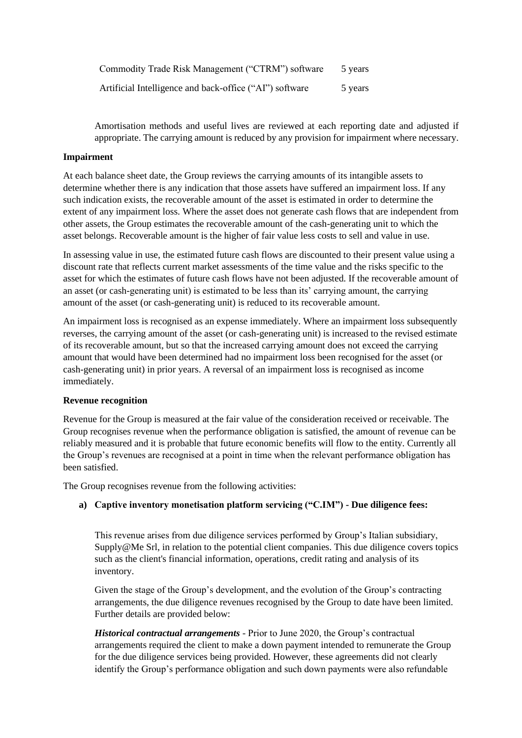| Commodity Trade Risk Management ("CTRM") software       | 5 years |
|---------------------------------------------------------|---------|
| Artificial Intelligence and back-office ("AI") software | 5 years |

Amortisation methods and useful lives are reviewed at each reporting date and adjusted if appropriate. The carrying amount is reduced by any provision for impairment where necessary.

## **Impairment**

At each balance sheet date, the Group reviews the carrying amounts of its intangible assets to determine whether there is any indication that those assets have suffered an impairment loss. If any such indication exists, the recoverable amount of the asset is estimated in order to determine the extent of any impairment loss. Where the asset does not generate cash flows that are independent from other assets, the Group estimates the recoverable amount of the cash-generating unit to which the asset belongs. Recoverable amount is the higher of fair value less costs to sell and value in use.

In assessing value in use, the estimated future cash flows are discounted to their present value using a discount rate that reflects current market assessments of the time value and the risks specific to the asset for which the estimates of future cash flows have not been adjusted. If the recoverable amount of an asset (or cash-generating unit) is estimated to be less than its' carrying amount, the carrying amount of the asset (or cash-generating unit) is reduced to its recoverable amount.

An impairment loss is recognised as an expense immediately. Where an impairment loss subsequently reverses, the carrying amount of the asset (or cash-generating unit) is increased to the revised estimate of its recoverable amount, but so that the increased carrying amount does not exceed the carrying amount that would have been determined had no impairment loss been recognised for the asset (or cash-generating unit) in prior years. A reversal of an impairment loss is recognised as income immediately.

# **Revenue recognition**

Revenue for the Group is measured at the fair value of the consideration received or receivable. The Group recognises revenue when the performance obligation is satisfied, the amount of revenue can be reliably measured and it is probable that future economic benefits will flow to the entity. Currently all the Group's revenues are recognised at a point in time when the relevant performance obligation has been satisfied.

The Group recognises revenue from the following activities:

# **a) Captive inventory monetisation platform servicing ("C.IM") - Due diligence fees:**

This revenue arises from due diligence services performed by Group's Italian subsidiary, Supply@Me Srl, in relation to the potential client companies. This due diligence covers topics such as the client's financial information, operations, credit rating and analysis of its inventory.

Given the stage of the Group's development, and the evolution of the Group's contracting arrangements, the due diligence revenues recognised by the Group to date have been limited. Further details are provided below:

*Historical contractual arrangements* - Prior to June 2020, the Group's contractual arrangements required the client to make a down payment intended to remunerate the Group for the due diligence services being provided. However, these agreements did not clearly identify the Group's performance obligation and such down payments were also refundable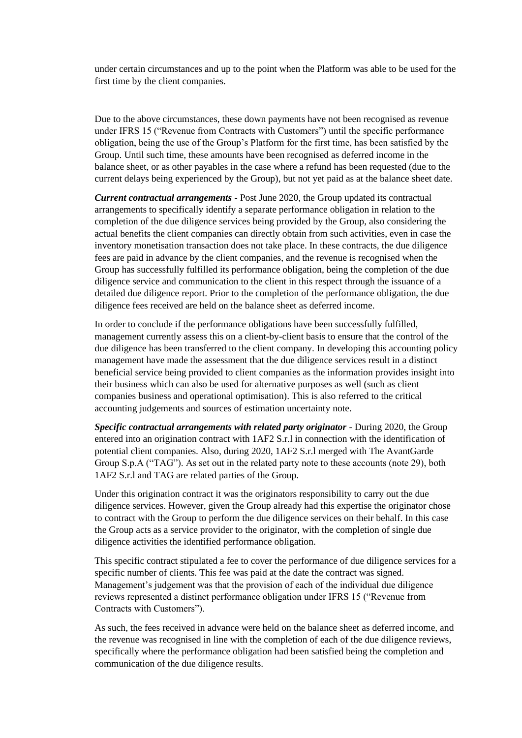under certain circumstances and up to the point when the Platform was able to be used for the first time by the client companies.

Due to the above circumstances, these down payments have not been recognised as revenue under IFRS 15 ("Revenue from Contracts with Customers") until the specific performance obligation, being the use of the Group's Platform for the first time, has been satisfied by the Group. Until such time, these amounts have been recognised as deferred income in the balance sheet, or as other payables in the case where a refund has been requested (due to the current delays being experienced by the Group), but not yet paid as at the balance sheet date.

*Current contractual arrangements* - Post June 2020, the Group updated its contractual arrangements to specifically identify a separate performance obligation in relation to the completion of the due diligence services being provided by the Group, also considering the actual benefits the client companies can directly obtain from such activities, even in case the inventory monetisation transaction does not take place. In these contracts, the due diligence fees are paid in advance by the client companies, and the revenue is recognised when the Group has successfully fulfilled its performance obligation, being the completion of the due diligence service and communication to the client in this respect through the issuance of a detailed due diligence report. Prior to the completion of the performance obligation, the due diligence fees received are held on the balance sheet as deferred income.

In order to conclude if the performance obligations have been successfully fulfilled, management currently assess this on a client-by-client basis to ensure that the control of the due diligence has been transferred to the client company. In developing this accounting policy management have made the assessment that the due diligence services result in a distinct beneficial service being provided to client companies as the information provides insight into their business which can also be used for alternative purposes as well (such as client companies business and operational optimisation). This is also referred to the critical accounting judgements and sources of estimation uncertainty note.

**Specific contractual arrangements with related party originator - During 2020, the Group** entered into an origination contract with 1AF2 S.r.l in connection with the identification of potential client companies. Also, during 2020, 1AF2 S.r.l merged with The AvantGarde Group S.p.A ("TAG"). As set out in the related party note to these accounts (note 29), both 1AF2 S.r.l and TAG are related parties of the Group.

Under this origination contract it was the originators responsibility to carry out the due diligence services. However, given the Group already had this expertise the originator chose to contract with the Group to perform the due diligence services on their behalf. In this case the Group acts as a service provider to the originator, with the completion of single due diligence activities the identified performance obligation.

This specific contract stipulated a fee to cover the performance of due diligence services for a specific number of clients. This fee was paid at the date the contract was signed. Management's judgement was that the provision of each of the individual due diligence reviews represented a distinct performance obligation under IFRS 15 ("Revenue from Contracts with Customers").

As such, the fees received in advance were held on the balance sheet as deferred income, and the revenue was recognised in line with the completion of each of the due diligence reviews, specifically where the performance obligation had been satisfied being the completion and communication of the due diligence results.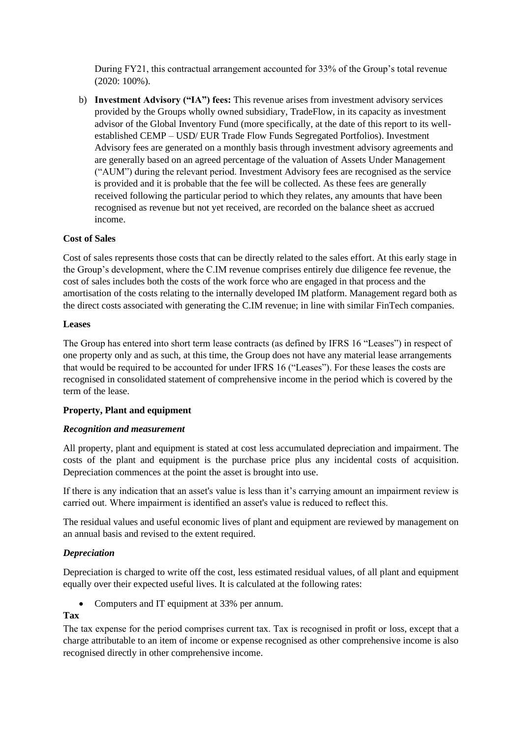During FY21, this contractual arrangement accounted for 33% of the Group's total revenue (2020: 100%).

b) **Investment Advisory ("IA") fees:** This revenue arises from investment advisory services provided by the Groups wholly owned subsidiary, TradeFlow, in its capacity as investment advisor of the Global Inventory Fund (more specifically, at the date of this report to its wellestablished CEMP – USD/ EUR Trade Flow Funds Segregated Portfolios). Investment Advisory fees are generated on a monthly basis through investment advisory agreements and are generally based on an agreed percentage of the valuation of Assets Under Management ("AUM") during the relevant period. Investment Advisory fees are recognised as the service is provided and it is probable that the fee will be collected. As these fees are generally received following the particular period to which they relates, any amounts that have been recognised as revenue but not yet received, are recorded on the balance sheet as accrued income.

## **Cost of Sales**

Cost of sales represents those costs that can be directly related to the sales effort. At this early stage in the Group's development, where the C.IM revenue comprises entirely due diligence fee revenue, the cost of sales includes both the costs of the work force who are engaged in that process and the amortisation of the costs relating to the internally developed IM platform. Management regard both as the direct costs associated with generating the C.IM revenue; in line with similar FinTech companies.

#### **Leases**

The Group has entered into short term lease contracts (as defined by IFRS 16 "Leases") in respect of one property only and as such, at this time, the Group does not have any material lease arrangements that would be required to be accounted for under IFRS 16 ("Leases"). For these leases the costs are recognised in consolidated statement of comprehensive income in the period which is covered by the term of the lease.

### **Property, Plant and equipment**

### *Recognition and measurement*

All property, plant and equipment is stated at cost less accumulated depreciation and impairment. The costs of the plant and equipment is the purchase price plus any incidental costs of acquisition. Depreciation commences at the point the asset is brought into use.

If there is any indication that an asset's value is less than it's carrying amount an impairment review is carried out. Where impairment is identified an asset's value is reduced to reflect this.

The residual values and useful economic lives of plant and equipment are reviewed by management on an annual basis and revised to the extent required.

### *Depreciation*

Depreciation is charged to write off the cost, less estimated residual values, of all plant and equipment equally over their expected useful lives. It is calculated at the following rates:

• Computers and IT equipment at 33% per annum.

### **Tax**

The tax expense for the period comprises current tax. Tax is recognised in profit or loss, except that a charge attributable to an item of income or expense recognised as other comprehensive income is also recognised directly in other comprehensive income.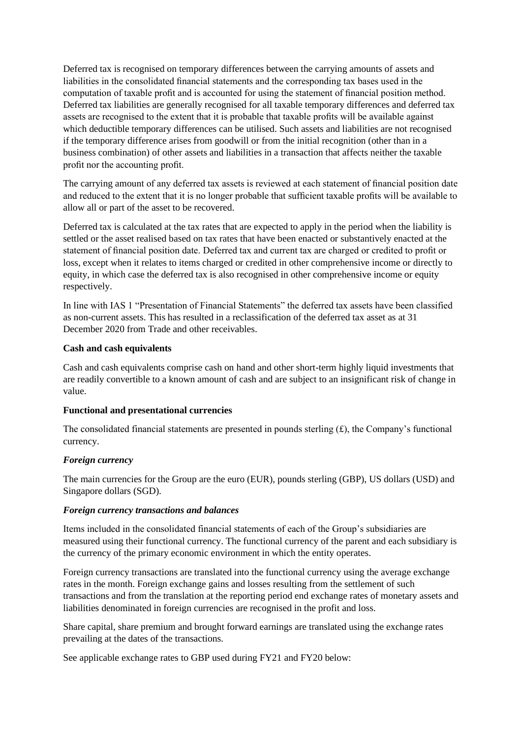Deferred tax is recognised on temporary differences between the carrying amounts of assets and liabilities in the consolidated financial statements and the corresponding tax bases used in the computation of taxable profit and is accounted for using the statement of financial position method. Deferred tax liabilities are generally recognised for all taxable temporary differences and deferred tax assets are recognised to the extent that it is probable that taxable profits will be available against which deductible temporary differences can be utilised. Such assets and liabilities are not recognised if the temporary difference arises from goodwill or from the initial recognition (other than in a business combination) of other assets and liabilities in a transaction that affects neither the taxable profit nor the accounting profit.

The carrying amount of any deferred tax assets is reviewed at each statement of financial position date and reduced to the extent that it is no longer probable that sufficient taxable profits will be available to allow all or part of the asset to be recovered.

Deferred tax is calculated at the tax rates that are expected to apply in the period when the liability is settled or the asset realised based on tax rates that have been enacted or substantively enacted at the statement of financial position date. Deferred tax and current tax are charged or credited to profit or loss, except when it relates to items charged or credited in other comprehensive income or directly to equity, in which case the deferred tax is also recognised in other comprehensive income or equity respectively.

In line with IAS 1 "Presentation of Financial Statements" the deferred tax assets have been classified as non-current assets. This has resulted in a reclassification of the deferred tax asset as at 31 December 2020 from Trade and other receivables.

## **Cash and cash equivalents**

Cash and cash equivalents comprise cash on hand and other short-term highly liquid investments that are readily convertible to a known amount of cash and are subject to an insignificant risk of change in value.

### **Functional and presentational currencies**

The consolidated financial statements are presented in pounds sterling  $(f)$ , the Company's functional currency.

# *Foreign currency*

The main currencies for the Group are the euro (EUR), pounds sterling (GBP), US dollars (USD) and Singapore dollars (SGD).

### *Foreign currency transactions and balances*

Items included in the consolidated financial statements of each of the Group's subsidiaries are measured using their functional currency. The functional currency of the parent and each subsidiary is the currency of the primary economic environment in which the entity operates.

Foreign currency transactions are translated into the functional currency using the average exchange rates in the month. Foreign exchange gains and losses resulting from the settlement of such transactions and from the translation at the reporting period end exchange rates of monetary assets and liabilities denominated in foreign currencies are recognised in the profit and loss.

Share capital, share premium and brought forward earnings are translated using the exchange rates prevailing at the dates of the transactions.

See applicable exchange rates to GBP used during FY21 and FY20 below: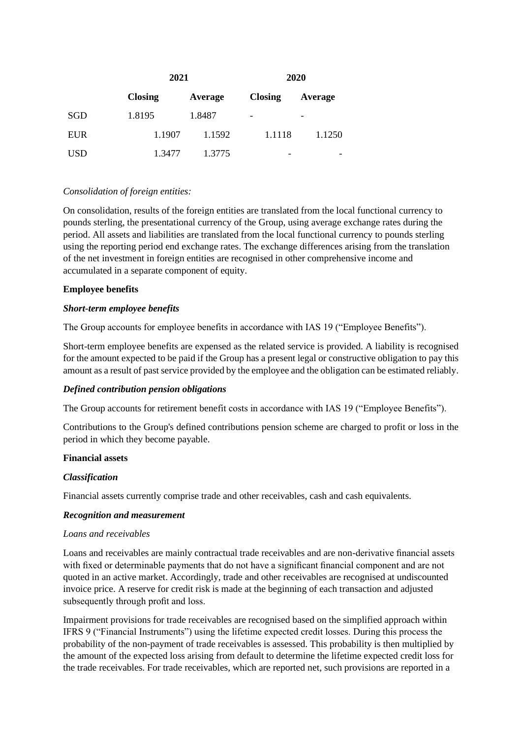|            |                | 2021    |                          | 2020    |
|------------|----------------|---------|--------------------------|---------|
|            | <b>Closing</b> | Average | <b>Closing</b>           | Average |
| SGD        | 1.8195         | 1.8487  | -                        |         |
| <b>EUR</b> | 1.1907         | 1.1592  | 1.1118                   | 1.1250  |
| <b>USD</b> | 1.3477         | 1.3775  | $\overline{\phantom{0}}$ |         |

## *Consolidation of foreign entities:*

On consolidation, results of the foreign entities are translated from the local functional currency to pounds sterling, the presentational currency of the Group, using average exchange rates during the period. All assets and liabilities are translated from the local functional currency to pounds sterling using the reporting period end exchange rates. The exchange differences arising from the translation of the net investment in foreign entities are recognised in other comprehensive income and accumulated in a separate component of equity.

## **Employee benefits**

### *Short-term employee benefits*

The Group accounts for employee benefits in accordance with IAS 19 ("Employee Benefits").

Short-term employee benefits are expensed as the related service is provided. A liability is recognised for the amount expected to be paid if the Group has a present legal or constructive obligation to pay this amount as a result of past service provided by the employee and the obligation can be estimated reliably.

### *Defined contribution pension obligations*

The Group accounts for retirement benefit costs in accordance with IAS 19 ("Employee Benefits").

Contributions to the Group's defined contributions pension scheme are charged to profit or loss in the period in which they become payable.

### **Financial assets**

### *Classification*

Financial assets currently comprise trade and other receivables, cash and cash equivalents.

### *Recognition and measurement*

### *Loans and receivables*

Loans and receivables are mainly contractual trade receivables and are non-derivative financial assets with fixed or determinable payments that do not have a significant financial component and are not quoted in an active market. Accordingly, trade and other receivables are recognised at undiscounted invoice price. A reserve for credit risk is made at the beginning of each transaction and adjusted subsequently through profit and loss.

Impairment provisions for trade receivables are recognised based on the simplified approach within IFRS 9 ("Financial Instruments") using the lifetime expected credit losses. During this process the probability of the non-payment of trade receivables is assessed. This probability is then multiplied by the amount of the expected loss arising from default to determine the lifetime expected credit loss for the trade receivables. For trade receivables, which are reported net, such provisions are reported in a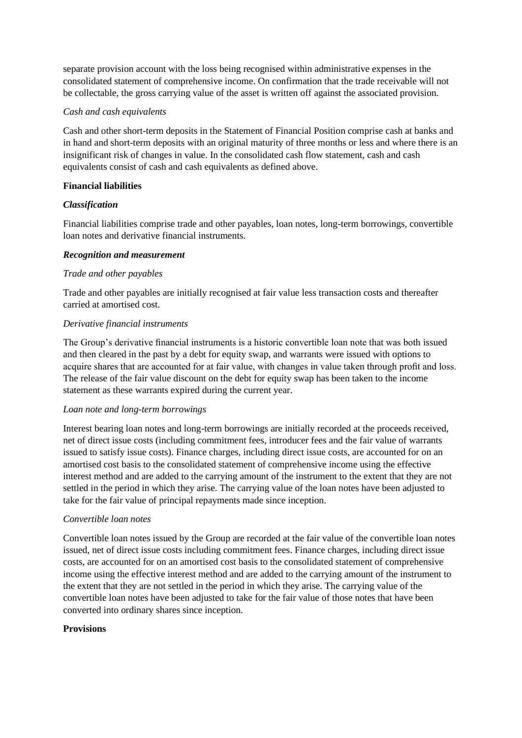separate provision account with the loss being recognised within administrative expenses in the consolidated statement of comprehensive income. On confirmation that the trade receivable will not be collectable, the gross carrying value of the asset is written off against the associated provision.

# *Cash and cash equivalents*

Cash and other short-term deposits in the Statement of Financial Position comprise cash at banks and in hand and short-term deposits with an original maturity of three months or less and where there is an insignificant risk of changes in value. In the consolidated cash flow statement, cash and cash equivalents consist of cash and cash equivalents as defined above.

## **Financial liabilities**

# *Classification*

Financial liabilities comprise trade and other payables, loan notes, long-term borrowings, convertible loan notes and derivative financial instruments.

## *Recognition and measurement*

## *Trade and other payables*

Trade and other payables are initially recognised at fair value less transaction costs and thereafter carried at amortised cost.

## *Derivative financial instruments*

The Group's derivative financial instruments is a historic convertible loan note that was both issued and then cleared in the past by a debt for equity swap, and warrants were issued with options to acquire shares that are accounted for at fair value, with changes in value taken through profit and loss. The release of the fair value discount on the debt for equity swap has been taken to the income statement as these warrants expired during the current year.

### *Loan note and long-term borrowings*

Interest bearing loan notes and long-term borrowings are initially recorded at the proceeds received, net of direct issue costs (including commitment fees, introducer fees and the fair value of warrants issued to satisfy issue costs). Finance charges, including direct issue costs, are accounted for on an amortised cost basis to the consolidated statement of comprehensive income using the effective interest method and are added to the carrying amount of the instrument to the extent that they are not settled in the period in which they arise. The carrying value of the loan notes have been adjusted to take for the fair value of principal repayments made since inception.

# *Convertible loan notes*

Convertible loan notes issued by the Group are recorded at the fair value of the convertible loan notes issued, net of direct issue costs including commitment fees. Finance charges, including direct issue costs, are accounted for on an amortised cost basis to the consolidated statement of comprehensive income using the effective interest method and are added to the carrying amount of the instrument to the extent that they are not settled in the period in which they arise. The carrying value of the convertible loan notes have been adjusted to take for the fair value of those notes that have been converted into ordinary shares since inception.

### **Provisions**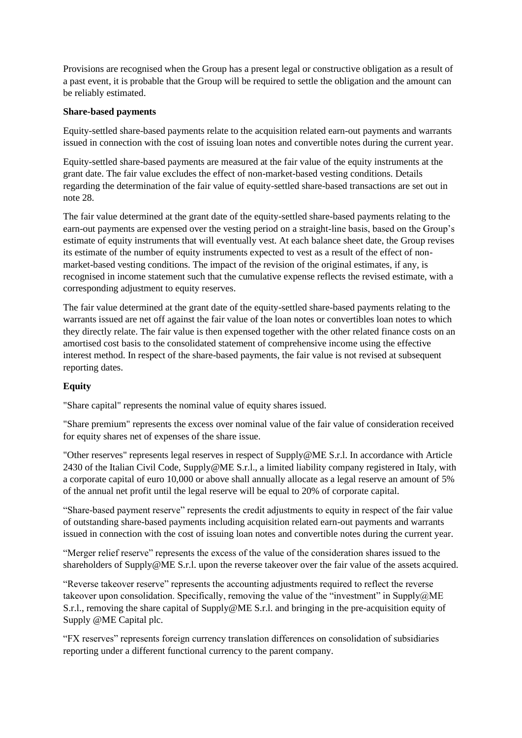Provisions are recognised when the Group has a present legal or constructive obligation as a result of a past event, it is probable that the Group will be required to settle the obligation and the amount can be reliably estimated.

### **Share-based payments**

Equity-settled share-based payments relate to the acquisition related earn-out payments and warrants issued in connection with the cost of issuing loan notes and convertible notes during the current year.

Equity-settled share-based payments are measured at the fair value of the equity instruments at the grant date. The fair value excludes the effect of non-market-based vesting conditions. Details regarding the determination of the fair value of equity-settled share-based transactions are set out in note 28.

The fair value determined at the grant date of the equity-settled share-based payments relating to the earn-out payments are expensed over the vesting period on a straight-line basis, based on the Group's estimate of equity instruments that will eventually vest. At each balance sheet date, the Group revises its estimate of the number of equity instruments expected to vest as a result of the effect of nonmarket-based vesting conditions. The impact of the revision of the original estimates, if any, is recognised in income statement such that the cumulative expense reflects the revised estimate, with a corresponding adjustment to equity reserves.

The fair value determined at the grant date of the equity-settled share-based payments relating to the warrants issued are net off against the fair value of the loan notes or convertibles loan notes to which they directly relate. The fair value is then expensed together with the other related finance costs on an amortised cost basis to the consolidated statement of comprehensive income using the effective interest method. In respect of the share-based payments, the fair value is not revised at subsequent reporting dates.

# **Equity**

"Share capital" represents the nominal value of equity shares issued.

"Share premium" represents the excess over nominal value of the fair value of consideration received for equity shares net of expenses of the share issue.

"Other reserves" represents legal reserves in respect of Supply@ME S.r.l. In accordance with Article 2430 of the Italian Civil Code, Supply@ME S.r.l., a limited liability company registered in Italy, with a corporate capital of euro 10,000 or above shall annually allocate as a legal reserve an amount of 5% of the annual net profit until the legal reserve will be equal to 20% of corporate capital.

"Share-based payment reserve" represents the credit adjustments to equity in respect of the fair value of outstanding share-based payments including acquisition related earn-out payments and warrants issued in connection with the cost of issuing loan notes and convertible notes during the current year.

"Merger relief reserve" represents the excess of the value of the consideration shares issued to the shareholders of Supply@ME S.r.l. upon the reverse takeover over the fair value of the assets acquired.

"Reverse takeover reserve" represents the accounting adjustments required to reflect the reverse takeover upon consolidation. Specifically, removing the value of the "investment" in Supply@ME S.r.l., removing the share capital of Supply@ME S.r.l. and bringing in the pre-acquisition equity of Supply @ME Capital plc.

"FX reserves" represents foreign currency translation differences on consolidation of subsidiaries reporting under a different functional currency to the parent company.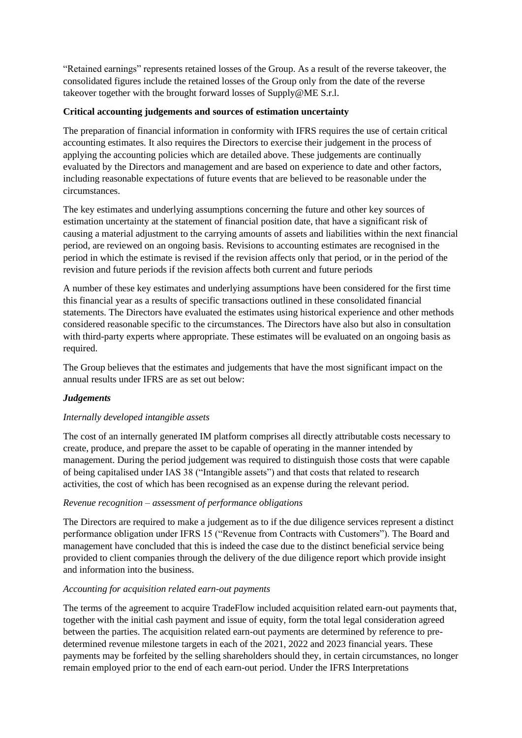"Retained earnings" represents retained losses of the Group. As a result of the reverse takeover, the consolidated figures include the retained losses of the Group only from the date of the reverse takeover together with the brought forward losses of Supply@ME S.r.l.

# **Critical accounting judgements and sources of estimation uncertainty**

The preparation of financial information in conformity with IFRS requires the use of certain critical accounting estimates. It also requires the Directors to exercise their judgement in the process of applying the accounting policies which are detailed above. These judgements are continually evaluated by the Directors and management and are based on experience to date and other factors, including reasonable expectations of future events that are believed to be reasonable under the circumstances.

The key estimates and underlying assumptions concerning the future and other key sources of estimation uncertainty at the statement of financial position date, that have a significant risk of causing a material adjustment to the carrying amounts of assets and liabilities within the next financial period, are reviewed on an ongoing basis. Revisions to accounting estimates are recognised in the period in which the estimate is revised if the revision affects only that period, or in the period of the revision and future periods if the revision affects both current and future periods

A number of these key estimates and underlying assumptions have been considered for the first time this financial year as a results of specific transactions outlined in these consolidated financial statements. The Directors have evaluated the estimates using historical experience and other methods considered reasonable specific to the circumstances. The Directors have also but also in consultation with third-party experts where appropriate. These estimates will be evaluated on an ongoing basis as required.

The Group believes that the estimates and judgements that have the most significant impact on the annual results under IFRS are as set out below:

# *Judgements*

### *Internally developed intangible assets*

The cost of an internally generated IM platform comprises all directly attributable costs necessary to create, produce, and prepare the asset to be capable of operating in the manner intended by management. During the period judgement was required to distinguish those costs that were capable of being capitalised under IAS 38 ("Intangible assets") and that costs that related to research activities, the cost of which has been recognised as an expense during the relevant period.

### *Revenue recognition – assessment of performance obligations*

The Directors are required to make a judgement as to if the due diligence services represent a distinct performance obligation under IFRS 15 ("Revenue from Contracts with Customers"). The Board and management have concluded that this is indeed the case due to the distinct beneficial service being provided to client companies through the delivery of the due diligence report which provide insight and information into the business.

### *Accounting for acquisition related earn-out payments*

The terms of the agreement to acquire TradeFlow included acquisition related earn-out payments that, together with the initial cash payment and issue of equity, form the total legal consideration agreed between the parties. The acquisition related earn-out payments are determined by reference to predetermined revenue milestone targets in each of the 2021, 2022 and 2023 financial years. These payments may be forfeited by the selling shareholders should they, in certain circumstances, no longer remain employed prior to the end of each earn-out period. Under the IFRS Interpretations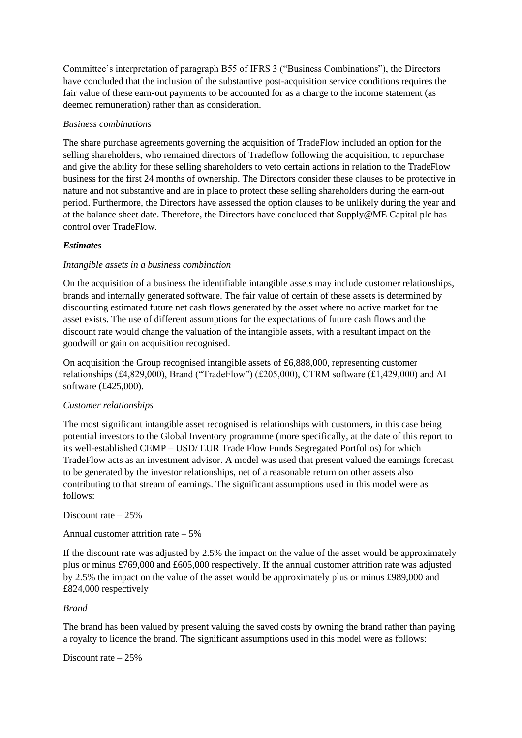Committee's interpretation of paragraph B55 of IFRS 3 ("Business Combinations"), the Directors have concluded that the inclusion of the substantive post-acquisition service conditions requires the fair value of these earn-out payments to be accounted for as a charge to the income statement (as deemed remuneration) rather than as consideration.

# *Business combinations*

The share purchase agreements governing the acquisition of TradeFlow included an option for the selling shareholders, who remained directors of Tradeflow following the acquisition, to repurchase and give the ability for these selling shareholders to veto certain actions in relation to the TradeFlow business for the first 24 months of ownership. The Directors consider these clauses to be protective in nature and not substantive and are in place to protect these selling shareholders during the earn-out period. Furthermore, the Directors have assessed the option clauses to be unlikely during the year and at the balance sheet date. Therefore, the Directors have concluded that Supply@ME Capital plc has control over TradeFlow.

## *Estimates*

## *Intangible assets in a business combination*

On the acquisition of a business the identifiable intangible assets may include customer relationships, brands and internally generated software. The fair value of certain of these assets is determined by discounting estimated future net cash flows generated by the asset where no active market for the asset exists. The use of different assumptions for the expectations of future cash flows and the discount rate would change the valuation of the intangible assets, with a resultant impact on the goodwill or gain on acquisition recognised.

On acquisition the Group recognised intangible assets of £6,888,000, representing customer relationships (£4,829,000), Brand ("TradeFlow") (£205,000), CTRM software (£1,429,000) and AI software (£425,000).

### *Customer relationships*

The most significant intangible asset recognised is relationships with customers, in this case being potential investors to the Global Inventory programme (more specifically, at the date of this report to its well-established CEMP – USD/ EUR Trade Flow Funds Segregated Portfolios) for which TradeFlow acts as an investment advisor. A model was used that present valued the earnings forecast to be generated by the investor relationships, net of a reasonable return on other assets also contributing to that stream of earnings. The significant assumptions used in this model were as follows:

### Discount rate  $-25%$

Annual customer attrition rate – 5%

If the discount rate was adjusted by 2.5% the impact on the value of the asset would be approximately plus or minus £769,000 and £605,000 respectively. If the annual customer attrition rate was adjusted by 2.5% the impact on the value of the asset would be approximately plus or minus £989,000 and £824,000 respectively

### *Brand*

The brand has been valued by present valuing the saved costs by owning the brand rather than paying a royalty to licence the brand. The significant assumptions used in this model were as follows:

Discount rate – 25%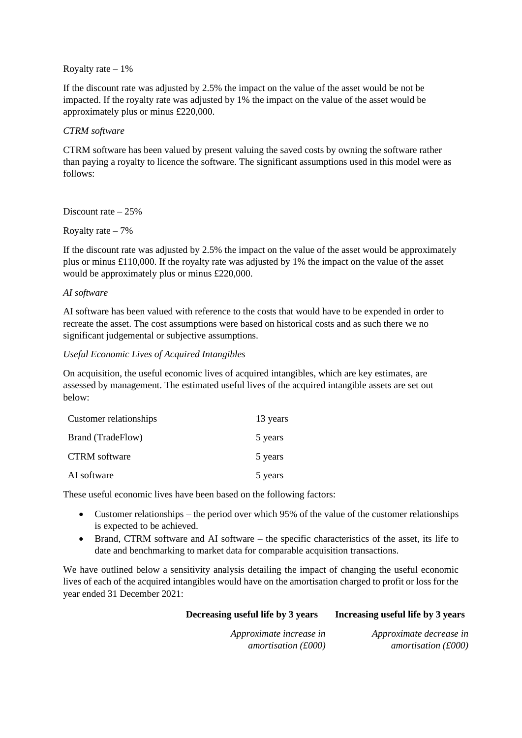Royalty rate  $-1\%$ 

If the discount rate was adjusted by 2.5% the impact on the value of the asset would be not be impacted. If the royalty rate was adjusted by 1% the impact on the value of the asset would be approximately plus or minus £220,000.

#### *CTRM software*

CTRM software has been valued by present valuing the saved costs by owning the software rather than paying a royalty to licence the software. The significant assumptions used in this model were as follows:

Discount rate  $-25%$ 

Royalty rate  $-7%$ 

If the discount rate was adjusted by 2.5% the impact on the value of the asset would be approximately plus or minus £110,000. If the royalty rate was adjusted by 1% the impact on the value of the asset would be approximately plus or minus £220,000.

#### *AI software*

AI software has been valued with reference to the costs that would have to be expended in order to recreate the asset. The cost assumptions were based on historical costs and as such there we no significant judgemental or subjective assumptions.

#### *Useful Economic Lives of Acquired Intangibles*

On acquisition, the useful economic lives of acquired intangibles, which are key estimates, are assessed by management. The estimated useful lives of the acquired intangible assets are set out below:

| Customer relationships | 13 years |
|------------------------|----------|
| Brand (TradeFlow)      | 5 years  |
| <b>CTRM</b> software   | 5 years  |
| AI software            | 5 years  |

These useful economic lives have been based on the following factors:

- Customer relationships the period over which 95% of the value of the customer relationships is expected to be achieved.
- Brand, CTRM software and AI software the specific characteristics of the asset, its life to date and benchmarking to market data for comparable acquisition transactions.

We have outlined below a sensitivity analysis detailing the impact of changing the useful economic lives of each of the acquired intangibles would have on the amortisation charged to profit or loss for the year ended 31 December 2021:

### **Decreasing useful life by 3 years Increasing useful life by 3 years**

*Approximate increase in amortisation (£000)*

*Approximate decrease in amortisation (£000)*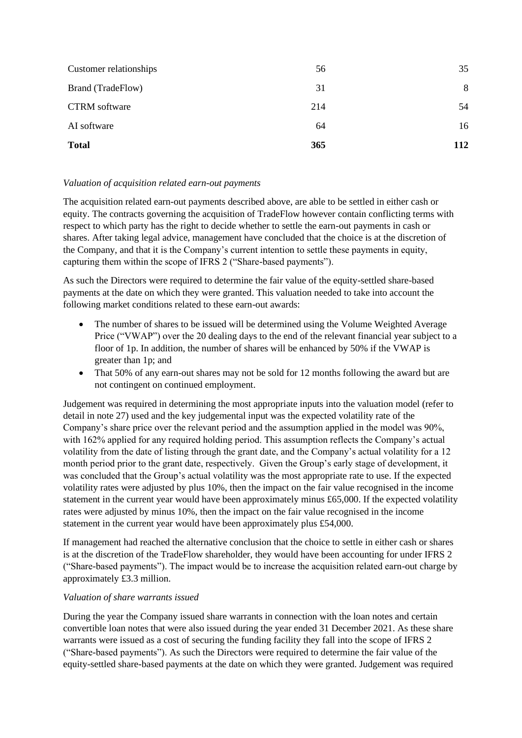| Customer relationships   | 56  | 35  |
|--------------------------|-----|-----|
| <b>Brand (TradeFlow)</b> | 31  | 8   |
| <b>CTRM</b> software     | 214 | 54  |
| AI software              | 64  | 16  |
| <b>Total</b>             | 365 | 112 |

# *Valuation of acquisition related earn-out payments*

The acquisition related earn-out payments described above, are able to be settled in either cash or equity. The contracts governing the acquisition of TradeFlow however contain conflicting terms with respect to which party has the right to decide whether to settle the earn-out payments in cash or shares. After taking legal advice, management have concluded that the choice is at the discretion of the Company, and that it is the Company's current intention to settle these payments in equity, capturing them within the scope of IFRS 2 ("Share-based payments").

As such the Directors were required to determine the fair value of the equity-settled share-based payments at the date on which they were granted. This valuation needed to take into account the following market conditions related to these earn-out awards:

- The number of shares to be issued will be determined using the Volume Weighted Average Price ("VWAP") over the 20 dealing days to the end of the relevant financial year subject to a floor of 1p. In addition, the number of shares will be enhanced by 50% if the VWAP is greater than 1p; and
- That 50% of any earn-out shares may not be sold for 12 months following the award but are not contingent on continued employment.

Judgement was required in determining the most appropriate inputs into the valuation model (refer to detail in note 27) used and the key judgemental input was the expected volatility rate of the Company's share price over the relevant period and the assumption applied in the model was 90%, with 162% applied for any required holding period. This assumption reflects the Company's actual volatility from the date of listing through the grant date, and the Company's actual volatility for a 12 month period prior to the grant date, respectively. Given the Group's early stage of development, it was concluded that the Group's actual volatility was the most appropriate rate to use. If the expected volatility rates were adjusted by plus 10%, then the impact on the fair value recognised in the income statement in the current year would have been approximately minus £65,000. If the expected volatility rates were adjusted by minus 10%, then the impact on the fair value recognised in the income statement in the current year would have been approximately plus £54,000.

If management had reached the alternative conclusion that the choice to settle in either cash or shares is at the discretion of the TradeFlow shareholder, they would have been accounting for under IFRS 2 ("Share-based payments"). The impact would be to increase the acquisition related earn-out charge by approximately £3.3 million.

# *Valuation of share warrants issued*

During the year the Company issued share warrants in connection with the loan notes and certain convertible loan notes that were also issued during the year ended 31 December 2021. As these share warrants were issued as a cost of securing the funding facility they fall into the scope of IFRS 2 ("Share-based payments"). As such the Directors were required to determine the fair value of the equity-settled share-based payments at the date on which they were granted. Judgement was required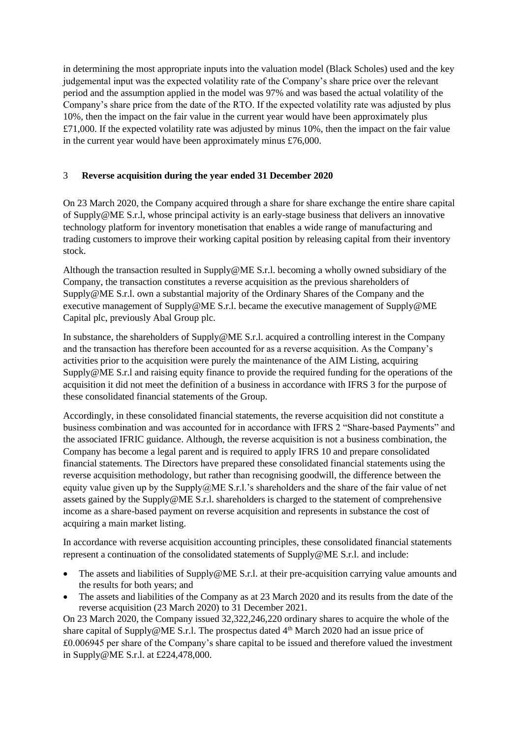in determining the most appropriate inputs into the valuation model (Black Scholes) used and the key judgemental input was the expected volatility rate of the Company's share price over the relevant period and the assumption applied in the model was 97% and was based the actual volatility of the Company's share price from the date of the RTO. If the expected volatility rate was adjusted by plus 10%, then the impact on the fair value in the current year would have been approximately plus £71,000. If the expected volatility rate was adjusted by minus 10%, then the impact on the fair value in the current year would have been approximately minus £76,000.

# 3 **Reverse acquisition during the year ended 31 December 2020**

On 23 March 2020, the Company acquired through a share for share exchange the entire share capital of Supply@ME S.r.l, whose principal activity is an early-stage business that delivers an innovative technology platform for inventory monetisation that enables a wide range of manufacturing and trading customers to improve their working capital position by releasing capital from their inventory stock.

Although the transaction resulted in Supply@ME S.r.l. becoming a wholly owned subsidiary of the Company, the transaction constitutes a reverse acquisition as the previous shareholders of Supply@ME S.r.l. own a substantial majority of the Ordinary Shares of the Company and the executive management of Supply@ME S.r.l. became the executive management of Supply@ME Capital plc, previously Abal Group plc.

In substance, the shareholders of Supply@ME S.r.l. acquired a controlling interest in the Company and the transaction has therefore been accounted for as a reverse acquisition. As the Company's activities prior to the acquisition were purely the maintenance of the AIM Listing, acquiring Supply@ME S.r.l and raising equity finance to provide the required funding for the operations of the acquisition it did not meet the definition of a business in accordance with IFRS 3 for the purpose of these consolidated financial statements of the Group.

Accordingly, in these consolidated financial statements, the reverse acquisition did not constitute a business combination and was accounted for in accordance with IFRS 2 "Share-based Payments" and the associated IFRIC guidance. Although, the reverse acquisition is not a business combination, the Company has become a legal parent and is required to apply IFRS 10 and prepare consolidated financial statements. The Directors have prepared these consolidated financial statements using the reverse acquisition methodology, but rather than recognising goodwill, the difference between the equity value given up by the Supply $@ME S.r.l.'s$  shareholders and the share of the fair value of net assets gained by the Supply@ME S.r.l. shareholders is charged to the statement of comprehensive income as a share-based payment on reverse acquisition and represents in substance the cost of acquiring a main market listing.

In accordance with reverse acquisition accounting principles, these consolidated financial statements represent a continuation of the consolidated statements of Supply@ME S.r.l. and include:

- The assets and liabilities of Supply@ME S.r.l. at their pre-acquisition carrying value amounts and the results for both years; and
- The assets and liabilities of the Company as at 23 March 2020 and its results from the date of the reverse acquisition (23 March 2020) to 31 December 2021.

On 23 March 2020, the Company issued 32,322,246,220 ordinary shares to acquire the whole of the share capital of Supply@ME S.r.l. The prospectus dated  $4<sup>th</sup>$  March 2020 had an issue price of £0.006945 per share of the Company's share capital to be issued and therefore valued the investment in Supply@ME S.r.l. at £224,478,000.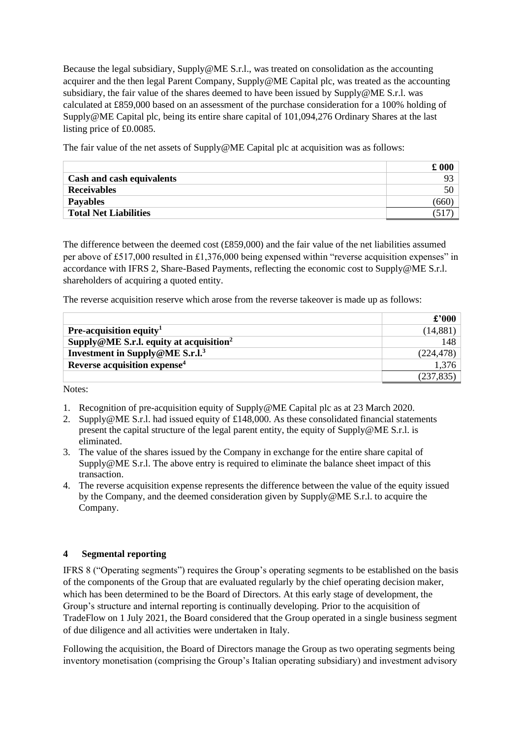Because the legal subsidiary, Supply@ME S.r.l., was treated on consolidation as the accounting acquirer and the then legal Parent Company, Supply@ME Capital plc, was treated as the accounting subsidiary, the fair value of the shares deemed to have been issued by Supply@ME S.r.l. was calculated at £859,000 based on an assessment of the purchase consideration for a 100% holding of Supply@ME Capital plc, being its entire share capital of 101,094,276 Ordinary Shares at the last listing price of £0.0085.

The fair value of the net assets of Supply@ME Capital plc at acquisition was as follows:

|                              | $\pmb{\pounds}$ 000 |
|------------------------------|---------------------|
| Cash and cash equivalents    | 93                  |
| <b>Receivables</b>           |                     |
| <b>Payables</b>              |                     |
| <b>Total Net Liabilities</b> |                     |

The difference between the deemed cost (£859,000) and the fair value of the net liabilities assumed per above of £517,000 resulted in £1,376,000 being expensed within "reverse acquisition expenses" in accordance with IFRS 2, Share-Based Payments, reflecting the economic cost to Supply@ME S.r.l. shareholders of acquiring a quoted entity.

The reverse acquisition reserve which arose from the reverse takeover is made up as follows:

|                                                     | $\pounds$ '000 |
|-----------------------------------------------------|----------------|
| <b>Pre-acquisition equity</b> <sup>1</sup>          | (14, 881)      |
| Supply@ME S.r.l. equity at acquisition <sup>2</sup> | 148            |
| Investment in Supply@ME S.r.l. <sup>3</sup>         | (224, 478)     |
| Reverse acquisition expense <sup>4</sup>            | 1,376          |
|                                                     | (237, 835)     |

Notes:

- 1. Recognition of pre-acquisition equity of Supply@ME Capital plc as at 23 March 2020.
- 2. Supply@ME S.r.l. had issued equity of £148,000. As these consolidated financial statements present the capital structure of the legal parent entity, the equity of Supply@ME S.r.l. is eliminated.
- 3. The value of the shares issued by the Company in exchange for the entire share capital of Supply@ME S.r.l. The above entry is required to eliminate the balance sheet impact of this transaction.
- 4. The reverse acquisition expense represents the difference between the value of the equity issued by the Company, and the deemed consideration given by Supply@ME S.r.l. to acquire the Company.

# **4 Segmental reporting**

IFRS 8 ("Operating segments") requires the Group's operating segments to be established on the basis of the components of the Group that are evaluated regularly by the chief operating decision maker, which has been determined to be the Board of Directors. At this early stage of development, the Group's structure and internal reporting is continually developing. Prior to the acquisition of TradeFlow on 1 July 2021, the Board considered that the Group operated in a single business segment of due diligence and all activities were undertaken in Italy.

Following the acquisition, the Board of Directors manage the Group as two operating segments being inventory monetisation (comprising the Group's Italian operating subsidiary) and investment advisory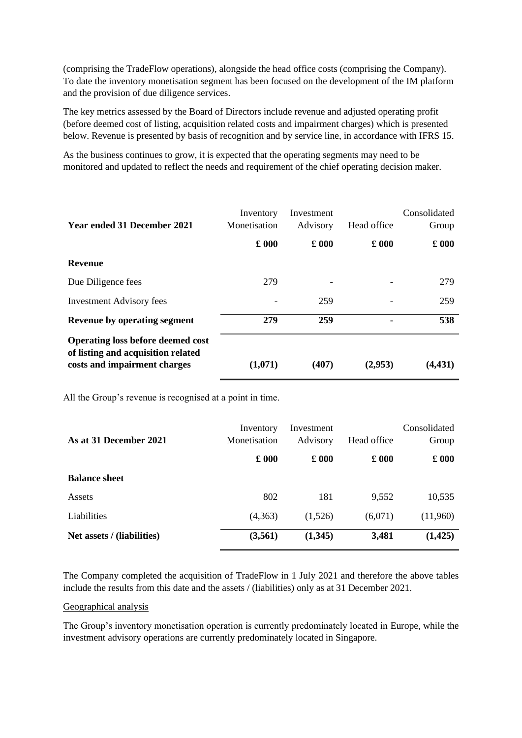(comprising the TradeFlow operations), alongside the head office costs (comprising the Company). To date the inventory monetisation segment has been focused on the development of the IM platform and the provision of due diligence services.

The key metrics assessed by the Board of Directors include revenue and adjusted operating profit (before deemed cost of listing, acquisition related costs and impairment charges) which is presented below. Revenue is presented by basis of recognition and by service line, in accordance with IFRS 15.

As the business continues to grow, it is expected that the operating segments may need to be monitored and updated to reflect the needs and requirement of the chief operating decision maker.

| Year ended 31 December 2021                                                                                    | Inventory<br>Monetisation | Investment<br>Advisory   | Head office   | Consolidated<br>Group |
|----------------------------------------------------------------------------------------------------------------|---------------------------|--------------------------|---------------|-----------------------|
|                                                                                                                | $\pounds 000$             | $\pounds 000$            | $\pounds 000$ | $\pounds$ 000         |
| <b>Revenue</b>                                                                                                 |                           |                          |               |                       |
| Due Diligence fees                                                                                             | 279                       | $\overline{\phantom{0}}$ |               | 279                   |
| <b>Investment Advisory fees</b>                                                                                |                           | 259                      |               | 259                   |
| Revenue by operating segment                                                                                   | 279                       | 259                      |               | 538                   |
| <b>Operating loss before deemed cost</b><br>of listing and acquisition related<br>costs and impairment charges | (1,071)                   | (407)                    | (2,953)       | (4, 431)              |

All the Group's revenue is recognised at a point in time.

| As at 31 December 2021     | Inventory<br>Monetisation | Investment<br>Advisory | Head office   | Consolidated<br>Group |
|----------------------------|---------------------------|------------------------|---------------|-----------------------|
|                            | $\pounds 000$             | $\pounds 000$          | $\pounds 000$ | $\pounds 000$         |
| <b>Balance sheet</b>       |                           |                        |               |                       |
| Assets                     | 802                       | 181                    | 9,552         | 10,535                |
| Liabilities                | (4,363)                   | (1,526)                | (6,071)       | (11,960)              |
| Net assets / (liabilities) | (3,561)                   | (1,345)                | 3,481         | (1, 425)              |

The Company completed the acquisition of TradeFlow in 1 July 2021 and therefore the above tables include the results from this date and the assets / (liabilities) only as at 31 December 2021.

### Geographical analysis

The Group's inventory monetisation operation is currently predominately located in Europe, while the investment advisory operations are currently predominately located in Singapore.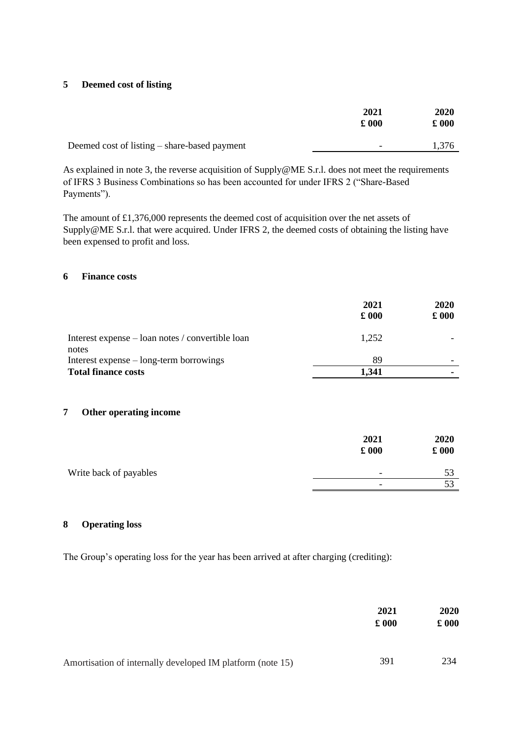### **5 Deemed cost of listing**

|                                              | 2021<br>$\pounds 000$    | 2020<br>$\pounds 000$ |
|----------------------------------------------|--------------------------|-----------------------|
| Deemed cost of listing – share-based payment | $\overline{\phantom{a}}$ | 1,376                 |

As explained in note 3, the reverse acquisition of Supply@ME S.r.l. does not meet the requirements of IFRS 3 Business Combinations so has been accounted for under IFRS 2 ("Share-Based Payments").

The amount of £1,376,000 represents the deemed cost of acquisition over the net assets of Supply@ME S.r.l. that were acquired. Under IFRS 2, the deemed costs of obtaining the listing have been expensed to profit and loss.

## **6 Finance costs**

|                                                           | 2021<br>$\pounds 000$ | 2020<br>$\pounds 000$ |
|-----------------------------------------------------------|-----------------------|-----------------------|
| Interest expense – loan notes / convertible loan<br>notes | 1,252                 |                       |
| Interest expense $-\log$ -term borrowings                 | 89                    |                       |
| <b>Total finance costs</b>                                | 1,341                 |                       |

### **7 Other operating income**

|                        | 2021<br>$\pounds 000$ | 2020<br>$\pounds$ 000 |
|------------------------|-----------------------|-----------------------|
| Write back of payables | -                     | 53                    |
|                        | -                     | 53                    |
|                        |                       |                       |

### **8 Operating loss**

The Group's operating loss for the year has been arrived at after charging (crediting):

|                                                            | 2021<br>$\pounds 000$ | 2020<br>$\pounds 000$ |
|------------------------------------------------------------|-----------------------|-----------------------|
|                                                            |                       |                       |
| Amortisation of internally developed IM platform (note 15) | 391                   | 234                   |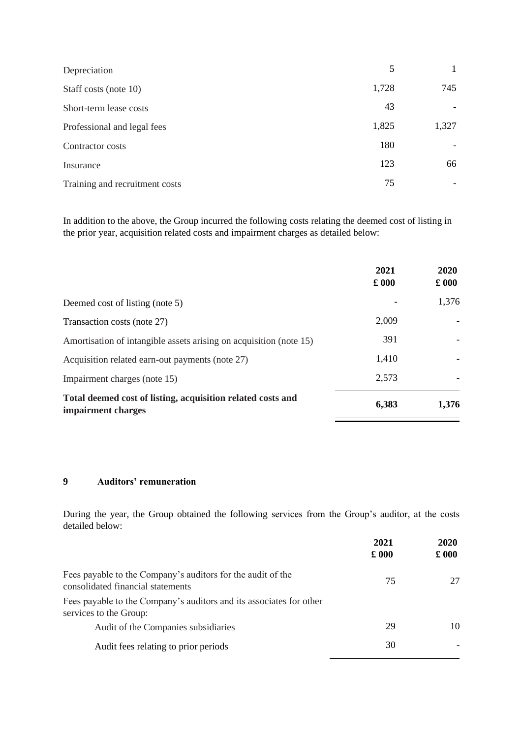| Depreciation                   | 5     | $\mathbf{1}$ |
|--------------------------------|-------|--------------|
| Staff costs (note 10)          | 1,728 | 745          |
| Short-term lease costs         | 43    |              |
| Professional and legal fees    | 1,825 | 1,327        |
| Contractor costs               | 180   |              |
| Insurance                      | 123   | 66           |
| Training and recruitment costs | 75    |              |

In addition to the above, the Group incurred the following costs relating the deemed cost of listing in the prior year, acquisition related costs and impairment charges as detailed below:

|                                                                                   | 2021<br>$\pounds 000$ | 2020<br>$\pounds 000$ |
|-----------------------------------------------------------------------------------|-----------------------|-----------------------|
| Deemed cost of listing (note 5)                                                   |                       | 1,376                 |
| Transaction costs (note 27)                                                       | 2,009                 |                       |
| Amortisation of intangible assets arising on acquisition (note 15)                | 391                   |                       |
| Acquisition related earn-out payments (note 27)                                   | 1,410                 |                       |
| Impairment charges (note 15)                                                      | 2,573                 |                       |
| Total deemed cost of listing, acquisition related costs and<br>impairment charges | 6,383                 | 1,376                 |

# **9 Auditors' remuneration**

During the year, the Group obtained the following services from the Group's auditor, at the costs detailed below:

|                                                                                                  | 2021<br>$\pounds 000$ | 2020<br>$\pounds 000$ |
|--------------------------------------------------------------------------------------------------|-----------------------|-----------------------|
| Fees payable to the Company's auditors for the audit of the<br>consolidated financial statements | 75                    | 27                    |
| Fees payable to the Company's auditors and its associates for other<br>services to the Group:    |                       |                       |
| Audit of the Companies subsidiaries                                                              | 29                    | 10                    |
| Audit fees relating to prior periods                                                             | 30                    |                       |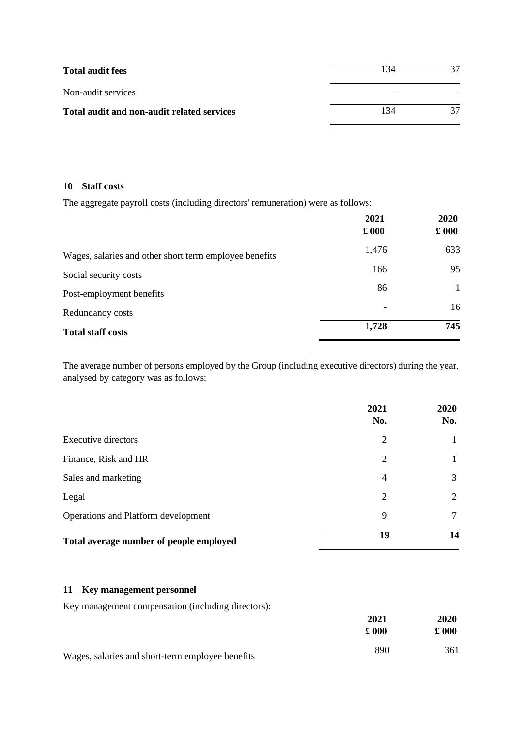| <b>Total audit fees</b>                    | 134 | 27 |
|--------------------------------------------|-----|----|
| Non-audit services                         | -   |    |
| Total audit and non-audit related services | 134 | 37 |

# **10 Staff costs**

The aggregate payroll costs (including directors' remuneration) were as follows:

|                                                        | 2021<br>$\pounds 000$    | 2020<br>$\pounds$ 000 |
|--------------------------------------------------------|--------------------------|-----------------------|
| Wages, salaries and other short term employee benefits | 1,476                    | 633                   |
| Social security costs                                  | 166                      | 95                    |
| Post-employment benefits                               | 86                       |                       |
| Redundancy costs                                       | $\overline{\phantom{a}}$ | 16                    |
| <b>Total staff costs</b>                               | 1,728                    | 745                   |

The average number of persons employed by the Group (including executive directors) during the year, analysed by category was as follows:

|                                         | 2021<br>No.    | 2020<br>No. |
|-----------------------------------------|----------------|-------------|
| <b>Executive directors</b>              | $\overline{2}$ |             |
| Finance, Risk and HR                    | $\overline{2}$ |             |
| Sales and marketing                     | 4              | 3           |
| Legal                                   | 2              | 2           |
| Operations and Platform development     | 9              | 7           |
| Total average number of people employed | 19             | 14          |

# **11 Key management personnel**

Key management compensation (including directors):

|                                                  | 2021          | 2020                |
|--------------------------------------------------|---------------|---------------------|
|                                                  | $\pounds 000$ | $\pmb{\pounds}$ 000 |
| Wages, salaries and short-term employee benefits | 890           | 361                 |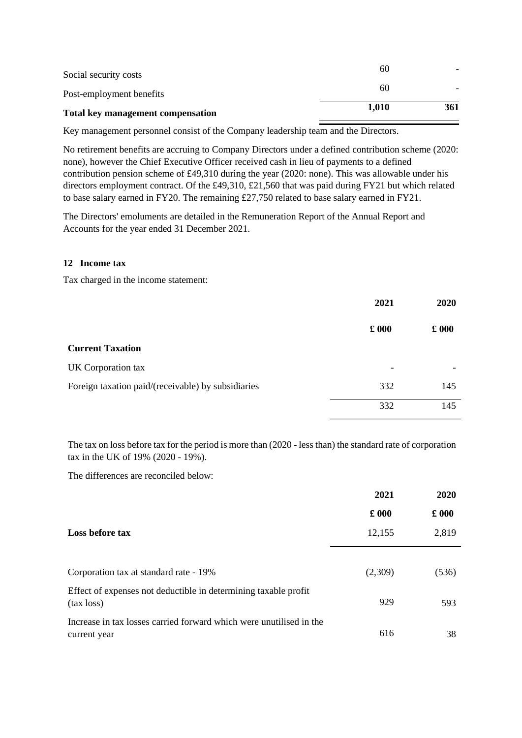| Total key management compensation |       |     |
|-----------------------------------|-------|-----|
|                                   | 1,010 | 361 |
| Post-employment benefits          | 60    |     |
| Social security costs             | 60    |     |
|                                   |       |     |

Key management personnel consist of the Company leadership team and the Directors.

No retirement benefits are accruing to Company Directors under a defined contribution scheme (2020: none), however the Chief Executive Officer received cash in lieu of payments to a defined contribution pension scheme of £49,310 during the year (2020: none). This was allowable under his directors employment contract. Of the £49,310, £21,560 that was paid during FY21 but which related to base salary earned in FY20. The remaining £27,750 related to base salary earned in FY21.

The Directors' emoluments are detailed in the Remuneration Report of the Annual Report and Accounts for the year ended 31 December 2021.

## **12 Income tax**

Tax charged in the income statement:

|                                                    | 2021          | 2020          |
|----------------------------------------------------|---------------|---------------|
|                                                    | $\pounds 000$ | $\pounds 000$ |
| <b>Current Taxation</b>                            |               |               |
| UK Corporation tax                                 | -             |               |
| Foreign taxation paid/(receivable) by subsidiaries | 332           | 145           |
|                                                    | 332           | 145           |

The tax on loss before tax for the period is more than (2020 - less than) the standard rate of corporation tax in the UK of 19% (2020 - 19%).

The differences are reconciled below:

|                                                                                     | 2021          | 2020          |
|-------------------------------------------------------------------------------------|---------------|---------------|
|                                                                                     | $\pounds 000$ | $\pounds 000$ |
| Loss before tax                                                                     | 12,155        | 2,819         |
|                                                                                     |               |               |
| Corporation tax at standard rate - 19%                                              | (2,309)       | (536)         |
| Effect of expenses not deductible in determining taxable profit<br>(tax loss)       | 929           | 593           |
| Increase in tax losses carried forward which were unutilised in the<br>current year | 616           | 38            |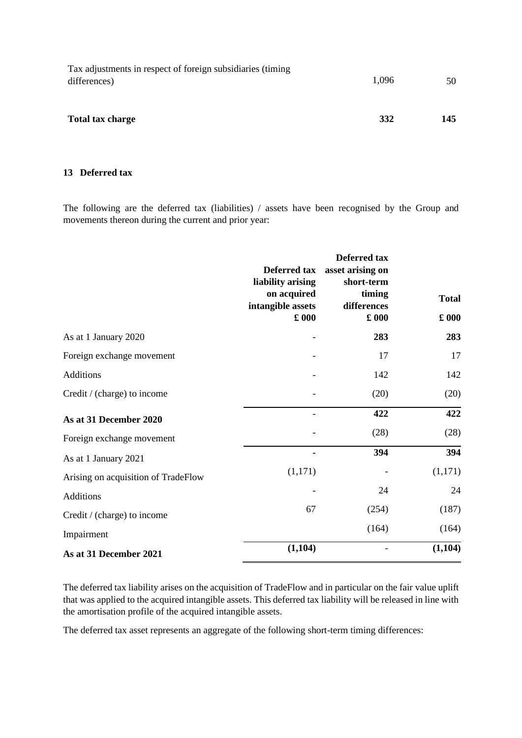| Tax adjustments in respect of foreign subsidiaries (timing<br>differences) | 1.096 | 50  |
|----------------------------------------------------------------------------|-------|-----|
| Total tax charge                                                           | 332   | 145 |

## **13 Deferred tax**

The following are the deferred tax (liabilities) / assets have been recognised by the Group and movements thereon during the current and prior year:

|                                     | Deferred tax<br>liability arising<br>on acquired<br>intangible assets<br>$\pmb{\pounds}$ 000 | <b>Deferred tax</b><br>asset arising on<br>short-term<br>timing<br>differences<br>$\pmb{\pounds}$ 000 | <b>Total</b><br>$\pounds$ 000 |
|-------------------------------------|----------------------------------------------------------------------------------------------|-------------------------------------------------------------------------------------------------------|-------------------------------|
| As at 1 January 2020                |                                                                                              | 283                                                                                                   | 283                           |
| Foreign exchange movement           |                                                                                              | 17                                                                                                    | 17                            |
| Additions                           |                                                                                              | 142                                                                                                   | 142                           |
| Credit / (charge) to income         |                                                                                              | (20)                                                                                                  | (20)                          |
| As at 31 December 2020              |                                                                                              | 422                                                                                                   | 422                           |
| Foreign exchange movement           |                                                                                              | (28)                                                                                                  | (28)                          |
| As at 1 January 2021                | Ě.                                                                                           | 394                                                                                                   | 394                           |
| Arising on acquisition of TradeFlow | (1,171)                                                                                      |                                                                                                       | (1,171)                       |
| <b>Additions</b>                    |                                                                                              | 24                                                                                                    | 24                            |
| Credit / (charge) to income         | 67                                                                                           | (254)                                                                                                 | (187)                         |
| Impairment                          |                                                                                              | (164)                                                                                                 | (164)                         |
| As at 31 December 2021              | (1, 104)                                                                                     |                                                                                                       | (1,104)                       |

The deferred tax liability arises on the acquisition of TradeFlow and in particular on the fair value uplift that was applied to the acquired intangible assets. This deferred tax liability will be released in line with the amortisation profile of the acquired intangible assets.

The deferred tax asset represents an aggregate of the following short-term timing differences: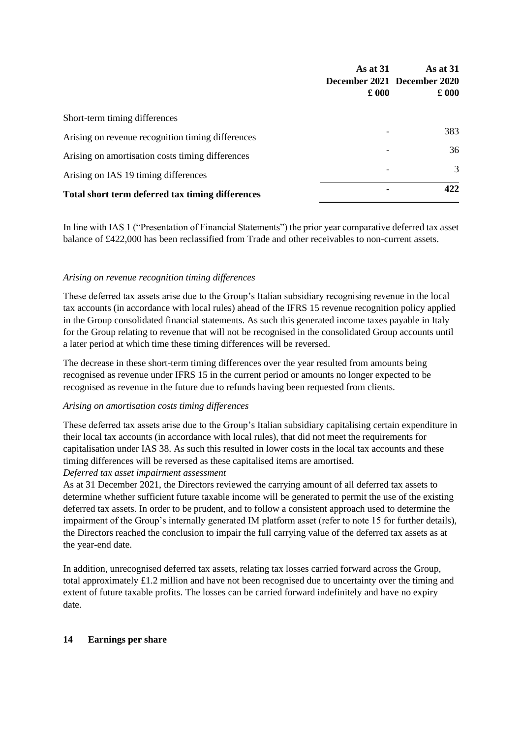|                                                   | As at $31$<br>$\pounds 000$ | As at $31$<br>December 2021 December 2020<br>$\pounds 000$ |
|---------------------------------------------------|-----------------------------|------------------------------------------------------------|
| Short-term timing differences                     |                             |                                                            |
| Arising on revenue recognition timing differences |                             | 383                                                        |
| Arising on amortisation costs timing differences  |                             | 36                                                         |
| Arising on IAS 19 timing differences              |                             | 3                                                          |
| Total short term deferred tax timing differences  |                             | 422                                                        |

In line with IAS 1 ("Presentation of Financial Statements") the prior year comparative deferred tax asset balance of £422,000 has been reclassified from Trade and other receivables to non-current assets.

# *Arising on revenue recognition timing differences*

These deferred tax assets arise due to the Group's Italian subsidiary recognising revenue in the local tax accounts (in accordance with local rules) ahead of the IFRS 15 revenue recognition policy applied in the Group consolidated financial statements. As such this generated income taxes payable in Italy for the Group relating to revenue that will not be recognised in the consolidated Group accounts until a later period at which time these timing differences will be reversed.

The decrease in these short-term timing differences over the year resulted from amounts being recognised as revenue under IFRS 15 in the current period or amounts no longer expected to be recognised as revenue in the future due to refunds having been requested from clients.

### *Arising on amortisation costs timing differences*

These deferred tax assets arise due to the Group's Italian subsidiary capitalising certain expenditure in their local tax accounts (in accordance with local rules), that did not meet the requirements for capitalisation under IAS 38. As such this resulted in lower costs in the local tax accounts and these timing differences will be reversed as these capitalised items are amortised. *Deferred tax asset impairment assessment* 

As at 31 December 2021, the Directors reviewed the carrying amount of all deferred tax assets to determine whether sufficient future taxable income will be generated to permit the use of the existing deferred tax assets. In order to be prudent, and to follow a consistent approach used to determine the impairment of the Group's internally generated IM platform asset (refer to note 15 for further details), the Directors reached the conclusion to impair the full carrying value of the deferred tax assets as at the year-end date.

In addition, unrecognised deferred tax assets, relating tax losses carried forward across the Group, total approximately  $\pounds$ 1.2 million and have not been recognised due to uncertainty over the timing and extent of future taxable profits. The losses can be carried forward indefinitely and have no expiry date.

### **14 Earnings per share**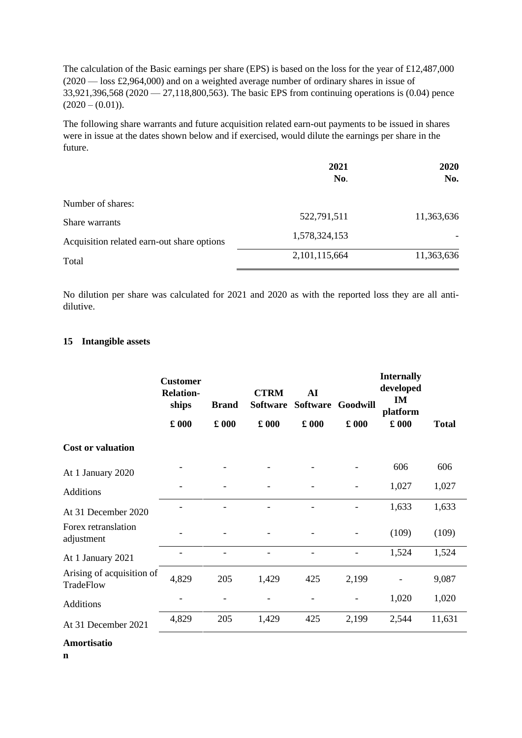The calculation of the Basic earnings per share (EPS) is based on the loss for the year of £12,487,000 (2020 — loss £2,964,000) and on a weighted average number of ordinary shares in issue of 33,921,396,568 (2020 — 27,118,800,563). The basic EPS from continuing operations is (0.04) pence  $(2020 - (0.01))$ .

The following share warrants and future acquisition related earn-out payments to be issued in shares were in issue at the dates shown below and if exercised, would dilute the earnings per share in the future.

|                                            | 2021<br>No.   | 2020<br>No. |
|--------------------------------------------|---------------|-------------|
| Number of shares:                          |               |             |
| Share warrants                             | 522,791,511   | 11,363,636  |
| Acquisition related earn-out share options | 1,578,324,153 |             |
| Total                                      | 2,101,115,664 | 11,363,636  |

No dilution per share was calculated for 2021 and 2020 as with the reported loss they are all antidilutive.

### **15 Intangible assets**

|                                        | <b>Customer</b><br><b>Relation-</b><br>ships | <b>Brand</b>  | <b>CTRM</b><br><b>Software</b> | AI<br><b>Software</b> | Goodwill      | <b>Internally</b><br>developed<br>IM<br>platform |              |
|----------------------------------------|----------------------------------------------|---------------|--------------------------------|-----------------------|---------------|--------------------------------------------------|--------------|
|                                        | \$000                                        | $\pounds$ 000 | $\pounds$ 000                  | $\pounds$ 000         | $\pounds$ 000 | $\pounds$ 000                                    | <b>Total</b> |
| <b>Cost or valuation</b>               |                                              |               |                                |                       |               |                                                  |              |
| At 1 January 2020                      |                                              |               |                                |                       |               | 606                                              | 606          |
| <b>Additions</b>                       |                                              |               |                                |                       |               | 1,027                                            | 1,027        |
| At 31 December 2020                    |                                              |               |                                |                       |               | 1,633                                            | 1,633        |
| Forex retranslation<br>adjustment      |                                              |               |                                |                       |               | (109)                                            | (109)        |
| At 1 January 2021                      |                                              |               |                                |                       |               | 1,524                                            | 1,524        |
| Arising of acquisition of<br>TradeFlow | 4,829                                        | 205           | 1,429                          | 425                   | 2,199         |                                                  | 9,087        |
| <b>Additions</b>                       |                                              |               |                                |                       |               | 1,020                                            | 1,020        |
| At 31 December 2021                    | 4,829                                        | 205           | 1,429                          | 425                   | 2,199         | 2,544                                            | 11,631       |
|                                        |                                              |               |                                |                       |               |                                                  |              |

**Amortisatio**

**n**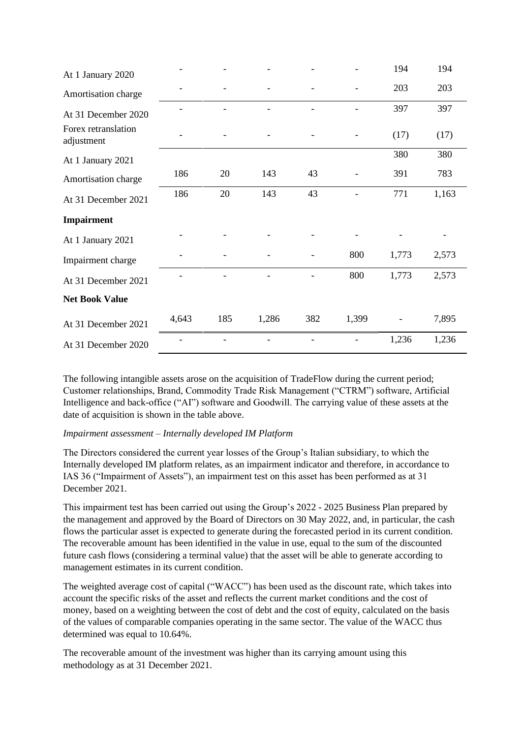| At 1 January 2020                 |       |     |       |     |       | 194   | 194   |
|-----------------------------------|-------|-----|-------|-----|-------|-------|-------|
| Amortisation charge               |       |     |       |     |       | 203   | 203   |
| At 31 December 2020               |       |     |       |     |       | 397   | 397   |
| Forex retranslation<br>adjustment |       |     |       |     |       | (17)  | (17)  |
| At 1 January 2021                 |       |     |       |     |       | 380   | 380   |
| Amortisation charge               | 186   | 20  | 143   | 43  |       | 391   | 783   |
| At 31 December 2021               | 186   | 20  | 143   | 43  |       | 771   | 1,163 |
| Impairment                        |       |     |       |     |       |       |       |
| At 1 January 2021                 |       |     |       |     |       |       |       |
| Impairment charge                 |       |     |       |     | 800   | 1,773 | 2,573 |
| At 31 December 2021               |       |     |       |     | 800   | 1,773 | 2,573 |
| <b>Net Book Value</b>             |       |     |       |     |       |       |       |
| At 31 December 2021               | 4,643 | 185 | 1,286 | 382 | 1,399 |       | 7,895 |
| At 31 December 2020               |       |     |       |     |       | 1,236 | 1,236 |

The following intangible assets arose on the acquisition of TradeFlow during the current period; Customer relationships, Brand, Commodity Trade Risk Management ("CTRM") software, Artificial Intelligence and back-office ("AI") software and Goodwill. The carrying value of these assets at the date of acquisition is shown in the table above.

### *Impairment assessment – Internally developed IM Platform*

The Directors considered the current year losses of the Group's Italian subsidiary, to which the Internally developed IM platform relates, as an impairment indicator and therefore, in accordance to IAS 36 ("Impairment of Assets"), an impairment test on this asset has been performed as at 31 December 2021.

This impairment test has been carried out using the Group's 2022 - 2025 Business Plan prepared by the management and approved by the Board of Directors on 30 May 2022, and, in particular, the cash flows the particular asset is expected to generate during the forecasted period in its current condition. The recoverable amount has been identified in the value in use, equal to the sum of the discounted future cash flows (considering a terminal value) that the asset will be able to generate according to management estimates in its current condition.

The weighted average cost of capital ("WACC") has been used as the discount rate, which takes into account the specific risks of the asset and reflects the current market conditions and the cost of money, based on a weighting between the cost of debt and the cost of equity, calculated on the basis of the values of comparable companies operating in the same sector. The value of the WACC thus determined was equal to 10.64%.

The recoverable amount of the investment was higher than its carrying amount using this methodology as at 31 December 2021.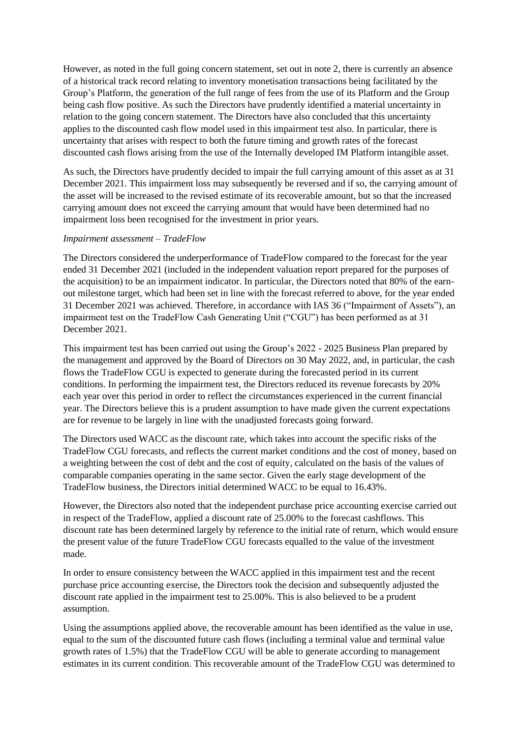However, as noted in the full going concern statement, set out in note 2, there is currently an absence of a historical track record relating to inventory monetisation transactions being facilitated by the Group's Platform, the generation of the full range of fees from the use of its Platform and the Group being cash flow positive. As such the Directors have prudently identified a material uncertainty in relation to the going concern statement. The Directors have also concluded that this uncertainty applies to the discounted cash flow model used in this impairment test also. In particular, there is uncertainty that arises with respect to both the future timing and growth rates of the forecast discounted cash flows arising from the use of the Internally developed IM Platform intangible asset.

As such, the Directors have prudently decided to impair the full carrying amount of this asset as at 31 December 2021. This impairment loss may subsequently be reversed and if so, the carrying amount of the asset will be increased to the revised estimate of its recoverable amount, but so that the increased carrying amount does not exceed the carrying amount that would have been determined had no impairment loss been recognised for the investment in prior years.

### *Impairment assessment – TradeFlow*

The Directors considered the underperformance of TradeFlow compared to the forecast for the year ended 31 December 2021 (included in the independent valuation report prepared for the purposes of the acquisition) to be an impairment indicator. In particular, the Directors noted that 80% of the earnout milestone target, which had been set in line with the forecast referred to above, for the year ended 31 December 2021 was achieved. Therefore, in accordance with IAS 36 ("Impairment of Assets"), an impairment test on the TradeFlow Cash Generating Unit ("CGU") has been performed as at 31 December 2021.

This impairment test has been carried out using the Group's 2022 - 2025 Business Plan prepared by the management and approved by the Board of Directors on 30 May 2022, and, in particular, the cash flows the TradeFlow CGU is expected to generate during the forecasted period in its current conditions. In performing the impairment test, the Directors reduced its revenue forecasts by 20% each year over this period in order to reflect the circumstances experienced in the current financial year. The Directors believe this is a prudent assumption to have made given the current expectations are for revenue to be largely in line with the unadjusted forecasts going forward.

The Directors used WACC as the discount rate, which takes into account the specific risks of the TradeFlow CGU forecasts, and reflects the current market conditions and the cost of money, based on a weighting between the cost of debt and the cost of equity, calculated on the basis of the values of comparable companies operating in the same sector. Given the early stage development of the TradeFlow business, the Directors initial determined WACC to be equal to 16.43%.

However, the Directors also noted that the independent purchase price accounting exercise carried out in respect of the TradeFlow, applied a discount rate of 25.00% to the forecast cashflows. This discount rate has been determined largely by reference to the initial rate of return, which would ensure the present value of the future TradeFlow CGU forecasts equalled to the value of the investment made.

In order to ensure consistency between the WACC applied in this impairment test and the recent purchase price accounting exercise, the Directors took the decision and subsequently adjusted the discount rate applied in the impairment test to 25.00%. This is also believed to be a prudent assumption.

Using the assumptions applied above, the recoverable amount has been identified as the value in use, equal to the sum of the discounted future cash flows (including a terminal value and terminal value growth rates of 1.5%) that the TradeFlow CGU will be able to generate according to management estimates in its current condition. This recoverable amount of the TradeFlow CGU was determined to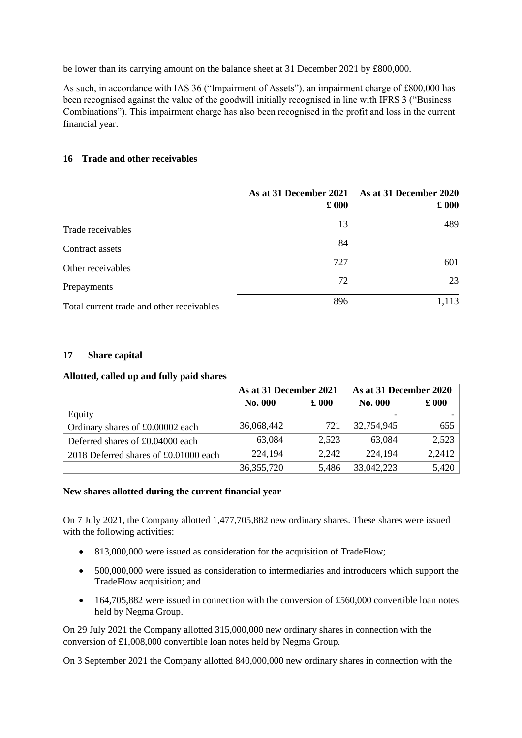be lower than its carrying amount on the balance sheet at 31 December 2021 by £800,000.

As such, in accordance with IAS 36 ("Impairment of Assets"), an impairment charge of £800,000 has been recognised against the value of the goodwill initially recognised in line with IFRS 3 ("Business Combinations"). This impairment charge has also been recognised in the profit and loss in the current financial year.

# **16 Trade and other receivables**

|                                           | As at 31 December 2021<br>$\pounds 000$ | As at 31 December 2020<br>$\pounds 000$ |
|-------------------------------------------|-----------------------------------------|-----------------------------------------|
| Trade receivables                         | 13                                      | 489                                     |
| Contract assets                           | 84                                      |                                         |
| Other receivables                         | 727                                     | 601                                     |
| Prepayments                               | 72                                      | 23                                      |
| Total current trade and other receivables | 896                                     | 1,113                                   |

# **17 Share capital**

|                                       |                | As at 31 December 2021 |                | As at 31 December 2020 |
|---------------------------------------|----------------|------------------------|----------------|------------------------|
|                                       | <b>No. 000</b> | $\pounds 000$          | <b>No. 000</b> | $\pounds 000$          |
| Equity                                |                |                        |                |                        |
| Ordinary shares of £0.00002 each      | 36,068,442     | 721                    | 32,754,945     | 655                    |
| Deferred shares of £0.04000 each      | 63,084         | 2,523                  | 63,084         | 2,523                  |
| 2018 Deferred shares of £0.01000 each | 224,194        | 2,242                  | 224,194        | 2,2412                 |
|                                       | 36, 355, 720   | 5,486                  | 33,042,223     | 5,420                  |

#### **Allotted, called up and fully paid shares**

### **New shares allotted during the current financial year**

On 7 July 2021, the Company allotted 1,477,705,882 new ordinary shares. These shares were issued with the following activities:

- 813,000,000 were issued as consideration for the acquisition of TradeFlow:
- 500,000,000 were issued as consideration to intermediaries and introducers which support the TradeFlow acquisition; and
- $\bullet$  164,705,882 were issued in connection with the conversion of £560,000 convertible loan notes held by Negma Group.

On 29 July 2021 the Company allotted 315,000,000 new ordinary shares in connection with the conversion of £1,008,000 convertible loan notes held by Negma Group.

On 3 September 2021 the Company allotted 840,000,000 new ordinary shares in connection with the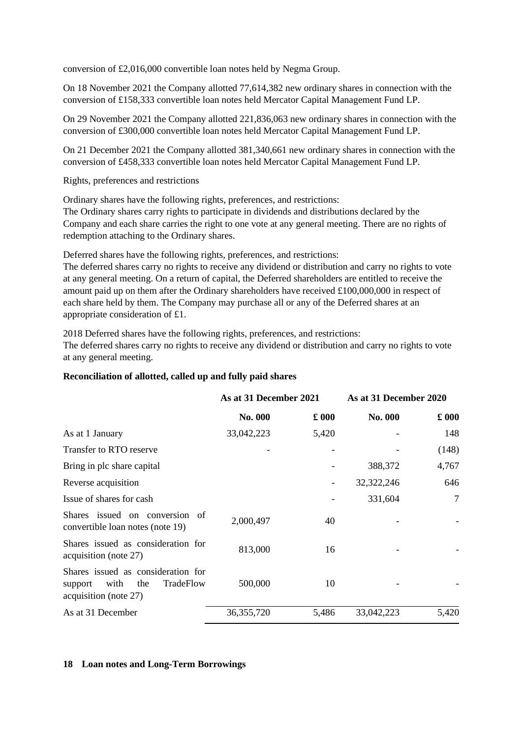conversion of £2,016,000 convertible loan notes held by Negma Group.

On 18 November 2021 the Company allotted 77,614,382 new ordinary shares in connection with the conversion of £158,333 convertible loan notes held Mercator Capital Management Fund LP.

On 29 November 2021 the Company allotted 221,836,063 new ordinary shares in connection with the conversion of £300,000 convertible loan notes held Mercator Capital Management Fund LP.

On 21 December 2021 the Company allotted 381,340,661 new ordinary shares in connection with the conversion of £458,333 convertible loan notes held Mercator Capital Management Fund LP.

Rights, preferences and restrictions

Ordinary shares have the following rights, preferences, and restrictions:

The Ordinary shares carry rights to participate in dividends and distributions declared by the Company and each share carries the right to one vote at any general meeting. There are no rights of redemption attaching to the Ordinary shares.

Deferred shares have the following rights, preferences, and restrictions:

The deferred shares carry no rights to receive any dividend or distribution and carry no rights to vote at any general meeting. On a return of capital, the Deferred shareholders are entitled to receive the amount paid up on them after the Ordinary shareholders have received £100,000,000 in respect of each share held by them. The Company may purchase all or any of the Deferred shares at an appropriate consideration of £1.

2018 Deferred shares have the following rights, preferences, and restrictions:

The deferred shares carry no rights to receive any dividend or distribution and carry no rights to vote at any general meeting.

### **Reconciliation of allotted, called up and fully paid shares**

|                                                                                                    | As at 31 December 2021 |               | As at 31 December 2020 |                     |
|----------------------------------------------------------------------------------------------------|------------------------|---------------|------------------------|---------------------|
|                                                                                                    | No. 000                | $\pounds 000$ | <b>No. 000</b>         | $\pmb{\pounds}$ 000 |
| As at 1 January                                                                                    | 33,042,223             | 5,420         |                        | 148                 |
| Transfer to RTO reserve                                                                            |                        |               |                        | (148)               |
| Bring in plc share capital                                                                         |                        |               | 388,372                | 4,767               |
| Reverse acquisition                                                                                |                        |               | 32, 322, 246           | 646                 |
| Issue of shares for cash                                                                           |                        |               | 331,604                | 7                   |
| Shares issued on conversion of<br>convertible loan notes (note 19)                                 | 2,000,497              | 40            |                        |                     |
| Shares issued as consideration for<br>acquisition (note 27)                                        | 813,000                | 16            |                        |                     |
| Shares issued as consideration for<br>with<br>the<br>TradeFlow<br>support<br>acquisition (note 27) | 500,000                | 10            |                        |                     |
| As at 31 December                                                                                  | 36, 355, 720           | 5,486         | 33,042,223             | 5,420               |

### **18 Loan notes and Long-Term Borrowings**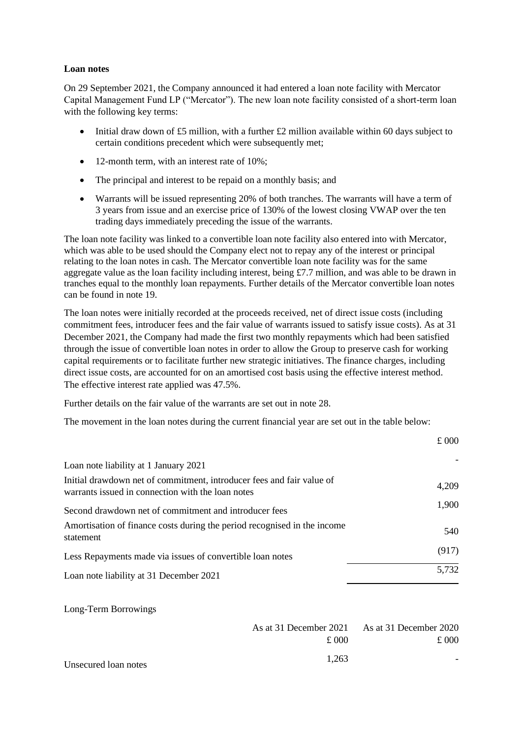## **Loan notes**

On 29 September 2021, the Company announced it had entered a loan note facility with Mercator Capital Management Fund LP ("Mercator"). The new loan note facility consisted of a short-term loan with the following key terms:

- Initial draw down of £5 million, with a further £2 million available within 60 days subject to certain conditions precedent which were subsequently met;
- 12-month term, with an interest rate of 10%;
- The principal and interest to be repaid on a monthly basis; and
- Warrants will be issued representing 20% of both tranches. The warrants will have a term of 3 years from issue and an exercise price of 130% of the lowest closing VWAP over the ten trading days immediately preceding the issue of the warrants.

The loan note facility was linked to a convertible loan note facility also entered into with Mercator, which was able to be used should the Company elect not to repay any of the interest or principal relating to the loan notes in cash. The Mercator convertible loan note facility was for the same aggregate value as the loan facility including interest, being £7.7 million, and was able to be drawn in tranches equal to the monthly loan repayments. Further details of the Mercator convertible loan notes can be found in note 19.

The loan notes were initially recorded at the proceeds received, net of direct issue costs (including commitment fees, introducer fees and the fair value of warrants issued to satisfy issue costs). As at 31 December 2021, the Company had made the first two monthly repayments which had been satisfied through the issue of convertible loan notes in order to allow the Group to preserve cash for working capital requirements or to facilitate further new strategic initiatives. The finance charges, including direct issue costs, are accounted for on an amortised cost basis using the effective interest method. The effective interest rate applied was 47.5%.

Further details on the fair value of the warrants are set out in note 28.

The movement in the loan notes during the current financial year are set out in the table below:

|                                                                                                                            | £000  |
|----------------------------------------------------------------------------------------------------------------------------|-------|
| Loan note liability at 1 January 2021                                                                                      |       |
| Initial drawdown net of commitment, introducer fees and fair value of<br>warrants issued in connection with the loan notes | 4,209 |
| Second drawdown net of commitment and introducer fees                                                                      | 1,900 |
| Amortisation of finance costs during the period recognised in the income<br>statement                                      | 540   |
| Less Repayments made via issues of convertible loan notes                                                                  | (917) |
| Loan note liability at 31 December 2021                                                                                    | 5,732 |

### Long-Term Borrowings

|                      |       | As at 31 December 2021 As at 31 December 2020 |
|----------------------|-------|-----------------------------------------------|
|                      | £000  | £000                                          |
| Unsecured loan notes | 1.263 |                                               |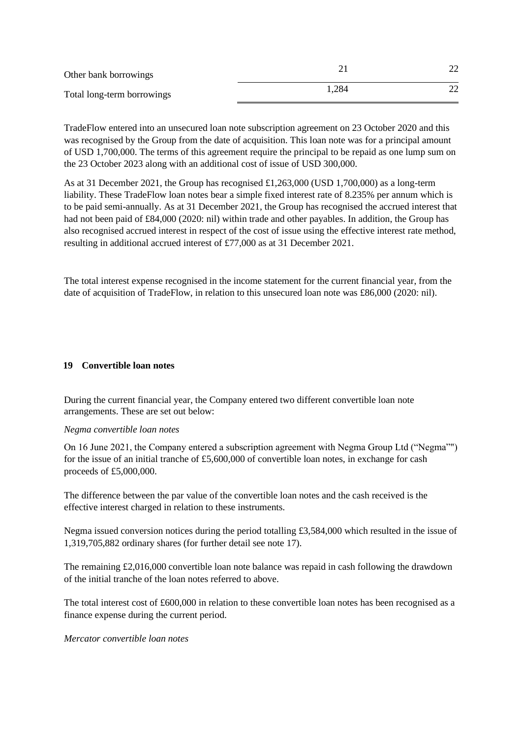| Other bank borrowings      |       |  |
|----------------------------|-------|--|
| Total long-term borrowings | 1,284 |  |

TradeFlow entered into an unsecured loan note subscription agreement on 23 October 2020 and this was recognised by the Group from the date of acquisition. This loan note was for a principal amount of USD 1,700,000. The terms of this agreement require the principal to be repaid as one lump sum on the 23 October 2023 along with an additional cost of issue of USD 300,000.

As at 31 December 2021, the Group has recognised £1,263,000 (USD 1,700,000) as a long-term liability. These TradeFlow loan notes bear a simple fixed interest rate of 8.235% per annum which is to be paid semi-annually. As at 31 December 2021, the Group has recognised the accrued interest that had not been paid of £84,000 (2020: nil) within trade and other payables. In addition, the Group has also recognised accrued interest in respect of the cost of issue using the effective interest rate method, resulting in additional accrued interest of £77,000 as at 31 December 2021.

The total interest expense recognised in the income statement for the current financial year, from the date of acquisition of TradeFlow, in relation to this unsecured loan note was £86,000 (2020: nil).

#### **19 Convertible loan notes**

During the current financial year, the Company entered two different convertible loan note arrangements. These are set out below:

#### *Negma convertible loan notes*

On 16 June 2021, the Company entered a subscription agreement with Negma Group Ltd ("Negma"") for the issue of an initial tranche of £5,600,000 of convertible loan notes, in exchange for cash proceeds of £5,000,000.

The difference between the par value of the convertible loan notes and the cash received is the effective interest charged in relation to these instruments.

Negma issued conversion notices during the period totalling £3,584,000 which resulted in the issue of 1,319,705,882 ordinary shares (for further detail see note 17).

The remaining £2,016,000 convertible loan note balance was repaid in cash following the drawdown of the initial tranche of the loan notes referred to above.

The total interest cost of £600,000 in relation to these convertible loan notes has been recognised as a finance expense during the current period.

#### *Mercator convertible loan notes*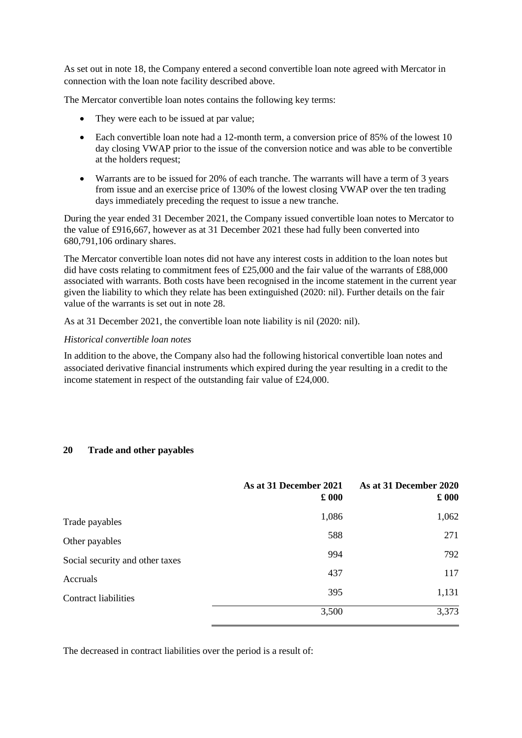As set out in note 18, the Company entered a second convertible loan note agreed with Mercator in connection with the loan note facility described above.

The Mercator convertible loan notes contains the following key terms:

- They were each to be issued at par value;
- Each convertible loan note had a 12-month term, a conversion price of 85% of the lowest 10 day closing VWAP prior to the issue of the conversion notice and was able to be convertible at the holders request;
- Warrants are to be issued for 20% of each tranche. The warrants will have a term of 3 years from issue and an exercise price of 130% of the lowest closing VWAP over the ten trading days immediately preceding the request to issue a new tranche.

During the year ended 31 December 2021, the Company issued convertible loan notes to Mercator to the value of £916,667, however as at 31 December 2021 these had fully been converted into 680,791,106 ordinary shares.

The Mercator convertible loan notes did not have any interest costs in addition to the loan notes but did have costs relating to commitment fees of £25,000 and the fair value of the warrants of £88,000 associated with warrants. Both costs have been recognised in the income statement in the current year given the liability to which they relate has been extinguished (2020: nil). Further details on the fair value of the warrants is set out in note 28.

As at 31 December 2021, the convertible loan note liability is nil (2020: nil).

### *Historical convertible loan notes*

In addition to the above, the Company also had the following historical convertible loan notes and associated derivative financial instruments which expired during the year resulting in a credit to the income statement in respect of the outstanding fair value of £24,000.

### **20 Trade and other payables**

|                                 | As at 31 December 2021<br>$\pounds 000$ | As at 31 December 2020<br>$\pounds$ 000 |
|---------------------------------|-----------------------------------------|-----------------------------------------|
| Trade payables                  | 1,086                                   | 1,062                                   |
| Other payables                  | 588                                     | 271                                     |
| Social security and other taxes | 994                                     | 792                                     |
| Accruals                        | 437                                     | 117                                     |
| <b>Contract liabilities</b>     | 395                                     | 1,131                                   |
|                                 | 3,500                                   | 3,373                                   |

The decreased in contract liabilities over the period is a result of: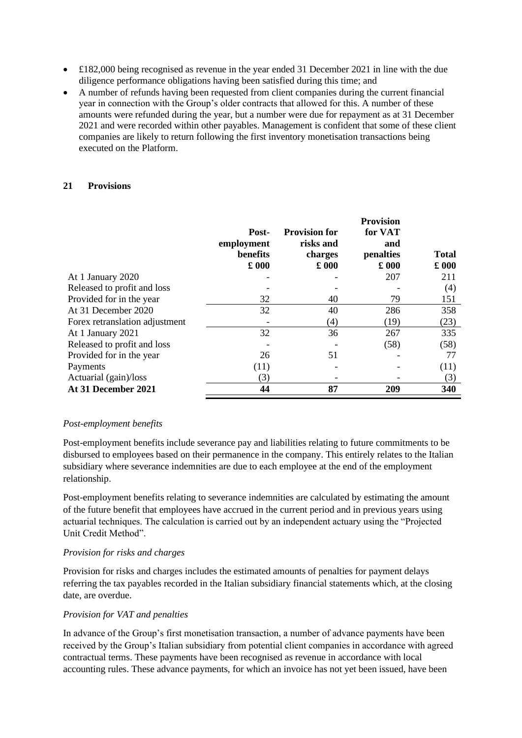- £182,000 being recognised as revenue in the year ended 31 December 2021 in line with the due diligence performance obligations having been satisfied during this time; and
- A number of refunds having been requested from client companies during the current financial year in connection with the Group's older contracts that allowed for this. A number of these amounts were refunded during the year, but a number were due for repayment as at 31 December 2021 and were recorded within other payables. Management is confident that some of these client companies are likely to return following the first inventory monetisation transactions being executed on the Platform.

### **21 Provisions**

|                                | Post-<br>employment<br>benefits<br>$\pounds$ 000 | <b>Provision for</b><br>risks and<br>charges<br>$\pounds$ 000 | <b>Provision</b><br>for VAT<br>and<br>penalties<br>$\pounds 000$ | <b>Total</b><br>$\pounds 000$ |
|--------------------------------|--------------------------------------------------|---------------------------------------------------------------|------------------------------------------------------------------|-------------------------------|
| At 1 January 2020              |                                                  |                                                               | 207                                                              | 211                           |
| Released to profit and loss    |                                                  |                                                               |                                                                  | (4)                           |
| Provided for in the year       | 32                                               | 40                                                            | 79                                                               | 151                           |
| At 31 December 2020            | 32                                               | 40                                                            | 286                                                              | 358                           |
| Forex retranslation adjustment |                                                  | $\left( 4\right)$                                             | (19)                                                             | (23)                          |
| At 1 January 2021              | 32                                               | 36                                                            | 267                                                              | 335                           |
| Released to profit and loss    |                                                  |                                                               | (58)                                                             | (58)                          |
| Provided for in the year       | 26                                               | 51                                                            |                                                                  | 77                            |
| Payments                       | (11)                                             |                                                               |                                                                  | (11)                          |
| Actuarial (gain)/loss          | (3)                                              |                                                               |                                                                  | (3)                           |
| At 31 December 2021            | 44                                               | 87                                                            | 209                                                              | 340                           |

### *Post-employment benefits*

Post-employment benefits include severance pay and liabilities relating to future commitments to be disbursed to employees based on their permanence in the company. This entirely relates to the Italian subsidiary where severance indemnities are due to each employee at the end of the employment relationship.

Post-employment benefits relating to severance indemnities are calculated by estimating the amount of the future benefit that employees have accrued in the current period and in previous years using actuarial techniques. The calculation is carried out by an independent actuary using the "Projected Unit Credit Method".

### *Provision for risks and charges*

Provision for risks and charges includes the estimated amounts of penalties for payment delays referring the tax payables recorded in the Italian subsidiary financial statements which, at the closing date, are overdue.

### *Provision for VAT and penalties*

In advance of the Group's first monetisation transaction, a number of advance payments have been received by the Group's Italian subsidiary from potential client companies in accordance with agreed contractual terms. These payments have been recognised as revenue in accordance with local accounting rules. These advance payments, for which an invoice has not yet been issued, have been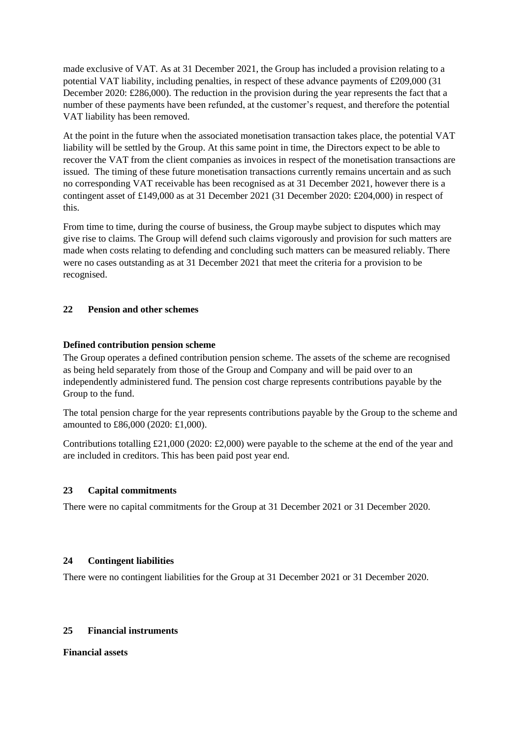made exclusive of VAT. As at 31 December 2021, the Group has included a provision relating to a potential VAT liability, including penalties, in respect of these advance payments of £209,000 (31 December 2020: £286,000). The reduction in the provision during the year represents the fact that a number of these payments have been refunded, at the customer's request, and therefore the potential VAT liability has been removed.

At the point in the future when the associated monetisation transaction takes place, the potential VAT liability will be settled by the Group. At this same point in time, the Directors expect to be able to recover the VAT from the client companies as invoices in respect of the monetisation transactions are issued. The timing of these future monetisation transactions currently remains uncertain and as such no corresponding VAT receivable has been recognised as at 31 December 2021, however there is a contingent asset of £149,000 as at 31 December 2021 (31 December 2020: £204,000) in respect of this.

From time to time, during the course of business, the Group maybe subject to disputes which may give rise to claims. The Group will defend such claims vigorously and provision for such matters are made when costs relating to defending and concluding such matters can be measured reliably. There were no cases outstanding as at 31 December 2021 that meet the criteria for a provision to be recognised.

# **22 Pension and other schemes**

## **Defined contribution pension scheme**

The Group operates a defined contribution pension scheme. The assets of the scheme are recognised as being held separately from those of the Group and Company and will be paid over to an independently administered fund. The pension cost charge represents contributions payable by the Group to the fund.

The total pension charge for the year represents contributions payable by the Group to the scheme and amounted to £86,000 (2020: £1,000).

Contributions totalling £21,000 (2020: £2,000) were payable to the scheme at the end of the year and are included in creditors. This has been paid post year end.

### **23 Capital commitments**

There were no capital commitments for the Group at 31 December 2021 or 31 December 2020.

## **24 Contingent liabilities**

There were no contingent liabilities for the Group at 31 December 2021 or 31 December 2020.

### **25 Financial instruments**

**Financial assets**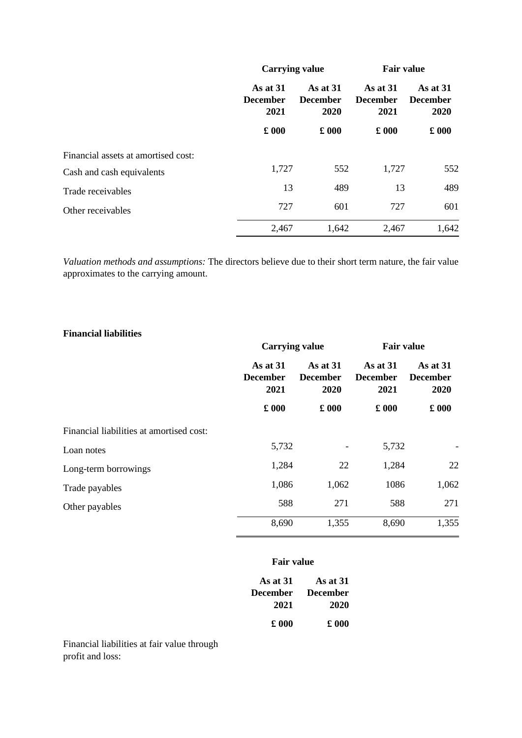|                                     |                                     | <b>Carrying value</b>                                  |                                                             | <b>Fair value</b>                                      |  |
|-------------------------------------|-------------------------------------|--------------------------------------------------------|-------------------------------------------------------------|--------------------------------------------------------|--|
|                                     | As at 31<br><b>December</b><br>2021 | As at $31$<br><b>December</b><br>2020<br>$\pounds$ 000 | <b>As at 31</b><br><b>December</b><br>2021<br>$\pounds 000$ | As at $31$<br><b>December</b><br>2020<br>$\pounds$ 000 |  |
|                                     | $\pounds$ 000                       |                                                        |                                                             |                                                        |  |
| Financial assets at amortised cost: |                                     |                                                        |                                                             |                                                        |  |
| Cash and cash equivalents           | 1,727                               | 552                                                    | 1,727                                                       | 552                                                    |  |
| Trade receivables                   | 13                                  | 489                                                    | 13                                                          | 489                                                    |  |
| Other receivables                   | 727                                 | 601                                                    | 727                                                         | 601                                                    |  |
|                                     | 2,467                               | 1,642                                                  | 2,467                                                       | 1,642                                                  |  |

*Valuation methods and assumptions:* The directors believe due to their short term nature, the fair value approximates to the carrying amount.

# **Financial liabilities**

|                                          | <b>Carrying value</b>               |                                     | <b>Fair value</b>                     |                                       |
|------------------------------------------|-------------------------------------|-------------------------------------|---------------------------------------|---------------------------------------|
|                                          | As at 31<br><b>December</b><br>2021 | As at 31<br><b>December</b><br>2020 | As at $31$<br><b>December</b><br>2021 | As at $31$<br><b>December</b><br>2020 |
|                                          | $\pounds$ 000                       | $\pounds$ 000                       | $\pounds$ 000                         | $\pounds$ 000                         |
| Financial liabilities at amortised cost: |                                     |                                     |                                       |                                       |
| Loan notes                               | 5,732                               |                                     | 5,732                                 | ÷                                     |
| Long-term borrowings                     | 1,284                               | 22                                  | 1,284                                 | 22                                    |
| Trade payables                           | 1,086                               | 1,062                               | 1086                                  | 1,062                                 |
| Other payables                           | 588                                 | 271                                 | 588                                   | 271                                   |
|                                          | 8,690                               | 1,355                               | 8,690                                 | 1,355                                 |

# **Fair value**

| As at 31        | As at 31        |
|-----------------|-----------------|
| <b>December</b> | <b>December</b> |
| 2021            | 2020            |
| $\pounds 000$   | $\pounds 000$   |

Financial liabilities at fair value through profit and loss: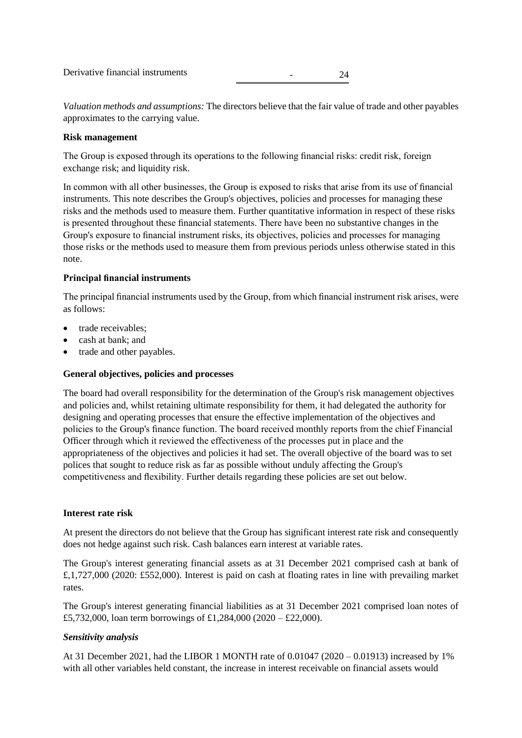*Valuation methods and assumptions:* The directors believe that the fair value of trade and other payables approximates to the carrying value.

### **Risk management**

The Group is exposed through its operations to the following financial risks: credit risk, foreign exchange risk; and liquidity risk.

In common with all other businesses, the Group is exposed to risks that arise from its use of financial instruments. This note describes the Group's objectives, policies and processes for managing these risks and the methods used to measure them. Further quantitative information in respect of these risks is presented throughout these financial statements. There have been no substantive changes in the Group's exposure to financial instrument risks, its objectives, policies and processes for managing those risks or the methods used to measure them from previous periods unless otherwise stated in this note.

## **Principal financial instruments**

The principal financial instruments used by the Group, from which financial instrument risk arises, were as follows:

- trade receivables:
- cash at bank; and
- trade and other payables.

### **General objectives, policies and processes**

The board had overall responsibility for the determination of the Group's risk management objectives and policies and, whilst retaining ultimate responsibility for them, it had delegated the authority for designing and operating processes that ensure the effective implementation of the objectives and policies to the Group's finance function. The board received monthly reports from the chief Financial Officer through which it reviewed the effectiveness of the processes put in place and the appropriateness of the objectives and policies it had set. The overall objective of the board was to set polices that sought to reduce risk as far as possible without unduly affecting the Group's competitiveness and flexibility. Further details regarding these policies are set out below.

### **Interest rate risk**

At present the directors do not believe that the Group has significant interest rate risk and consequently does not hedge against such risk. Cash balances earn interest at variable rates.

The Group's interest generating financial assets as at 31 December 2021 comprised cash at bank of £,1,727,000 (2020: £552,000). Interest is paid on cash at floating rates in line with prevailing market rates.

The Group's interest generating financial liabilities as at 31 December 2021 comprised loan notes of £5,732,000, loan term borrowings of £1,284,000 (2020 – £22,000).

# *Sensitivity analysis*

At 31 December 2021, had the LIBOR 1 MONTH rate of 0.01047 (2020 – 0.01913) increased by 1% with all other variables held constant, the increase in interest receivable on financial assets would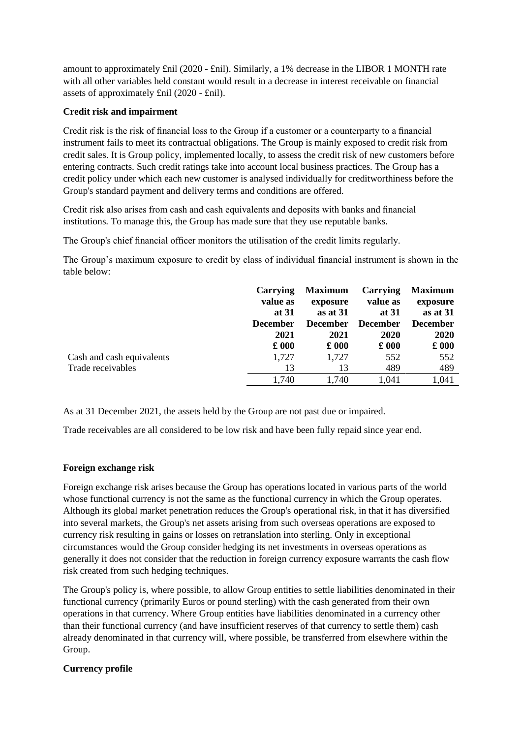amount to approximately £nil (2020 - £nil). Similarly, a 1% decrease in the LIBOR 1 MONTH rate with all other variables held constant would result in a decrease in interest receivable on financial assets of approximately £nil (2020 - £nil).

# **Credit risk and impairment**

Credit risk is the risk of financial loss to the Group if a customer or a counterparty to a financial instrument fails to meet its contractual obligations. The Group is mainly exposed to credit risk from credit sales. It is Group policy, implemented locally, to assess the credit risk of new customers before entering contracts. Such credit ratings take into account local business practices. The Group has a credit policy under which each new customer is analysed individually for creditworthiness before the Group's standard payment and delivery terms and conditions are offered.

Credit risk also arises from cash and cash equivalents and deposits with banks and financial institutions. To manage this, the Group has made sure that they use reputable banks.

The Group's chief financial officer monitors the utilisation of the credit limits regularly.

The Group's maximum exposure to credit by class of individual financial instrument is shown in the table below:

|                           | <b>Carrying</b> | <b>Maximum</b>  | <b>Carrying</b> | <b>Maximum</b>  |
|---------------------------|-----------------|-----------------|-----------------|-----------------|
|                           | value as        | exposure        | value as        | exposure        |
|                           | at 31           | as at 31        | at 31           | as at 31        |
|                           | <b>December</b> | <b>December</b> | <b>December</b> | <b>December</b> |
|                           | 2021            | 2021            | 2020            | 2020            |
|                           | $\pounds 000$   | $\pounds 000$   | $\pounds 000$   | $\pounds 000$   |
| Cash and cash equivalents | 1,727           | 1,727           | 552             | 552             |
| Trade receivables         | 13              | 13              | 489             | 489             |
|                           | 1,740           | 1,740           | 1,041           | 1,041           |

As at 31 December 2021, the assets held by the Group are not past due or impaired.

Trade receivables are all considered to be low risk and have been fully repaid since year end.

# **Foreign exchange risk**

Foreign exchange risk arises because the Group has operations located in various parts of the world whose functional currency is not the same as the functional currency in which the Group operates. Although its global market penetration reduces the Group's operational risk, in that it has diversified into several markets, the Group's net assets arising from such overseas operations are exposed to currency risk resulting in gains or losses on retranslation into sterling. Only in exceptional circumstances would the Group consider hedging its net investments in overseas operations as generally it does not consider that the reduction in foreign currency exposure warrants the cash flow risk created from such hedging techniques.

The Group's policy is, where possible, to allow Group entities to settle liabilities denominated in their functional currency (primarily Euros or pound sterling) with the cash generated from their own operations in that currency. Where Group entities have liabilities denominated in a currency other than their functional currency (and have insufficient reserves of that currency to settle them) cash already denominated in that currency will, where possible, be transferred from elsewhere within the Group.

# **Currency profile**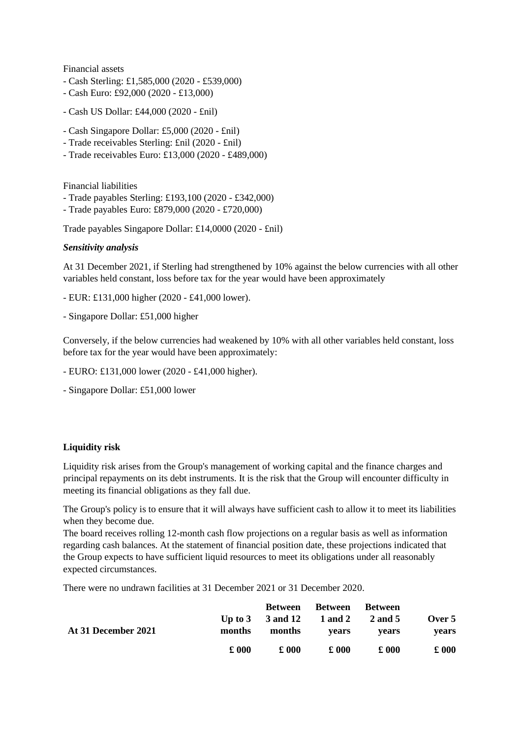Financial assets

- Cash Sterling: £1,585,000 (2020 £539,000)
- Cash Euro: £92,000 (2020 £13,000)
- Cash US Dollar: £44,000 (2020 £nil)
- Cash Singapore Dollar: £5,000 (2020 £nil)
- Trade receivables Sterling: £nil (2020 £nil)
- Trade receivables Euro: £13,000 (2020 £489,000)

Financial liabilities

- Trade payables Sterling: £193,100 (2020 £342,000)
- Trade payables Euro: £879,000 (2020 £720,000)

Trade payables Singapore Dollar: £14,0000 (2020 - £nil)

## *Sensitivity analysis*

At 31 December 2021, if Sterling had strengthened by 10% against the below currencies with all other variables held constant, loss before tax for the year would have been approximately

- EUR: £131,000 higher (2020 - £41,000 lower).

- Singapore Dollar: £51,000 higher

Conversely, if the below currencies had weakened by 10% with all other variables held constant, loss before tax for the year would have been approximately:

- EURO: £131,000 lower (2020 £41,000 higher).
- Singapore Dollar: £51,000 lower

## **Liquidity risk**

Liquidity risk arises from the Group's management of working capital and the finance charges and principal repayments on its debt instruments. It is the risk that the Group will encounter difficulty in meeting its financial obligations as they fall due.

The Group's policy is to ensure that it will always have sufficient cash to allow it to meet its liabilities when they become due.

The board receives rolling 12-month cash flow projections on a regular basis as well as information regarding cash balances. At the statement of financial position date, these projections indicated that the Group expects to have sufficient liquid resources to meet its obligations under all reasonably expected circumstances.

There were no undrawn facilities at 31 December 2021 or 31 December 2020.

| At 31 December 2021 | months        | Between<br>months | Between<br>Up to $3 \times 3$ and $12 \times 1$ and $2 \times 2$ and $5 \times 5$<br>vears | <b>Between</b><br>vears | Over 5<br>vears |
|---------------------|---------------|-------------------|--------------------------------------------------------------------------------------------|-------------------------|-----------------|
|                     | $\pounds 000$ | $\pounds 000$     | $\pounds 000$                                                                              | $\pounds 000$           | $\pounds 000$   |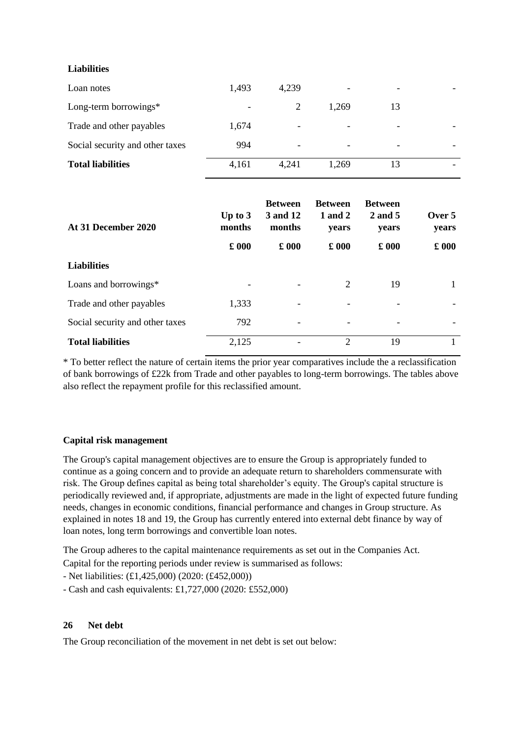## **Liabilities**

| Loan notes                      | 1,493                    | 4,239 | -                        | -  |  |
|---------------------------------|--------------------------|-------|--------------------------|----|--|
| Long-term borrowings $*$        | $\overline{\phantom{a}}$ |       | 1.269                    | 13 |  |
| Trade and other payables        | 1,674                    |       | $\overline{\phantom{0}}$ |    |  |
| Social security and other taxes | 994                      | -     | $\overline{\phantom{0}}$ | -  |  |
| <b>Total liabilities</b>        | 4,161                    | 4,241 | 1,269                    | 13 |  |

| At 31 December 2020             | Up to $3$<br>months<br>$\pounds 000$ | <b>Between</b><br>3 and 12<br>months<br>$\pounds 000$ | <b>Between</b><br>1 and 2<br>years<br>$\pounds 000$ | <b>Between</b><br>2 and 5<br>years<br>$\pounds 000$ | Over 5<br>years<br>$\pounds$ 000 |
|---------------------------------|--------------------------------------|-------------------------------------------------------|-----------------------------------------------------|-----------------------------------------------------|----------------------------------|
| <b>Liabilities</b>              |                                      |                                                       |                                                     |                                                     |                                  |
| Loans and borrowings*           |                                      |                                                       | 2                                                   | 19                                                  | 1                                |
| Trade and other payables        | 1,333                                | -                                                     |                                                     |                                                     |                                  |
| Social security and other taxes | 792                                  |                                                       |                                                     |                                                     |                                  |
| <b>Total liabilities</b>        | 2,125                                |                                                       | $\overline{2}$                                      | 19                                                  |                                  |

\* To better reflect the nature of certain items the prior year comparatives include the a reclassification of bank borrowings of £22k from Trade and other payables to long-term borrowings. The tables above also reflect the repayment profile for this reclassified amount.

## **Capital risk management**

The Group's capital management objectives are to ensure the Group is appropriately funded to continue as a going concern and to provide an adequate return to shareholders commensurate with risk. The Group defines capital as being total shareholder's equity. The Group's capital structure is periodically reviewed and, if appropriate, adjustments are made in the light of expected future funding needs, changes in economic conditions, financial performance and changes in Group structure. As explained in notes 18 and 19, the Group has currently entered into external debt finance by way of loan notes, long term borrowings and convertible loan notes.

The Group adheres to the capital maintenance requirements as set out in the Companies Act.

Capital for the reporting periods under review is summarised as follows:

- Net liabilities: (£1,425,000) (2020: (£452,000))

- Cash and cash equivalents: £1,727,000 (2020: £552,000)

## **26 Net debt**

The Group reconciliation of the movement in net debt is set out below: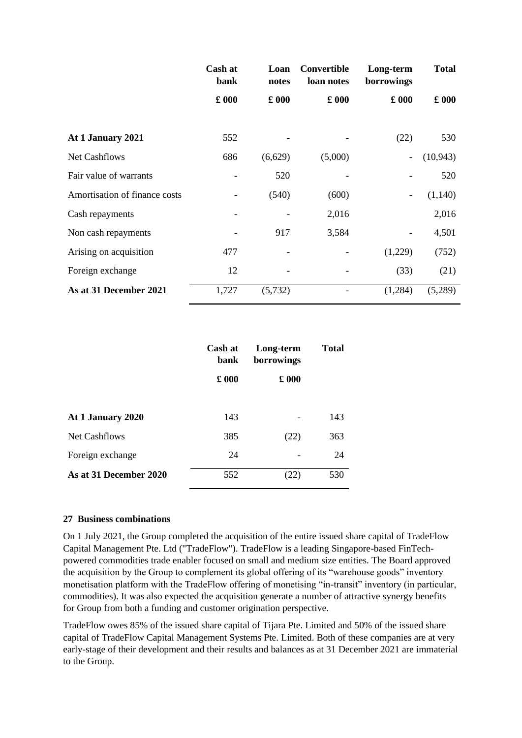|                               | Cash at<br>bank | Loan<br>notes | Convertible<br>loan notes | Long-term<br>borrowings  | <b>Total</b>  |
|-------------------------------|-----------------|---------------|---------------------------|--------------------------|---------------|
|                               | $\pounds$ 000   | $\pounds$ 000 | $\pounds$ 000             | $\pounds 000$            | $\pounds$ 000 |
|                               |                 |               |                           |                          |               |
| At 1 January 2021             | 552             |               |                           | (22)                     | 530           |
| <b>Net Cashflows</b>          | 686             | (6,629)       | (5,000)                   | $\overline{\phantom{a}}$ | (10, 943)     |
| Fair value of warrants        |                 | 520           |                           |                          | 520           |
| Amortisation of finance costs |                 | (540)         | (600)                     | $\overline{\phantom{a}}$ | (1,140)       |
| Cash repayments               |                 |               | 2,016                     |                          | 2,016         |
| Non cash repayments           |                 | 917           | 3,584                     |                          | 4,501         |
| Arising on acquisition        | 477             |               |                           | (1,229)                  | (752)         |
| Foreign exchange              | 12              |               |                           | (33)                     | (21)          |
| As at 31 December 2021        | 1,727           | (5,732)       |                           | (1,284)                  | (5,289)       |

|                        | Cash at<br>bank | Long-term<br>borrowings | <b>Total</b> |  |
|------------------------|-----------------|-------------------------|--------------|--|
|                        | $\pounds$ 000   | $\pounds 000$           |              |  |
| At 1 January 2020      | 143             |                         | 143          |  |
| Net Cashflows          | 385             | (22)                    | 363          |  |
| Foreign exchange       | 24              |                         | 24           |  |
| As at 31 December 2020 | 552             |                         | 530          |  |

## **27 Business combinations**

On 1 July 2021, the Group completed the acquisition of the entire issued share capital of TradeFlow Capital Management Pte. Ltd ("TradeFlow"). TradeFlow is a leading Singapore-based FinTechpowered commodities trade enabler focused on small and medium size entities. The Board approved the acquisition by the Group to complement its global offering of its "warehouse goods" inventory monetisation platform with the TradeFlow offering of monetising "in-transit" inventory (in particular, commodities). It was also expected the acquisition generate a number of attractive synergy benefits for Group from both a funding and customer origination perspective.

TradeFlow owes 85% of the issued share capital of Tijara Pte. Limited and 50% of the issued share capital of TradeFlow Capital Management Systems Pte. Limited. Both of these companies are at very early-stage of their development and their results and balances as at 31 December 2021 are immaterial to the Group.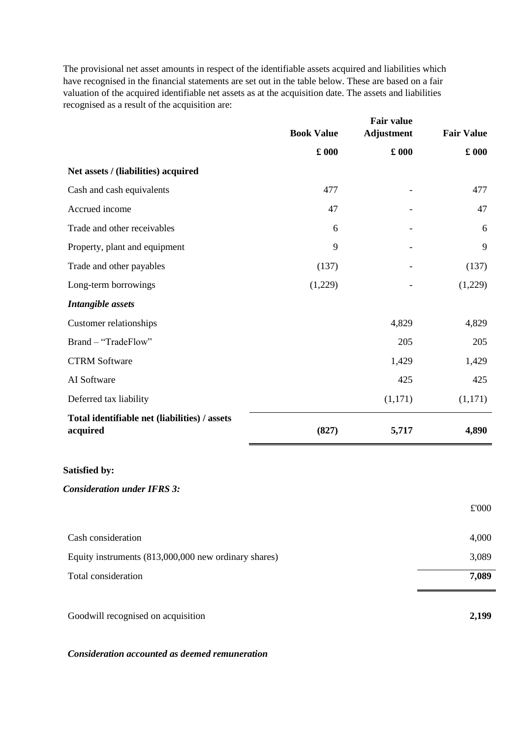The provisional net asset amounts in respect of the identifiable assets acquired and liabilities which have recognised in the financial statements are set out in the table below. These are based on a fair valuation of the acquired identifiable net assets as at the acquisition date. The assets and liabilities recognised as a result of the acquisition are:

|                                                           | <b>Book Value</b> | <b>Fair value</b><br><b>Adjustment</b> | <b>Fair Value</b> |
|-----------------------------------------------------------|-------------------|----------------------------------------|-------------------|
|                                                           | $\pounds$ 000     | $\pounds$ 000                          | $\pounds$ 000     |
| Net assets / (liabilities) acquired                       |                   |                                        |                   |
| Cash and cash equivalents                                 | 477               |                                        | 477               |
| Accrued income                                            | 47                |                                        | 47                |
| Trade and other receivables                               | 6                 |                                        | 6                 |
| Property, plant and equipment                             | 9                 |                                        | 9                 |
| Trade and other payables                                  | (137)             |                                        | (137)             |
| Long-term borrowings                                      | (1,229)           |                                        | (1,229)           |
| <b>Intangible</b> assets                                  |                   |                                        |                   |
| Customer relationships                                    |                   | 4,829                                  | 4,829             |
| Brand - "TradeFlow"                                       |                   | 205                                    | 205               |
| <b>CTRM Software</b>                                      |                   | 1,429                                  | 1,429             |
| AI Software                                               |                   | 425                                    | 425               |
| Deferred tax liability                                    |                   | (1,171)                                | (1,171)           |
| Total identifiable net (liabilities) / assets<br>acquired | (827)             | 5,717                                  | 4,890             |

## **Satisfied by:**

*Consideration under IFRS 3:*

|                                                      | £'000 |
|------------------------------------------------------|-------|
| Cash consideration                                   | 4,000 |
| Equity instruments (813,000,000 new ordinary shares) | 3,089 |
| Total consideration                                  | 7,089 |
| Goodwill recognised on acquisition                   | 2,199 |

*Consideration accounted as deemed remuneration*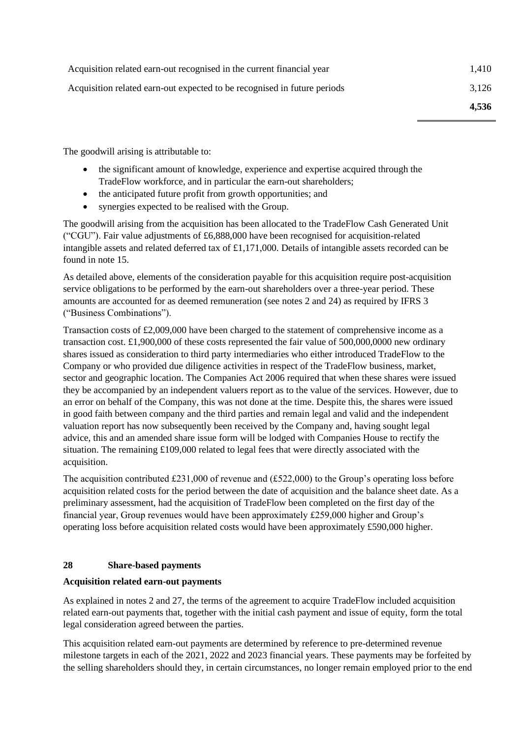| Acquisition related earn-out recognised in the current financial year    | 1,410 |
|--------------------------------------------------------------------------|-------|
| Acquisition related earn-out expected to be recognised in future periods | 3.126 |
|                                                                          | 4.536 |

The goodwill arising is attributable to:

- the significant amount of knowledge, experience and expertise acquired through the TradeFlow workforce, and in particular the earn-out shareholders;
- the anticipated future profit from growth opportunities; and
- synergies expected to be realised with the Group.

The goodwill arising from the acquisition has been allocated to the TradeFlow Cash Generated Unit ("CGU"). Fair value adjustments of £6,888,000 have been recognised for acquisition-related intangible assets and related deferred tax of £1,171,000. Details of intangible assets recorded can be found in note 15.

As detailed above, elements of the consideration payable for this acquisition require post-acquisition service obligations to be performed by the earn-out shareholders over a three-year period. These amounts are accounted for as deemed remuneration (see notes 2 and 24) as required by IFRS 3 ("Business Combinations").

Transaction costs of £2,009,000 have been charged to the statement of comprehensive income as a transaction cost. £1,900,000 of these costs represented the fair value of 500,000,0000 new ordinary shares issued as consideration to third party intermediaries who either introduced TradeFlow to the Company or who provided due diligence activities in respect of the TradeFlow business, market, sector and geographic location. The Companies Act 2006 required that when these shares were issued they be accompanied by an independent valuers report as to the value of the services. However, due to an error on behalf of the Company, this was not done at the time. Despite this, the shares were issued in good faith between company and the third parties and remain legal and valid and the independent valuation report has now subsequently been received by the Company and, having sought legal advice, this and an amended share issue form will be lodged with Companies House to rectify the situation. The remaining £109,000 related to legal fees that were directly associated with the acquisition.

The acquisition contributed  $£231,000$  of revenue and  $(E522,000)$  to the Group's operating loss before acquisition related costs for the period between the date of acquisition and the balance sheet date. As a preliminary assessment, had the acquisition of TradeFlow been completed on the first day of the financial year, Group revenues would have been approximately £259,000 higher and Group's operating loss before acquisition related costs would have been approximately £590,000 higher.

# **28 Share-based payments**

## **Acquisition related earn-out payments**

As explained in notes 2 and 27, the terms of the agreement to acquire TradeFlow included acquisition related earn-out payments that, together with the initial cash payment and issue of equity, form the total legal consideration agreed between the parties.

This acquisition related earn-out payments are determined by reference to pre-determined revenue milestone targets in each of the 2021, 2022 and 2023 financial years. These payments may be forfeited by the selling shareholders should they, in certain circumstances, no longer remain employed prior to the end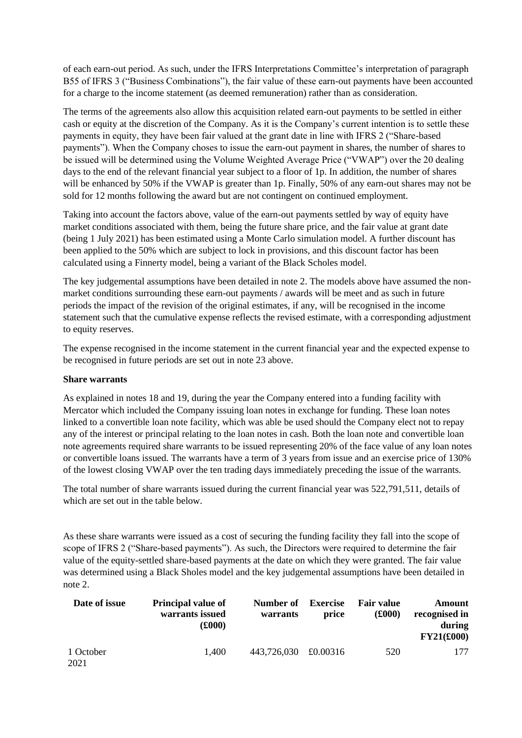of each earn-out period. As such, under the IFRS Interpretations Committee's interpretation of paragraph B55 of IFRS 3 ("Business Combinations"), the fair value of these earn-out payments have been accounted for a charge to the income statement (as deemed remuneration) rather than as consideration.

The terms of the agreements also allow this acquisition related earn-out payments to be settled in either cash or equity at the discretion of the Company. As it is the Company's current intention is to settle these payments in equity, they have been fair valued at the grant date in line with IFRS 2 ("Share-based payments"). When the Company choses to issue the earn-out payment in shares, the number of shares to be issued will be determined using the Volume Weighted Average Price ("VWAP") over the 20 dealing days to the end of the relevant financial year subject to a floor of 1p. In addition, the number of shares will be enhanced by 50% if the VWAP is greater than 1p. Finally, 50% of any earn-out shares may not be sold for 12 months following the award but are not contingent on continued employment.

Taking into account the factors above, value of the earn-out payments settled by way of equity have market conditions associated with them, being the future share price, and the fair value at grant date (being 1 July 2021) has been estimated using a Monte Carlo simulation model. A further discount has been applied to the 50% which are subject to lock in provisions, and this discount factor has been calculated using a Finnerty model, being a variant of the Black Scholes model.

The key judgemental assumptions have been detailed in note 2. The models above have assumed the nonmarket conditions surrounding these earn-out payments / awards will be meet and as such in future periods the impact of the revision of the original estimates, if any, will be recognised in the income statement such that the cumulative expense reflects the revised estimate, with a corresponding adjustment to equity reserves.

The expense recognised in the income statement in the current financial year and the expected expense to be recognised in future periods are set out in note 23 above.

### **Share warrants**

As explained in notes 18 and 19, during the year the Company entered into a funding facility with Mercator which included the Company issuing loan notes in exchange for funding. These loan notes linked to a convertible loan note facility, which was able be used should the Company elect not to repay any of the interest or principal relating to the loan notes in cash. Both the loan note and convertible loan note agreements required share warrants to be issued representing 20% of the face value of any loan notes or convertible loans issued. The warrants have a term of 3 years from issue and an exercise price of 130% of the lowest closing VWAP over the ten trading days immediately preceding the issue of the warrants.

The total number of share warrants issued during the current financial year was 522,791,511, details of which are set out in the table below.

As these share warrants were issued as a cost of securing the funding facility they fall into the scope of scope of IFRS 2 ("Share-based payments"). As such, the Directors were required to determine the fair value of the equity-settled share-based payments at the date on which they were granted. The fair value was determined using a Black Sholes model and the key judgemental assumptions have been detailed in note 2.

| Date of issue     | <b>Principal value of</b><br>warrants issued<br>(£000) | Number of<br>warrants | <b>Exercise</b><br>price | <b>Fair value</b><br>(000) | Amount<br>recognised in<br>during<br>FY21(f000) |
|-------------------|--------------------------------------------------------|-----------------------|--------------------------|----------------------------|-------------------------------------------------|
| 1 October<br>2021 | 1.400                                                  | 443,726,030 £0.00316  |                          | 520                        | 177                                             |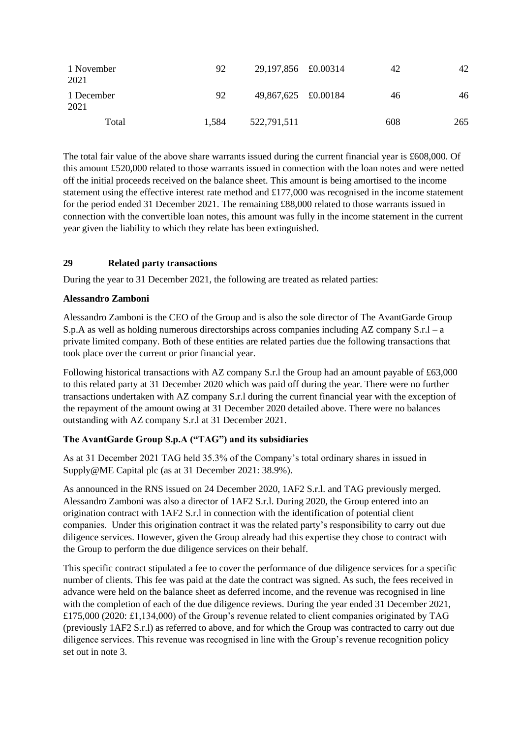| 1 November<br>2021 | 92    | 29,197,856 £0.00314 | 42  | 42  |
|--------------------|-------|---------------------|-----|-----|
| 1 December<br>2021 | 92    | 49,867,625 £0.00184 | 46  | 46  |
| Total              | 1.584 | 522,791,511         | 608 | 265 |

The total fair value of the above share warrants issued during the current financial year is £608,000. Of this amount £520,000 related to those warrants issued in connection with the loan notes and were netted off the initial proceeds received on the balance sheet. This amount is being amortised to the income statement using the effective interest rate method and £177,000 was recognised in the income statement for the period ended 31 December 2021. The remaining £88,000 related to those warrants issued in connection with the convertible loan notes, this amount was fully in the income statement in the current year given the liability to which they relate has been extinguished.

## **29 Related party transactions**

During the year to 31 December 2021, the following are treated as related parties:

## **Alessandro Zamboni**

Alessandro Zamboni is the CEO of the Group and is also the sole director of The AvantGarde Group S.p.A as well as holding numerous directorships across companies including AZ company S.r.l – a private limited company. Both of these entities are related parties due the following transactions that took place over the current or prior financial year.

Following historical transactions with AZ company S.r.l the Group had an amount payable of £63,000 to this related party at 31 December 2020 which was paid off during the year. There were no further transactions undertaken with AZ company S.r.l during the current financial year with the exception of the repayment of the amount owing at 31 December 2020 detailed above. There were no balances outstanding with AZ company S.r.l at 31 December 2021.

## **The AvantGarde Group S.p.A ("TAG") and its subsidiaries**

As at 31 December 2021 TAG held 35.3% of the Company's total ordinary shares in issued in Supply@ME Capital plc (as at 31 December 2021: 38.9%).

As announced in the RNS issued on 24 December 2020, 1AF2 S.r.l. and TAG previously merged. Alessandro Zamboni was also a director of 1AF2 S.r.l. During 2020, the Group entered into an origination contract with 1AF2 S.r.l in connection with the identification of potential client companies. Under this origination contract it was the related party's responsibility to carry out due diligence services. However, given the Group already had this expertise they chose to contract with the Group to perform the due diligence services on their behalf.

This specific contract stipulated a fee to cover the performance of due diligence services for a specific number of clients. This fee was paid at the date the contract was signed. As such, the fees received in advance were held on the balance sheet as deferred income, and the revenue was recognised in line with the completion of each of the due diligence reviews. During the year ended 31 December 2021, £175,000 (2020: £1,134,000) of the Group's revenue related to client companies originated by TAG (previously 1AF2 S.r.l) as referred to above, and for which the Group was contracted to carry out due diligence services. This revenue was recognised in line with the Group's revenue recognition policy set out in note 3.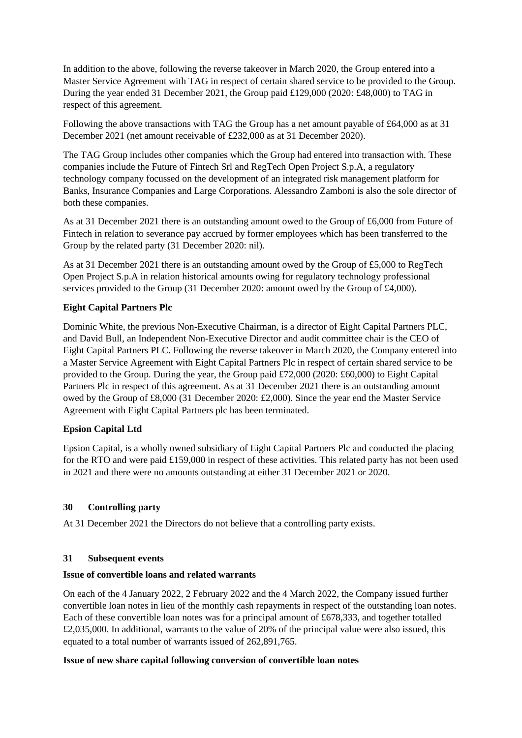In addition to the above, following the reverse takeover in March 2020, the Group entered into a Master Service Agreement with TAG in respect of certain shared service to be provided to the Group. During the year ended 31 December 2021, the Group paid £129,000 (2020: £48,000) to TAG in respect of this agreement.

Following the above transactions with TAG the Group has a net amount payable of £64,000 as at 31 December 2021 (net amount receivable of £232,000 as at 31 December 2020).

The TAG Group includes other companies which the Group had entered into transaction with. These companies include the Future of Fintech Srl and RegTech Open Project S.p.A, a regulatory technology company focussed on the development of an integrated risk management platform for Banks, Insurance Companies and Large Corporations. Alessandro Zamboni is also the sole director of both these companies.

As at 31 December 2021 there is an outstanding amount owed to the Group of £6,000 from Future of Fintech in relation to severance pay accrued by former employees which has been transferred to the Group by the related party (31 December 2020: nil).

As at 31 December 2021 there is an outstanding amount owed by the Group of £5,000 to RegTech Open Project S.p.A in relation historical amounts owing for regulatory technology professional services provided to the Group (31 December 2020: amount owed by the Group of £4,000).

## **Eight Capital Partners Plc**

Dominic White, the previous Non-Executive Chairman, is a director of Eight Capital Partners PLC, and David Bull, an Independent Non-Executive Director and audit committee chair is the CEO of Eight Capital Partners PLC. Following the reverse takeover in March 2020, the Company entered into a Master Service Agreement with Eight Capital Partners Plc in respect of certain shared service to be provided to the Group. During the year, the Group paid £72,000 (2020: £60,000) to Eight Capital Partners Plc in respect of this agreement. As at 31 December 2021 there is an outstanding amount owed by the Group of £8,000 (31 December 2020: £2,000). Since the year end the Master Service Agreement with Eight Capital Partners plc has been terminated.

### **Epsion Capital Ltd**

Epsion Capital, is a wholly owned subsidiary of Eight Capital Partners Plc and conducted the placing for the RTO and were paid £159,000 in respect of these activities. This related party has not been used in 2021 and there were no amounts outstanding at either 31 December 2021 or 2020.

### **30 Controlling party**

At 31 December 2021 the Directors do not believe that a controlling party exists.

### **31 Subsequent events**

### **Issue of convertible loans and related warrants**

On each of the 4 January 2022, 2 February 2022 and the 4 March 2022, the Company issued further convertible loan notes in lieu of the monthly cash repayments in respect of the outstanding loan notes. Each of these convertible loan notes was for a principal amount of £678,333, and together totalled £2,035,000. In additional, warrants to the value of 20% of the principal value were also issued, this equated to a total number of warrants issued of 262,891,765.

### **Issue of new share capital following conversion of convertible loan notes**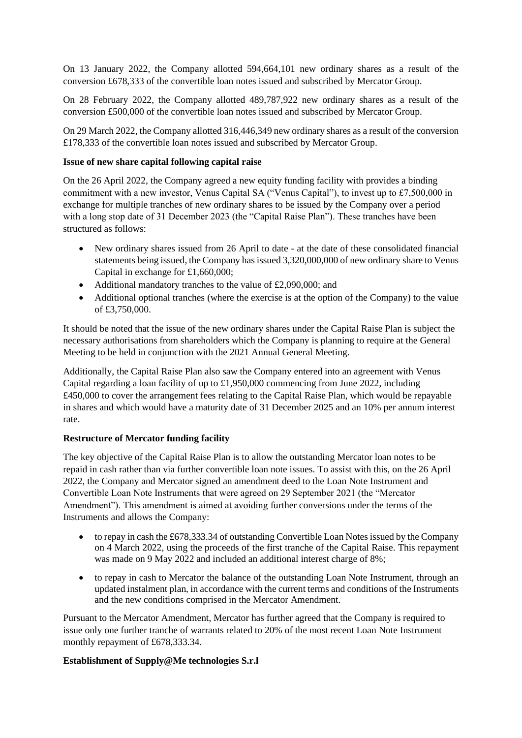On 13 January 2022, the Company allotted 594,664,101 new ordinary shares as a result of the conversion £678,333 of the convertible loan notes issued and subscribed by Mercator Group.

On 28 February 2022, the Company allotted 489,787,922 new ordinary shares as a result of the conversion £500,000 of the convertible loan notes issued and subscribed by Mercator Group.

On 29 March 2022, the Company allotted 316,446,349 new ordinary shares as a result of the conversion £178,333 of the convertible loan notes issued and subscribed by Mercator Group.

### **Issue of new share capital following capital raise**

On the 26 April 2022, the Company agreed a new equity funding facility with provides a binding commitment with a new investor, Venus Capital SA ("Venus Capital"), to invest up to £7,500,000 in exchange for multiple tranches of new ordinary shares to be issued by the Company over a period with a long stop date of 31 December 2023 (the "Capital Raise Plan"). These tranches have been structured as follows:

- New ordinary shares issued from 26 April to date at the date of these consolidated financial statements being issued, the Company has issued 3,320,000,000 of new ordinary share to Venus Capital in exchange for £1,660,000;
- Additional mandatory tranches to the value of £2,090,000; and
- Additional optional tranches (where the exercise is at the option of the Company) to the value of £3,750,000.

It should be noted that the issue of the new ordinary shares under the Capital Raise Plan is subject the necessary authorisations from shareholders which the Company is planning to require at the General Meeting to be held in conjunction with the 2021 Annual General Meeting.

Additionally, the Capital Raise Plan also saw the Company entered into an agreement with Venus Capital regarding a loan facility of up to £1,950,000 commencing from June 2022, including £450,000 to cover the arrangement fees relating to the Capital Raise Plan, which would be repayable in shares and which would have a maturity date of 31 December 2025 and an 10% per annum interest rate.

### **Restructure of Mercator funding facility**

The key objective of the Capital Raise Plan is to allow the outstanding Mercator loan notes to be repaid in cash rather than via further convertible loan note issues. To assist with this, on the 26 April 2022, the Company and Mercator signed an amendment deed to the Loan Note Instrument and Convertible Loan Note Instruments that were agreed on 29 September 2021 (the "Mercator Amendment"). This amendment is aimed at avoiding further conversions under the terms of the Instruments and allows the Company:

- to repay in cash the £678,333.34 of outstanding Convertible Loan Notes issued by the Company on 4 March 2022, using the proceeds of the first tranche of the Capital Raise. This repayment was made on 9 May 2022 and included an additional interest charge of 8%;
- to repay in cash to Mercator the balance of the outstanding Loan Note Instrument, through an updated instalment plan, in accordance with the current terms and conditions of the Instruments and the new conditions comprised in the Mercator Amendment.

Pursuant to the Mercator Amendment, Mercator has further agreed that the Company is required to issue only one further tranche of warrants related to 20% of the most recent Loan Note Instrument monthly repayment of £678,333.34.

### **Establishment of Supply@Me technologies S.r.l**